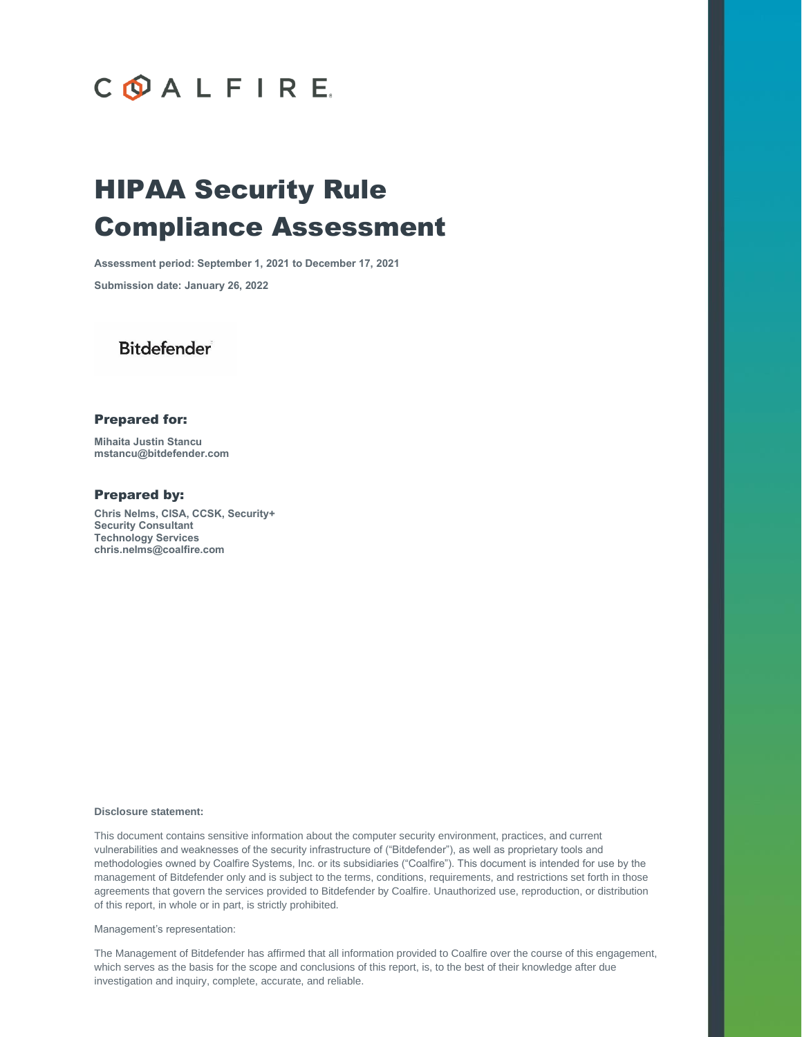

# HIPAA Security Rule Compliance Assessment

**Assessment period: September 1, 2021 to December 17, 2021**

**Submission date: January 26, 2022**

**Bitdefender** 

#### Prepared for:

**Mihaita Justin Stancu mstancu@bitdefender.com**

#### Prepared by:

**Chris Nelms, CISA, CCSK, Security+ Security Consultant Technology Services chris.nelms@coalfire.com**

#### **Disclosure statement:**

This document contains sensitive information about the computer security environment, practices, and current vulnerabilities and weaknesses of the security infrastructure of ("Bitdefender"), as well as proprietary tools and methodologies owned by Coalfire Systems, Inc. or its subsidiaries ("Coalfire"). This document is intended for use by the management of Bitdefender only and is subject to the terms, conditions, requirements, and restrictions set forth in those agreements that govern the services provided to Bitdefender by Coalfire. Unauthorized use, reproduction, or distribution of this report, in whole or in part, is strictly prohibited.

Management's representation:

The Management of Bitdefender has affirmed that all information provided to Coalfire over the course of this engagement, which serves as the basis for the scope and conclusions of this report, is, to the best of their knowledge after due investigation and inquiry, complete, accurate, and reliable.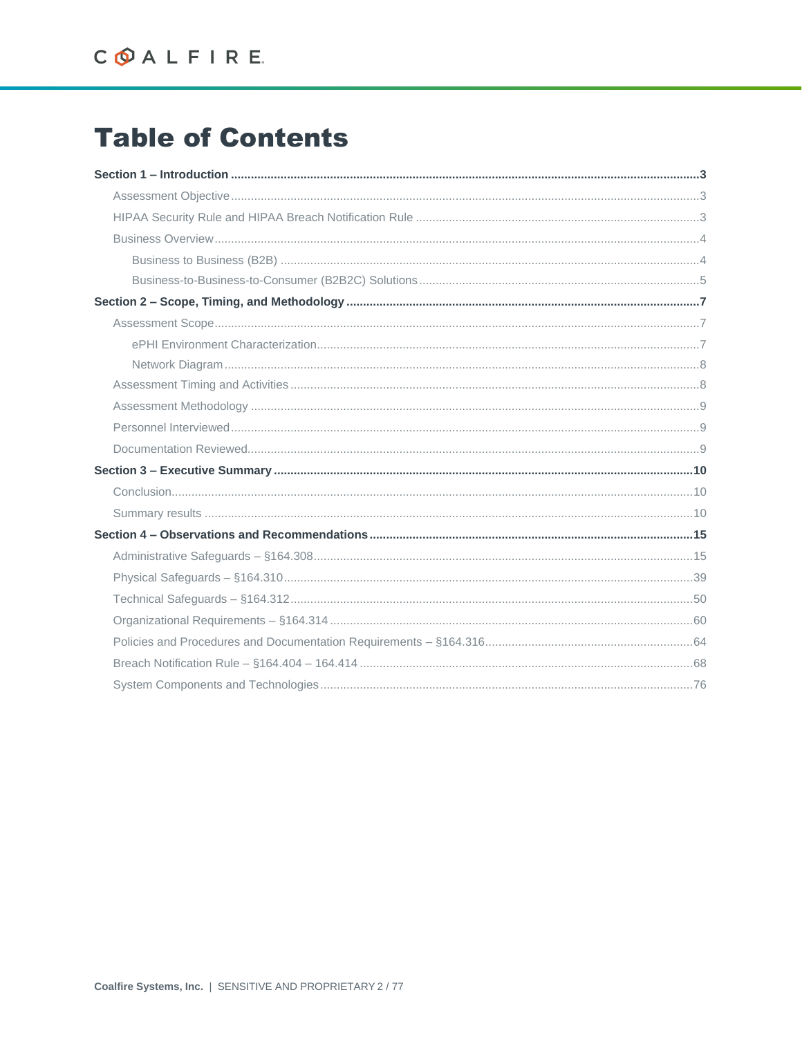# **Table of Contents**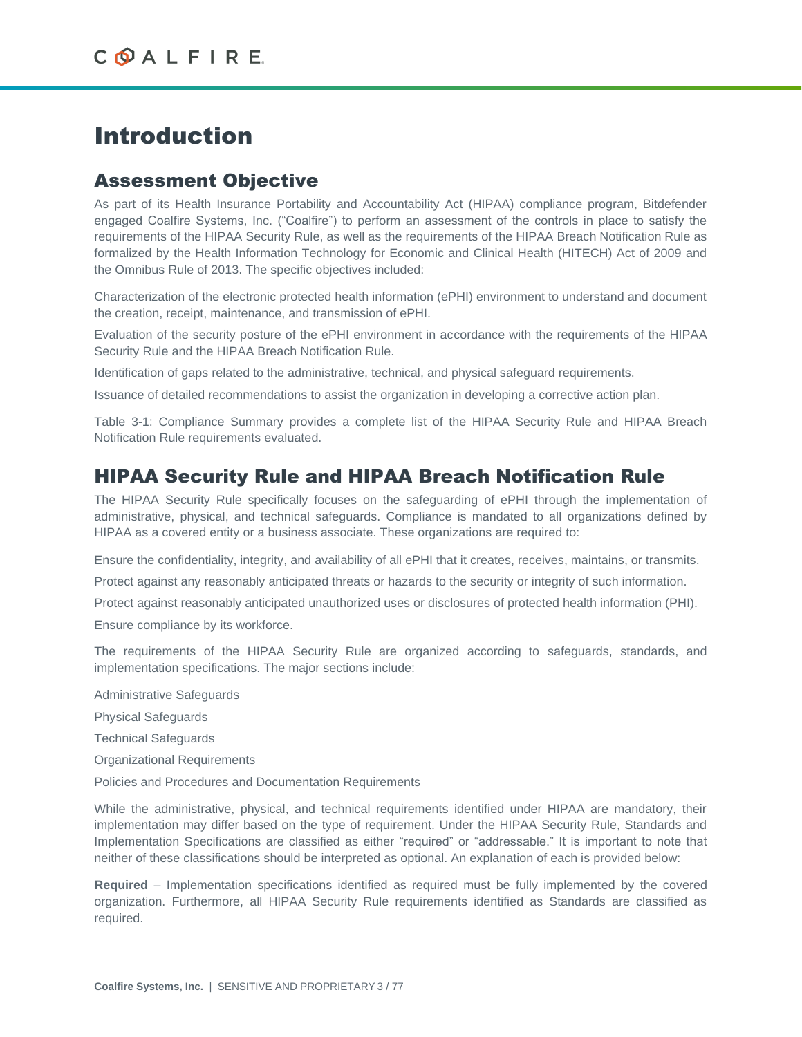# Introduction

### Assessment Objective

As part of its Health Insurance Portability and Accountability Act (HIPAA) compliance program, Bitdefender engaged Coalfire Systems, Inc. ("Coalfire") to perform an assessment of the controls in place to satisfy the requirements of the HIPAA Security Rule, as well as the requirements of the HIPAA Breach Notification Rule as formalized by the Health Information Technology for Economic and Clinical Health (HITECH) Act of 2009 and the Omnibus Rule of 2013. The specific objectives included:

Characterization of the electronic protected health information (ePHI) environment to understand and document the creation, receipt, maintenance, and transmission of ePHI.

Evaluation of the security posture of the ePHI environment in accordance with the requirements of the HIPAA Security Rule and the HIPAA Breach Notification Rule.

Identification of gaps related to the administrative, technical, and physical safeguard requirements.

Issuance of detailed recommendations to assist the organization in developing a corrective action plan.

[Table 3-1: Compliance Summary](#page-9-0) provides a complete list of the HIPAA Security Rule and HIPAA Breach Notification Rule requirements evaluated.

### HIPAA Security Rule and HIPAA Breach Notification Rule

The HIPAA Security Rule specifically focuses on the safeguarding of ePHI through the implementation of administrative, physical, and technical safeguards. Compliance is mandated to all organizations defined by HIPAA as a covered entity or a business associate. These organizations are required to:

Ensure the confidentiality, integrity, and availability of all ePHI that it creates, receives, maintains, or transmits.

Protect against any reasonably anticipated threats or hazards to the security or integrity of such information.

Protect against reasonably anticipated unauthorized uses or disclosures of protected health information (PHI).

Ensure compliance by its workforce.

The requirements of the HIPAA Security Rule are organized according to safeguards, standards, and implementation specifications. The major sections include:

Administrative Safeguards

Physical Safeguards

Technical Safeguards

Organizational Requirements

Policies and Procedures and Documentation Requirements

While the administrative, physical, and technical requirements identified under HIPAA are mandatory, their implementation may differ based on the type of requirement. Under the HIPAA Security Rule, Standards and Implementation Specifications are classified as either "required" or "addressable." It is important to note that neither of these classifications should be interpreted as optional. An explanation of each is provided below:

**Required** – Implementation specifications identified as required must be fully implemented by the covered organization. Furthermore, all HIPAA Security Rule requirements identified as Standards are classified as required.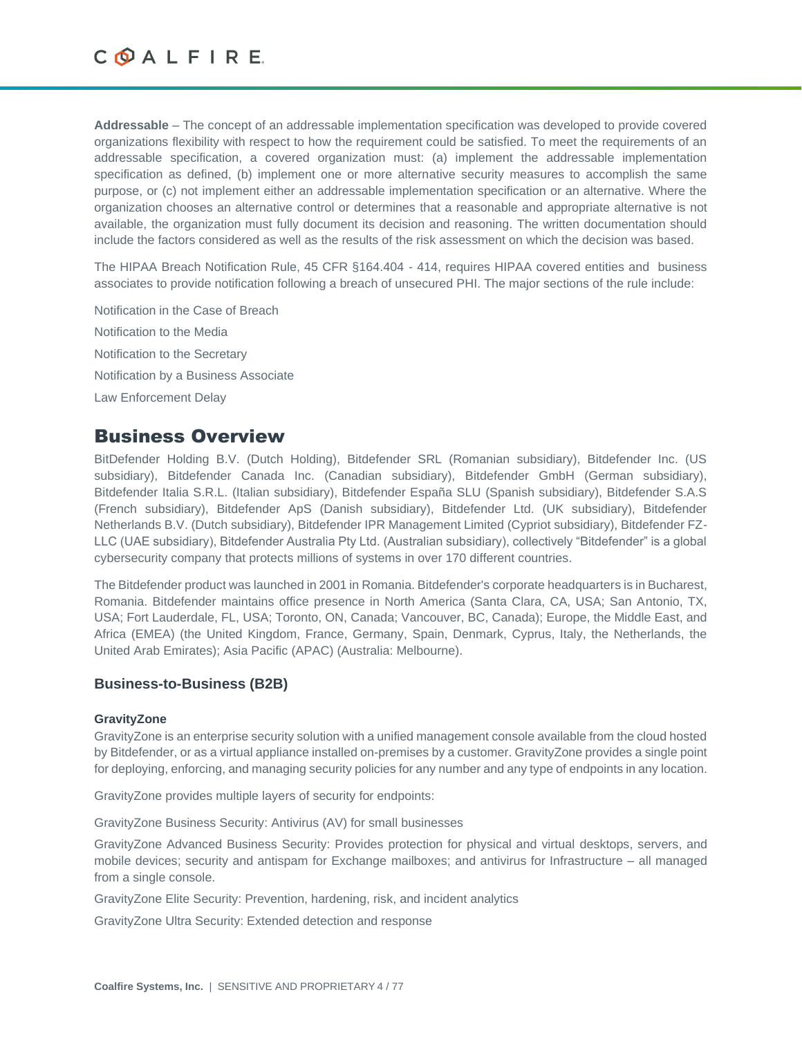**Addressable** – The concept of an addressable implementation specification was developed to provide covered organizations flexibility with respect to how the requirement could be satisfied. To meet the requirements of an addressable specification, a covered organization must: (a) implement the addressable implementation specification as defined, (b) implement one or more alternative security measures to accomplish the same purpose, or (c) not implement either an addressable implementation specification or an alternative. Where the organization chooses an alternative control or determines that a reasonable and appropriate alternative is not available, the organization must fully document its decision and reasoning. The written documentation should include the factors considered as well as the results of the risk assessment on which the decision was based.

The HIPAA Breach Notification Rule, 45 CFR §164.404 - 414, requires HIPAA covered entities and business associates to provide notification following a breach of unsecured PHI. The major sections of the rule include:

Notification in the Case of Breach Notification to the Media Notification to the Secretary Notification by a Business Associate Law Enforcement Delay

### Business Overview

BitDefender Holding B.V. (Dutch Holding), Bitdefender SRL (Romanian subsidiary), Bitdefender Inc. (US subsidiary), Bitdefender Canada Inc. (Canadian subsidiary), Bitdefender GmbH (German subsidiary), Bitdefender Italia S.R.L. (Italian subsidiary), Bitdefender España SLU (Spanish subsidiary), Bitdefender S.A.S (French subsidiary), Bitdefender ApS (Danish subsidiary), Bitdefender Ltd. (UK subsidiary), Bitdefender Netherlands B.V. (Dutch subsidiary), Bitdefender IPR Management Limited (Cypriot subsidiary), Bitdefender FZ-LLC (UAE subsidiary), Bitdefender Australia Pty Ltd. (Australian subsidiary), collectively "Bitdefender" is a global cybersecurity company that protects millions of systems in over 170 different countries.

The Bitdefender product was launched in 2001 in Romania. Bitdefender's corporate headquarters is in Bucharest, Romania. Bitdefender maintains office presence in North America (Santa Clara, CA, USA; San Antonio, TX, USA; Fort Lauderdale, FL, USA; Toronto, ON, Canada; Vancouver, BC, Canada); Europe, the Middle East, and Africa (EMEA) (the United Kingdom, France, Germany, Spain, Denmark, Cyprus, Italy, the Netherlands, the United Arab Emirates); Asia Pacific (APAC) (Australia: Melbourne).

#### **Business-to-Business (B2B)**

#### **GravityZone**

GravityZone is an enterprise security solution with a unified management console available from the cloud hosted by Bitdefender, or as a virtual appliance installed on-premises by a customer. GravityZone provides a single point for deploying, enforcing, and managing security policies for any number and any type of endpoints in any location.

GravityZone provides multiple layers of security for endpoints:

GravityZone Business Security: Antivirus (AV) for small businesses

GravityZone Advanced Business Security: Provides protection for physical and virtual desktops, servers, and mobile devices; security and antispam for Exchange mailboxes; and antivirus for Infrastructure – all managed from a single console.

GravityZone Elite Security: Prevention, hardening, risk, and incident analytics

GravityZone Ultra Security: Extended detection and response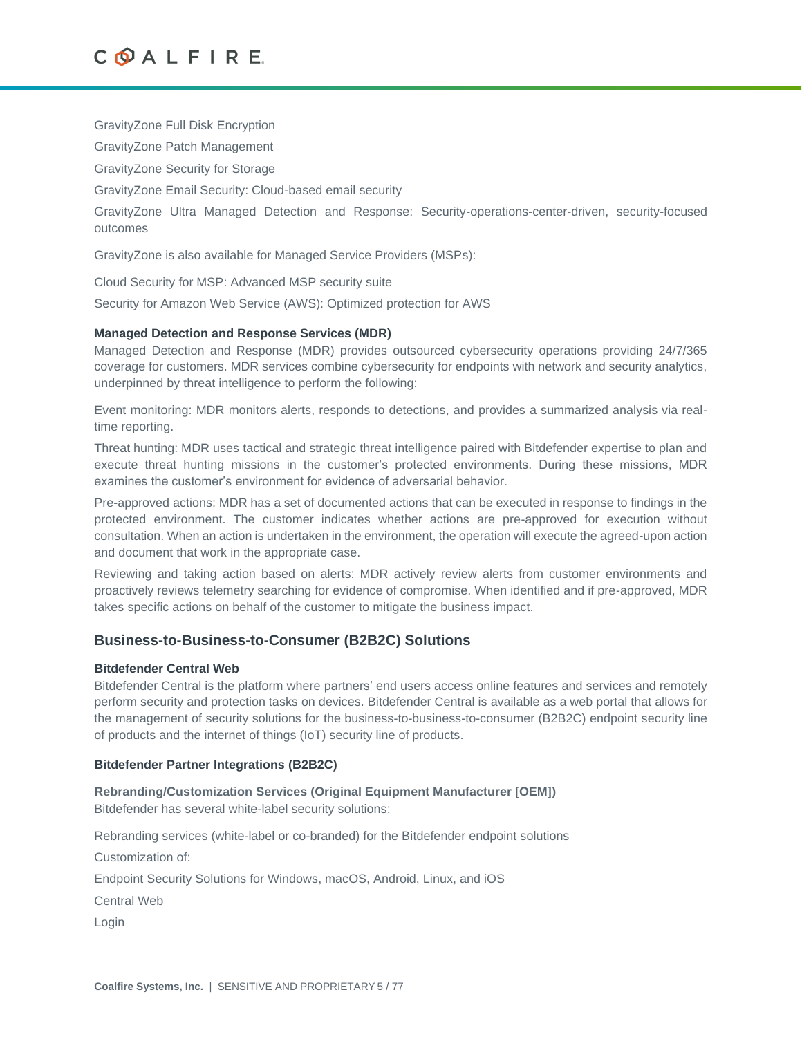

GravityZone Full Disk Encryption

GravityZone Patch Management

GravityZone Security for Storage

GravityZone Email Security: Cloud-based email security

GravityZone Ultra Managed Detection and Response: Security-operations-center-driven, security-focused outcomes

GravityZone is also available for Managed Service Providers (MSPs):

Cloud Security for MSP: Advanced MSP security suite

Security for Amazon Web Service (AWS): Optimized protection for AWS

#### **Managed Detection and Response Services (MDR)**

Managed Detection and Response (MDR) provides outsourced cybersecurity operations providing 24/7/365 coverage for customers. MDR services combine cybersecurity for endpoints with network and security analytics, underpinned by threat intelligence to perform the following:

Event monitoring: MDR monitors alerts, responds to detections, and provides a summarized analysis via realtime reporting.

Threat hunting: MDR uses tactical and strategic threat intelligence paired with Bitdefender expertise to plan and execute threat hunting missions in the customer's protected environments. During these missions, MDR examines the customer's environment for evidence of adversarial behavior.

Pre-approved actions: MDR has a set of documented actions that can be executed in response to findings in the protected environment. The customer indicates whether actions are pre-approved for execution without consultation. When an action is undertaken in the environment, the operation will execute the agreed-upon action and document that work in the appropriate case.

Reviewing and taking action based on alerts: MDR actively review alerts from customer environments and proactively reviews telemetry searching for evidence of compromise. When identified and if pre-approved, MDR takes specific actions on behalf of the customer to mitigate the business impact.

#### **Business-to-Business-to-Consumer (B2B2C) Solutions**

#### **Bitdefender Central Web**

Bitdefender Central is the platform where partners' end users access online features and services and remotely perform security and protection tasks on devices. Bitdefender Central is available as a web portal that allows for the management of security solutions for the business-to-business-to-consumer (B2B2C) endpoint security line of products and the internet of things (IoT) security line of products.

#### **Bitdefender Partner Integrations (B2B2C)**

**Rebranding/Customization Services (Original Equipment Manufacturer [OEM])** Bitdefender has several white-label security solutions:

Rebranding services (white-label or co-branded) for the Bitdefender endpoint solutions

Customization of:

Endpoint Security Solutions for Windows, macOS, Android, Linux, and iOS

Central Web

Login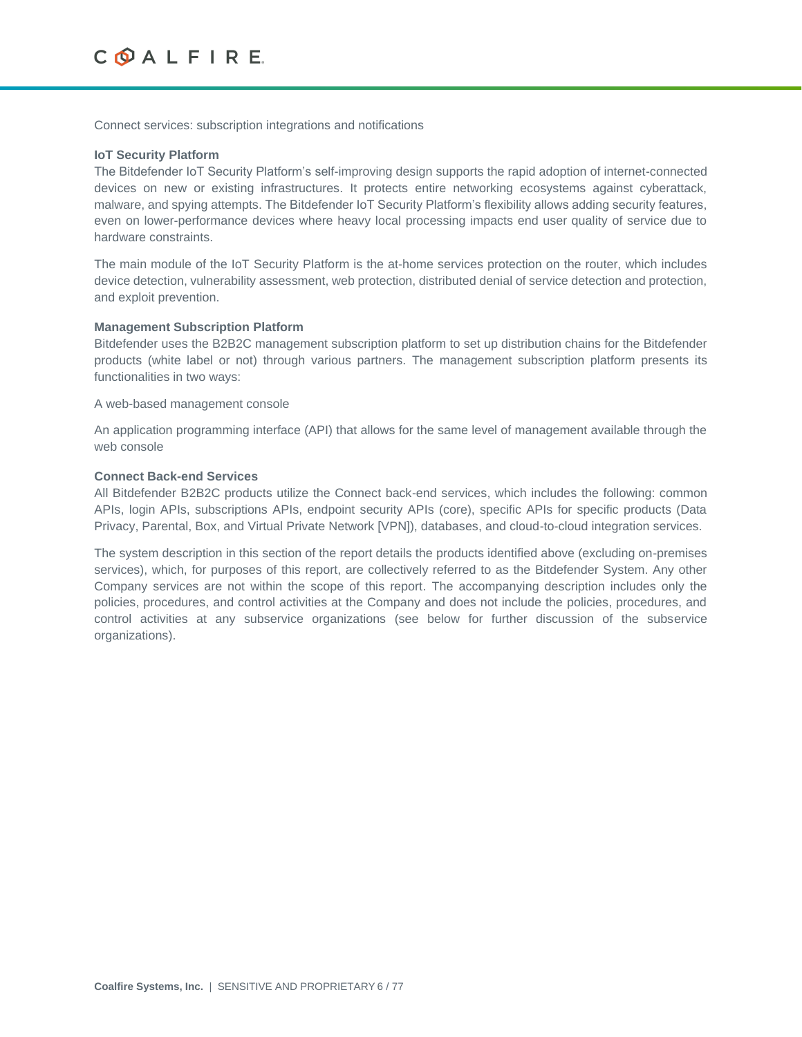Connect services: subscription integrations and notifications

#### **IoT Security Platform**

The Bitdefender IoT Security Platform's self-improving design supports the rapid adoption of internet-connected devices on new or existing infrastructures. It protects entire networking ecosystems against cyberattack, malware, and spying attempts. The Bitdefender IoT Security Platform's flexibility allows adding security features, even on lower-performance devices where heavy local processing impacts end user quality of service due to hardware constraints.

The main module of the IoT Security Platform is the at-home services protection on the router, which includes device detection, vulnerability assessment, web protection, distributed denial of service detection and protection, and exploit prevention.

#### **Management Subscription Platform**

Bitdefender uses the B2B2C management subscription platform to set up distribution chains for the Bitdefender products (white label or not) through various partners. The management subscription platform presents its functionalities in two ways:

A web-based management console

An application programming interface (API) that allows for the same level of management available through the web console

#### **Connect Back-end Services**

All Bitdefender B2B2C products utilize the Connect back-end services, which includes the following: common APIs, login APIs, subscriptions APIs, endpoint security APIs (core), specific APIs for specific products (Data Privacy, Parental, Box, and Virtual Private Network [VPN]), databases, and cloud-to-cloud integration services.

The system description in this section of the report details the products identified above (excluding on-premises services), which, for purposes of this report, are collectively referred to as the Bitdefender System. Any other Company services are not within the scope of this report. The accompanying description includes only the policies, procedures, and control activities at the Company and does not include the policies, procedures, and control activities at any subservice organizations (see below for further discussion of the subservice organizations).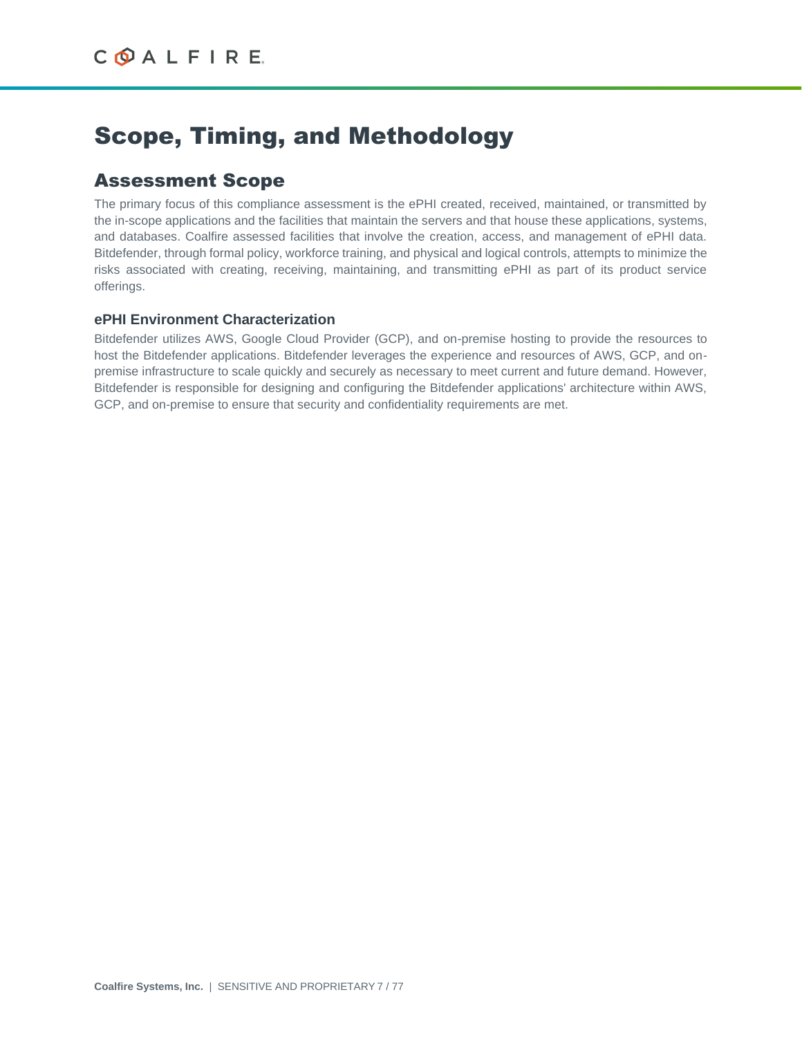# Scope, Timing, and Methodology

### Assessment Scope

The primary focus of this compliance assessment is the ePHI created, received, maintained, or transmitted by the in-scope applications and the facilities that maintain the servers and that house these applications, systems, and databases. Coalfire assessed facilities that involve the creation, access, and management of ePHI data. Bitdefender, through formal policy, workforce training, and physical and logical controls, attempts to minimize the risks associated with creating, receiving, maintaining, and transmitting ePHI as part of its product service offerings.

#### **ePHI Environment Characterization**

Bitdefender utilizes AWS, Google Cloud Provider (GCP), and on-premise hosting to provide the resources to host the Bitdefender applications. Bitdefender leverages the experience and resources of AWS, GCP, and onpremise infrastructure to scale quickly and securely as necessary to meet current and future demand. However, Bitdefender is responsible for designing and configuring the Bitdefender applications' architecture within AWS, GCP, and on-premise to ensure that security and confidentiality requirements are met.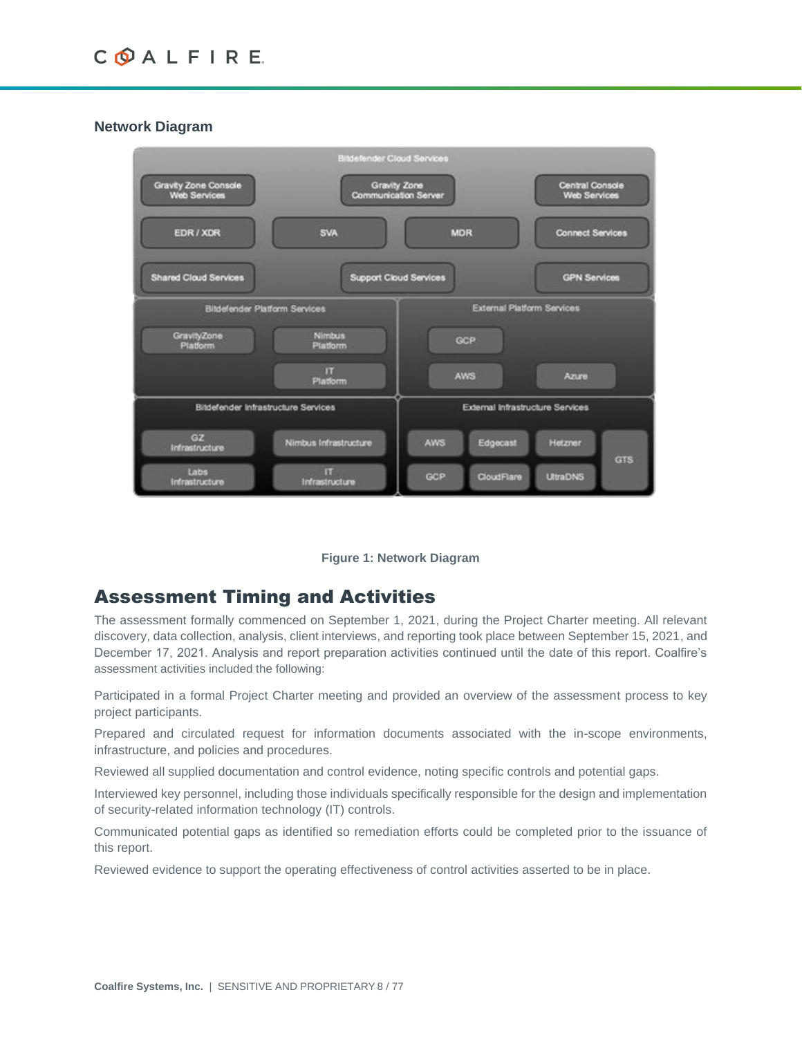**Network Diagram**





### Assessment Timing and Activities

The assessment formally commenced on September 1, 2021, during the Project Charter meeting. All relevant discovery, data collection, analysis, client interviews, and reporting took place between September 15, 2021, and December 17, 2021. Analysis and report preparation activities continued until the date of this report. Coalfire's assessment activities included the following:

Participated in a formal Project Charter meeting and provided an overview of the assessment process to key project participants.

Prepared and circulated request for information documents associated with the in-scope environments, infrastructure, and policies and procedures.

Reviewed all supplied documentation and control evidence, noting specific controls and potential gaps.

Interviewed key personnel, including those individuals specifically responsible for the design and implementation of security-related information technology (IT) controls.

Communicated potential gaps as identified so remediation efforts could be completed prior to the issuance of this report.

Reviewed evidence to support the operating effectiveness of control activities asserted to be in place.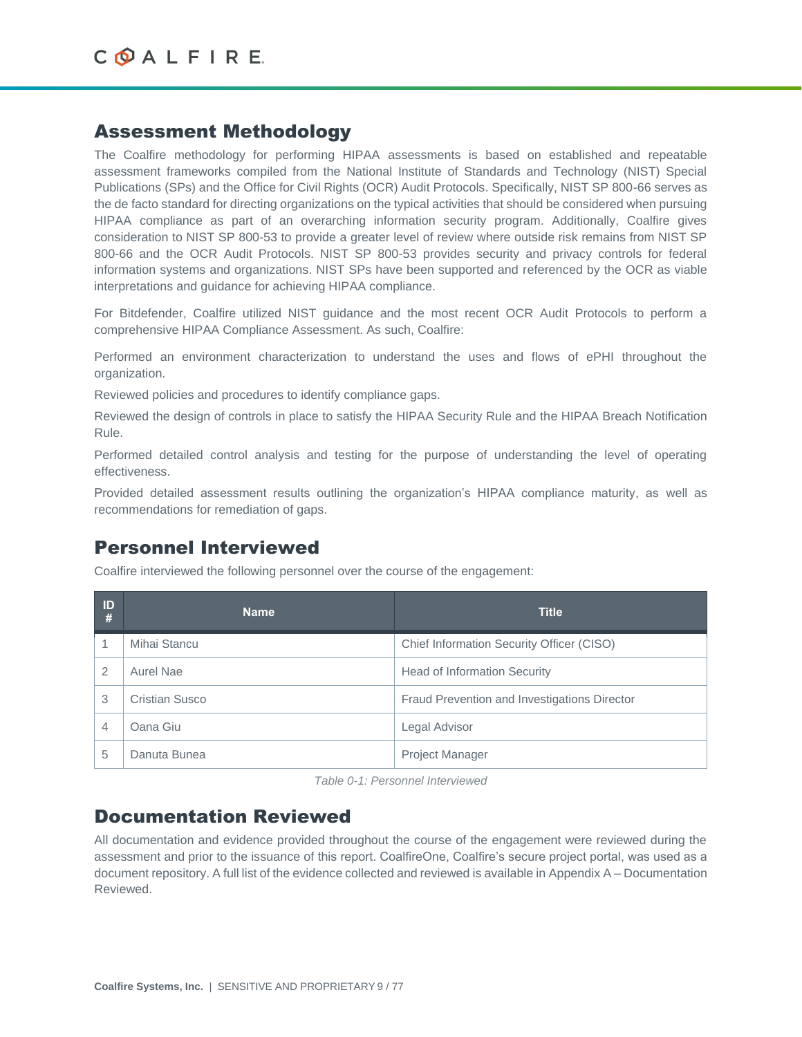### Assessment Methodology

The Coalfire methodology for performing HIPAA assessments is based on established and repeatable assessment frameworks compiled from the National Institute of Standards and Technology (NIST) Special Publications (SPs) and the Office for Civil Rights (OCR) Audit Protocols. Specifically, NIST SP 800-66 serves as the de facto standard for directing organizations on the typical activities that should be considered when pursuing HIPAA compliance as part of an overarching information security program. Additionally, Coalfire gives consideration to NIST SP 800-53 to provide a greater level of review where outside risk remains from NIST SP 800-66 and the OCR Audit Protocols. NIST SP 800-53 provides security and privacy controls for federal information systems and organizations. NIST SPs have been supported and referenced by the OCR as viable interpretations and guidance for achieving HIPAA compliance.

For Bitdefender, Coalfire utilized NIST guidance and the most recent OCR Audit Protocols to perform a comprehensive HIPAA Compliance Assessment. As such, Coalfire:

Performed an environment characterization to understand the uses and flows of ePHI throughout the organization.

Reviewed policies and procedures to identify compliance gaps.

Reviewed the design of controls in place to satisfy the HIPAA Security Rule and the HIPAA Breach Notification Rule.

Performed detailed control analysis and testing for the purpose of understanding the level of operating effectiveness.

Provided detailed assessment results outlining the organization's HIPAA compliance maturity, as well as recommendations for remediation of gaps.

### Personnel Interviewed

Coalfire interviewed the following personnel over the course of the engagement:

| ID<br>#        | <b>Name</b>    | <b>Title</b>                                 |
|----------------|----------------|----------------------------------------------|
|                | Mihai Stancu   | Chief Information Security Officer (CISO)    |
| 2              | Aurel Nae      | <b>Head of Information Security</b>          |
| 3              | Cristian Susco | Fraud Prevention and Investigations Director |
| $\overline{4}$ | Oana Giu       | Legal Advisor                                |
| 5              | Danuta Bunea   | Project Manager                              |

*Table 0-1: Personnel Interviewed*

### Documentation Reviewed

All documentation and evidence provided throughout the course of the engagement were reviewed during the assessment and prior to the issuance of this report. CoalfireOne, Coalfire's secure project portal, was used as a document repository. A full list of the evidence collected and reviewed is available in Appendix A – Documentation Reviewed.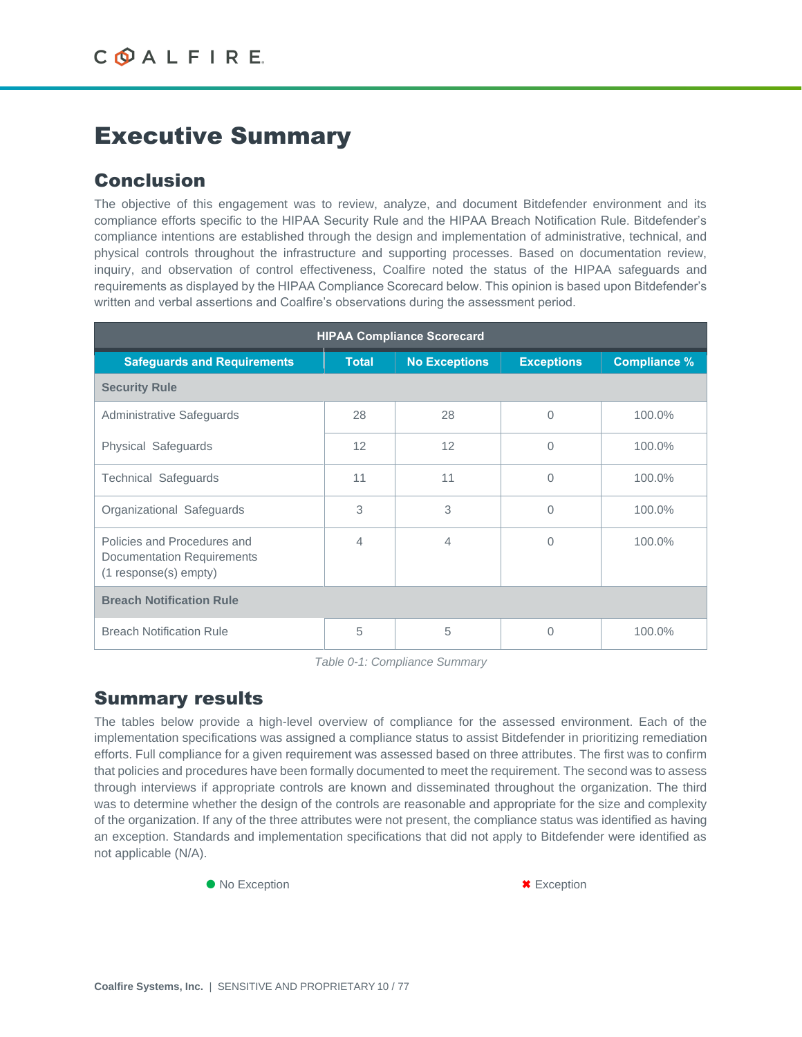# Executive Summary

### Conclusion

The objective of this engagement was to review, analyze, and document Bitdefender environment and its compliance efforts specific to the HIPAA Security Rule and the HIPAA Breach Notification Rule. Bitdefender's compliance intentions are established through the design and implementation of administrative, technical, and physical controls throughout the infrastructure and supporting processes. Based on documentation review, inquiry, and observation of control effectiveness, Coalfire noted the status of the HIPAA safeguards and requirements as displayed by the HIPAA Compliance Scorecard below. This opinion is based upon Bitdefender's written and verbal assertions and Coalfire's observations during the assessment period.

| <b>HIPAA Compliance Scorecard</b>                                                  |              |                      |                   |                     |
|------------------------------------------------------------------------------------|--------------|----------------------|-------------------|---------------------|
| <b>Safeguards and Requirements</b>                                                 | <b>Total</b> | <b>No Exceptions</b> | <b>Exceptions</b> | <b>Compliance %</b> |
| <b>Security Rule</b>                                                               |              |                      |                   |                     |
| Administrative Safeguards                                                          | 28           | 28                   | $\Omega$          | 100.0%              |
| Physical Safeguards                                                                | 12           | 12                   | 0                 | 100.0%              |
| <b>Technical Safeguards</b>                                                        | 11           | 11                   | $\Omega$          | 100.0%              |
| Organizational Safeguards                                                          | 3            | 3                    | $\overline{0}$    | 100.0%              |
| Policies and Procedures and<br>Documentation Requirements<br>(1 response(s) empty) | 4            | 4                    | 0                 | 100.0%              |
| <b>Breach Notification Rule</b>                                                    |              |                      |                   |                     |
| <b>Breach Notification Rule</b>                                                    | 5            | 5                    | 0                 | 100.0%              |

*Table 0-1: Compliance Summary*

### <span id="page-9-0"></span>Summary results

The tables below provide a high-level overview of compliance for the assessed environment. Each of the implementation specifications was assigned a compliance status to assist Bitdefender in prioritizing remediation efforts. Full compliance for a given requirement was assessed based on three attributes. The first was to confirm that policies and procedures have been formally documented to meet the requirement. The second was to assess through interviews if appropriate controls are known and disseminated throughout the organization. The third was to determine whether the design of the controls are reasonable and appropriate for the size and complexity of the organization. If any of the three attributes were not present, the compliance status was identified as having an exception. Standards and implementation specifications that did not apply to Bitdefender were identified as not applicable (N/A).

● No Exception **■ W** Exception

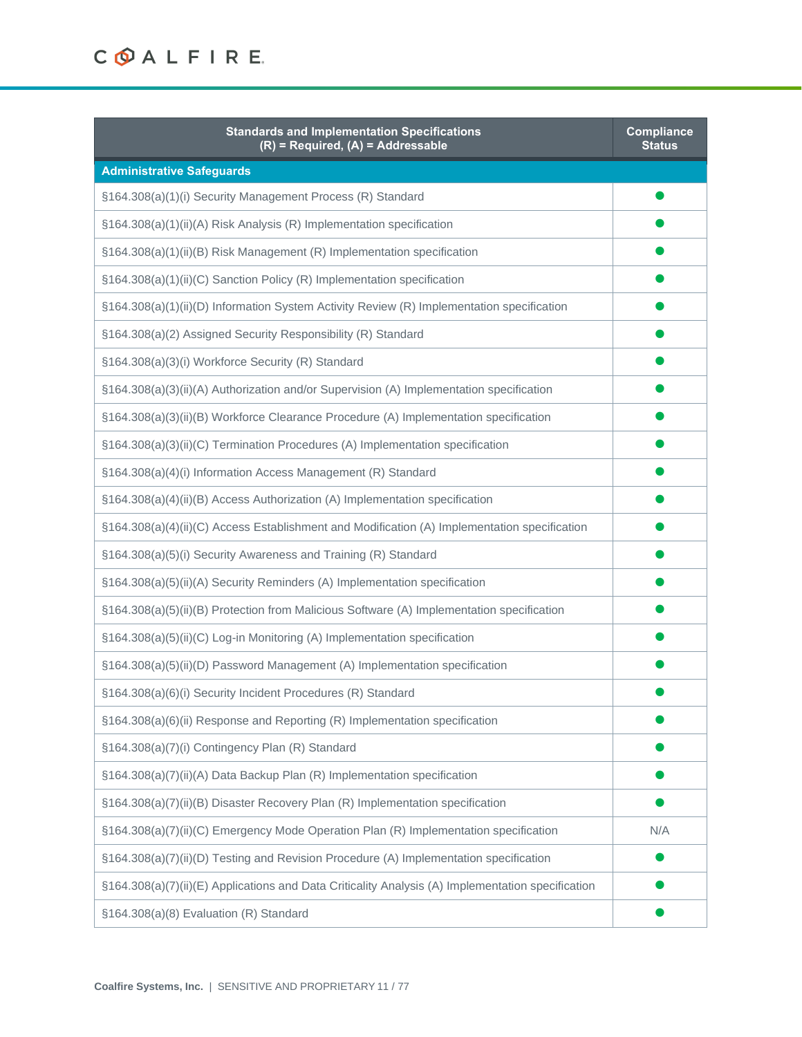| <b>Standards and Implementation Specifications</b><br>$(R)$ = Required, $(A)$ = Addressable       | <b>Compliance</b><br><b>Status</b> |
|---------------------------------------------------------------------------------------------------|------------------------------------|
| <b>Administrative Safeguards</b>                                                                  |                                    |
| §164.308(a)(1)(i) Security Management Process (R) Standard                                        |                                    |
| §164.308(a)(1)(ii)(A) Risk Analysis (R) Implementation specification                              |                                    |
| §164.308(a)(1)(ii)(B) Risk Management (R) Implementation specification                            |                                    |
| §164.308(a)(1)(ii)(C) Sanction Policy (R) Implementation specification                            |                                    |
| §164.308(a)(1)(ii)(D) Information System Activity Review (R) Implementation specification         |                                    |
| §164.308(a)(2) Assigned Security Responsibility (R) Standard                                      |                                    |
| §164.308(a)(3)(i) Workforce Security (R) Standard                                                 |                                    |
| §164.308(a)(3)(ii)(A) Authorization and/or Supervision (A) Implementation specification           |                                    |
| §164.308(a)(3)(ii)(B) Workforce Clearance Procedure (A) Implementation specification              |                                    |
| §164.308(a)(3)(ii)(C) Termination Procedures (A) Implementation specification                     |                                    |
| §164.308(a)(4)(i) Information Access Management (R) Standard                                      |                                    |
| §164.308(a)(4)(ii)(B) Access Authorization (A) Implementation specification                       |                                    |
| §164.308(a)(4)(ii)(C) Access Establishment and Modification (A) Implementation specification      |                                    |
| §164.308(a)(5)(i) Security Awareness and Training (R) Standard                                    |                                    |
| §164.308(a)(5)(ii)(A) Security Reminders (A) Implementation specification                         |                                    |
| §164.308(a)(5)(ii)(B) Protection from Malicious Software (A) Implementation specification         |                                    |
| §164.308(a)(5)(ii)(C) Log-in Monitoring (A) Implementation specification                          |                                    |
| §164.308(a)(5)(ii)(D) Password Management (A) Implementation specification                        |                                    |
| §164.308(a)(6)(i) Security Incident Procedures (R) Standard                                       |                                    |
| §164.308(a)(6)(ii) Response and Reporting (R) Implementation specification                        |                                    |
| §164.308(a)(7)(i) Contingency Plan (R) Standard                                                   |                                    |
| §164.308(a)(7)(ii)(A) Data Backup Plan (R) Implementation specification                           |                                    |
| §164.308(a)(7)(ii)(B) Disaster Recovery Plan (R) Implementation specification                     |                                    |
| §164.308(a)(7)(ii)(C) Emergency Mode Operation Plan (R) Implementation specification              | N/A                                |
| §164.308(a)(7)(ii)(D) Testing and Revision Procedure (A) Implementation specification             |                                    |
| §164.308(a)(7)(ii)(E) Applications and Data Criticality Analysis (A) Implementation specification |                                    |
| §164.308(a)(8) Evaluation (R) Standard                                                            |                                    |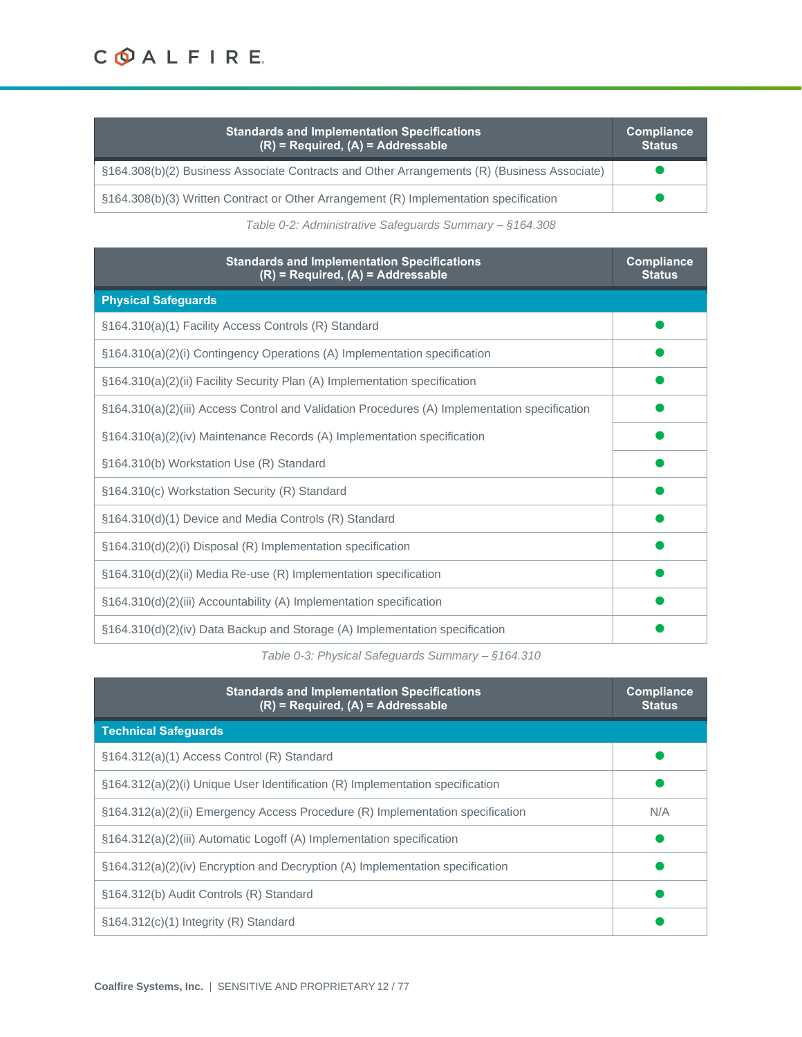| <b>Standards and Implementation Specifications</b><br>$(R)$ = Required, $(A)$ = Addressable | <b>Compliance</b><br><b>Status</b> |
|---------------------------------------------------------------------------------------------|------------------------------------|
| §164.308(b)(2) Business Associate Contracts and Other Arrangements (R) (Business Associate) |                                    |
| §164.308(b)(3) Written Contract or Other Arrangement (R) Implementation specification       |                                    |

*Table 0-2: Administrative Safeguards Summary – §164.308*

| <b>Standards and Implementation Specifications</b><br>$(R)$ = Required, $(A)$ = Addressable      | <b>Compliance</b><br><b>Status</b> |
|--------------------------------------------------------------------------------------------------|------------------------------------|
| <b>Physical Safeguards</b>                                                                       |                                    |
| §164.310(a)(1) Facility Access Controls (R) Standard                                             |                                    |
| $\S164.310(a)(2)(i)$ Contingency Operations (A) Implementation specification                     |                                    |
| $\S164.310(a)(2)(ii)$ Facility Security Plan (A) Implementation specification                    |                                    |
| $\S164.310(a)(2)(iii)$ Access Control and Validation Procedures (A) Implementation specification |                                    |
| $\S164.310(a)(2)(iv)$ Maintenance Records (A) Implementation specification                       |                                    |
| §164.310(b) Workstation Use (R) Standard                                                         |                                    |
| §164.310(c) Workstation Security (R) Standard                                                    |                                    |
| §164.310(d)(1) Device and Media Controls (R) Standard                                            |                                    |
| §164.310(d)(2)(i) Disposal (R) Implementation specification                                      |                                    |
| §164.310(d)(2)(ii) Media Re-use (R) Implementation specification                                 |                                    |
| §164.310(d)(2)(iii) Accountability (A) Implementation specification                              |                                    |
| $\S164.310(d)(2)(iv)$ Data Backup and Storage (A) Implementation specification                   |                                    |

*Table 0-3: Physical Safeguards Summary – §164.310*

| <b>Standards and Implementation Specifications</b><br>$(R)$ = Required, $(A)$ = Addressable | <b>Compliance</b><br><b>Status</b> |
|---------------------------------------------------------------------------------------------|------------------------------------|
| <b>Technical Safequards</b>                                                                 |                                    |
| §164.312(a)(1) Access Control (R) Standard                                                  |                                    |
| $\S164.312(a)(2)(i)$ Unique User Identification (R) Implementation specification            |                                    |
| $\S164.312(a)(2)(ii)$ Emergency Access Procedure (R) Implementation specification           | N/A                                |
| $\S164.312(a)(2)$ (iii) Automatic Logoff (A) Implementation specification                   |                                    |
| $\S164.312(a)(2)(iv)$ Encryption and Decryption (A) Implementation specification            |                                    |
| §164.312(b) Audit Controls (R) Standard                                                     |                                    |
| $$164.312(c)(1)$ Integrity (R) Standard                                                     |                                    |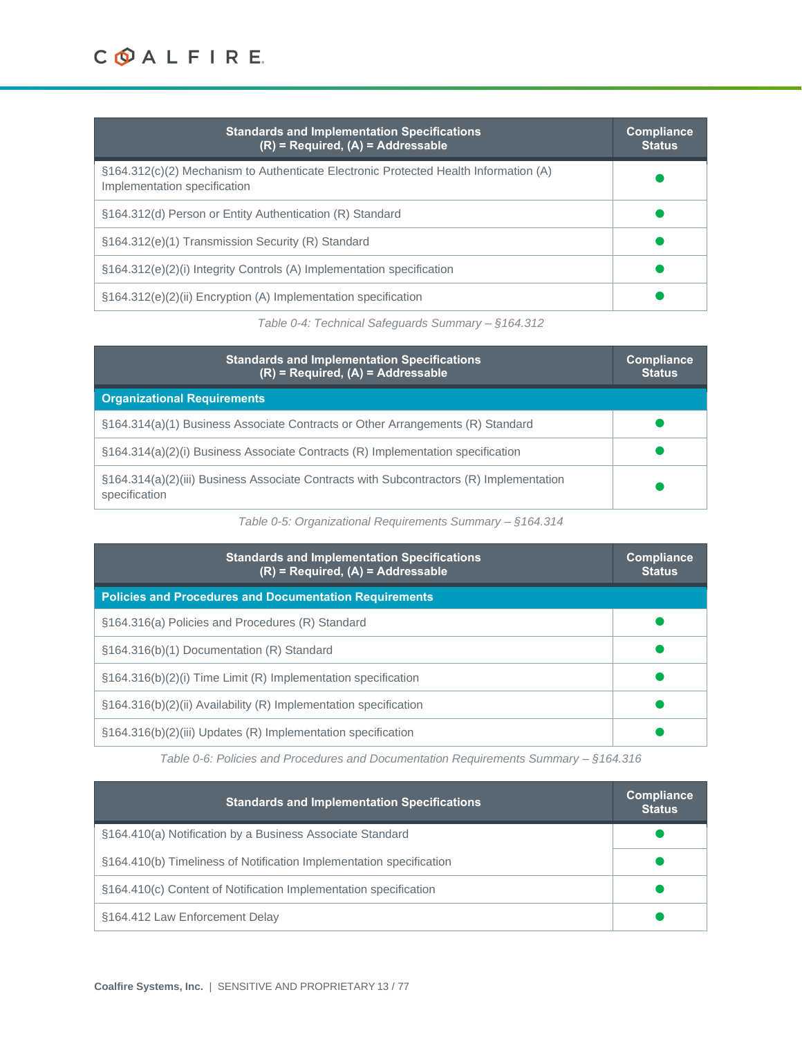| <b>Standards and Implementation Specifications</b><br>$(R)$ = Required, $(A)$ = Addressable                          | <b>Compliance</b><br><b>Status</b> |
|----------------------------------------------------------------------------------------------------------------------|------------------------------------|
| §164.312(c)(2) Mechanism to Authenticate Electronic Protected Health Information (A)<br>Implementation specification |                                    |
| §164.312(d) Person or Entity Authentication (R) Standard                                                             |                                    |
| §164.312(e)(1) Transmission Security (R) Standard                                                                    |                                    |
| §164.312(e)(2)(i) Integrity Controls (A) Implementation specification                                                |                                    |
| $\S164.312(e)(2)(ii)$ Encryption (A) Implementation specification                                                    |                                    |

*Table 0-4: Technical Safeguards Summary – §164.312*

| <b>Standards and Implementation Specifications</b><br>$(R)$ = Required, $(A)$ = Addressable                  | <b>Compliance</b><br><b>Status</b> |
|--------------------------------------------------------------------------------------------------------------|------------------------------------|
| <b>Organizational Requirements</b>                                                                           |                                    |
| §164.314(a)(1) Business Associate Contracts or Other Arrangements (R) Standard                               |                                    |
| §164.314(a)(2)(i) Business Associate Contracts (R) Implementation specification                              |                                    |
| $\S$ 164.314(a)(2)(iii) Business Associate Contracts with Subcontractors (R) Implementation<br>specification |                                    |

*Table 0-5: Organizational Requirements Summary – §164.314*

| <b>Standards and Implementation Specifications</b><br>$(R)$ = Required, $(A)$ = Addressable | <b>Compliance</b><br><b>Status</b> |
|---------------------------------------------------------------------------------------------|------------------------------------|
| <b>Policies and Procedures and Documentation Requirements</b>                               |                                    |
| §164.316(a) Policies and Procedures (R) Standard                                            |                                    |
| §164.316(b)(1) Documentation (R) Standard                                                   |                                    |
| $\S164.316(b)(2)(i)$ Time Limit (R) Implementation specification                            |                                    |
| §164.316(b)(2)(ii) Availability (R) Implementation specification                            |                                    |
| §164.316(b)(2)(iii) Updates (R) Implementation specification                                |                                    |

*Table 0-6: Policies and Procedures and Documentation Requirements Summary – §164.316*

| <b>Standards and Implementation Specifications</b>                  | <b>Compliance</b><br><b>Status</b> |
|---------------------------------------------------------------------|------------------------------------|
| §164.410(a) Notification by a Business Associate Standard           |                                    |
| §164.410(b) Timeliness of Notification Implementation specification |                                    |
| §164.410(c) Content of Notification Implementation specification    |                                    |
| §164.412 Law Enforcement Delay                                      |                                    |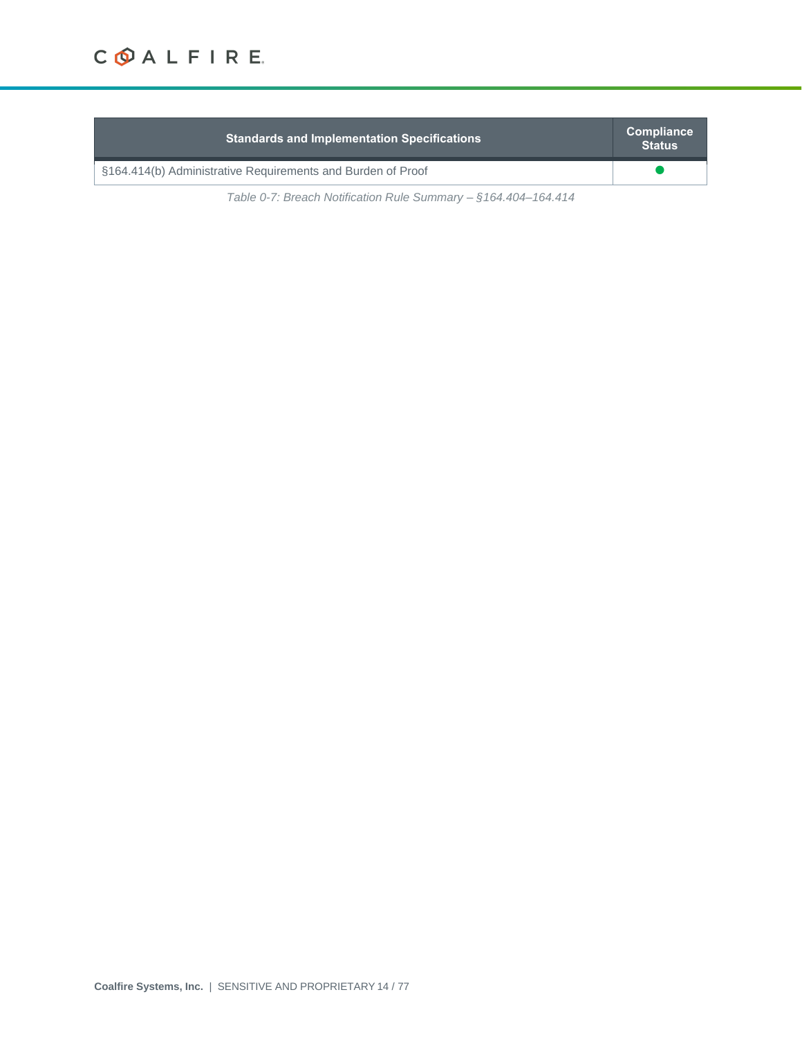| <b>Standards and Implementation Specifications</b>          | Compliance<br><b>Status</b> |
|-------------------------------------------------------------|-----------------------------|
| §164.414(b) Administrative Requirements and Burden of Proof |                             |

*Table 0-7: Breach Notification Rule Summary – §164.404–164.414*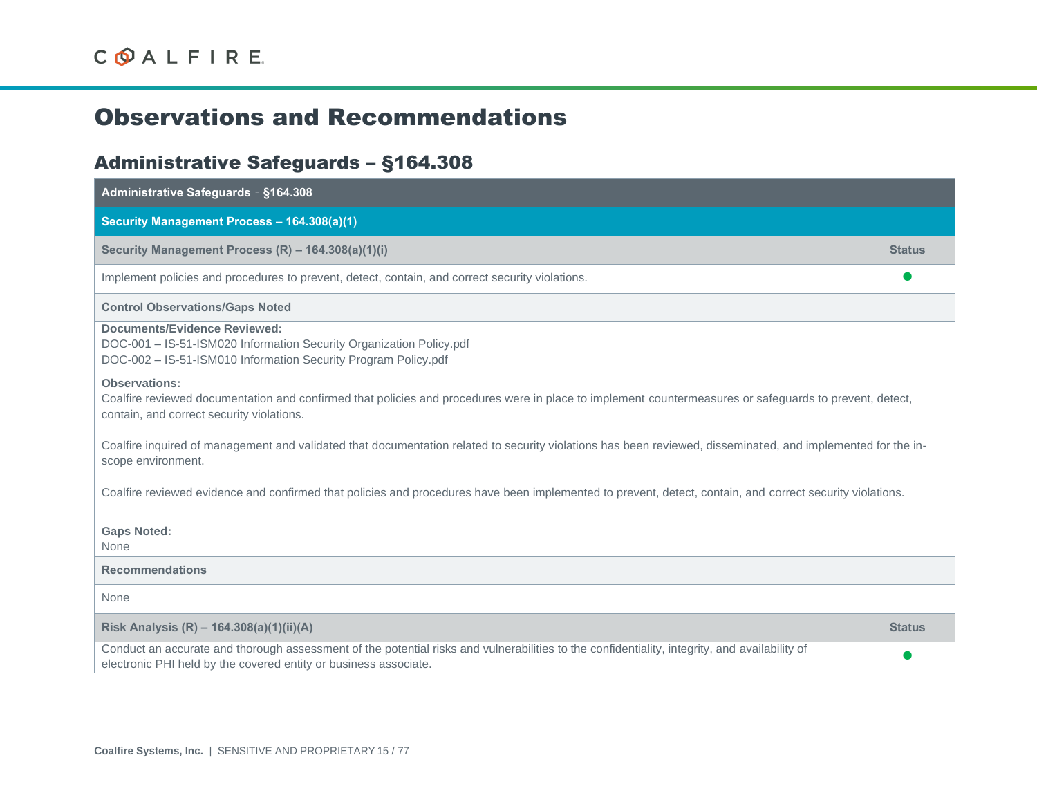# Observations and Recommendations

### Administrative Safeguards – §164.308

| Administrative Safeguards - §164.308                                                                                                                                                                                         |               |
|------------------------------------------------------------------------------------------------------------------------------------------------------------------------------------------------------------------------------|---------------|
| Security Management Process - 164.308(a)(1)                                                                                                                                                                                  |               |
| Security Management Process (R) - 164.308(a)(1)(i)                                                                                                                                                                           | <b>Status</b> |
| Implement policies and procedures to prevent, detect, contain, and correct security violations.                                                                                                                              |               |
| <b>Control Observations/Gaps Noted</b>                                                                                                                                                                                       |               |
| <b>Documents/Evidence Reviewed:</b><br>DOC-001 - IS-51-ISM020 Information Security Organization Policy.pdf<br>DOC-002 - IS-51-ISM010 Information Security Program Policy.pdf                                                 |               |
| <b>Observations:</b><br>Coalfire reviewed documentation and confirmed that policies and procedures were in place to implement countermeasures or safeguards to prevent, detect,<br>contain, and correct security violations. |               |
| Coalfire inquired of management and validated that documentation related to security violations has been reviewed, disseminated, and implemented for the in-<br>scope environment.                                           |               |
| Coalfire reviewed evidence and confirmed that policies and procedures have been implemented to prevent, detect, contain, and correct security violations.                                                                    |               |
| <b>Gaps Noted:</b><br>None                                                                                                                                                                                                   |               |
| <b>Recommendations</b>                                                                                                                                                                                                       |               |
| None                                                                                                                                                                                                                         |               |
| Risk Analysis (R) - 164.308(a)(1)(ii)(A)                                                                                                                                                                                     | <b>Status</b> |
| Conduct an accurate and thorough assessment of the potential risks and vulnerabilities to the confidentiality, integrity, and availability of<br>electronic PHI held by the covered entity or business associate.            |               |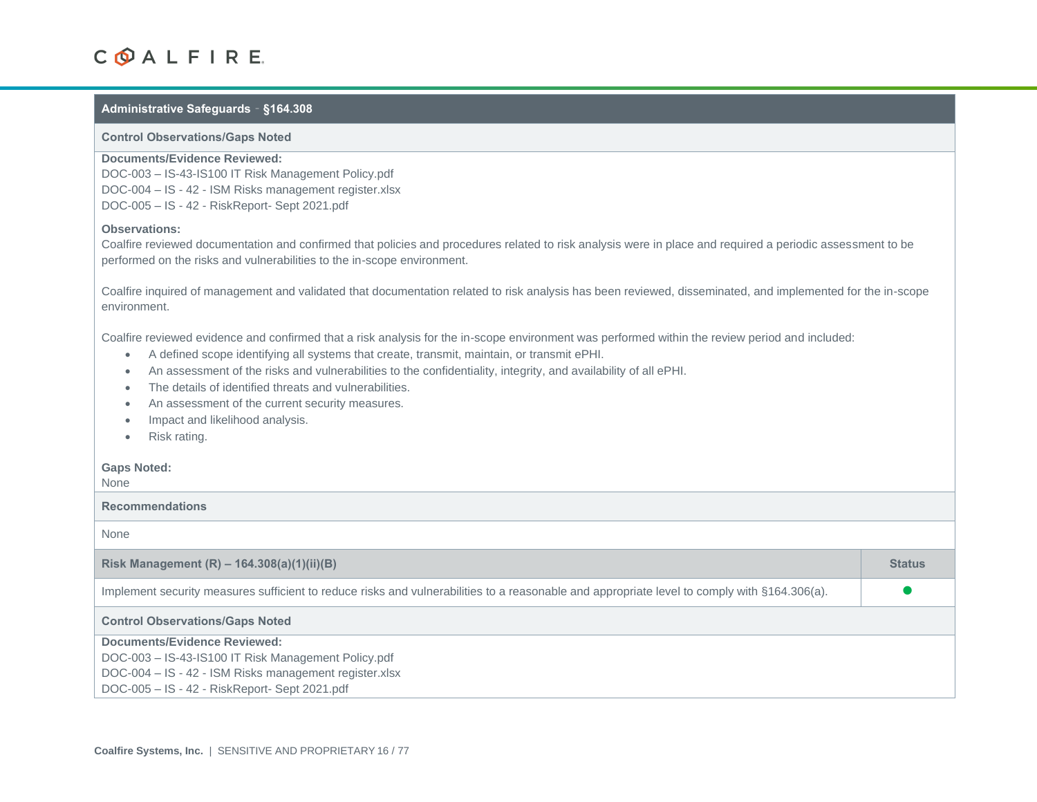#### **Administrative Safeguards** – **§164.308**

#### **Control Observations/Gaps Noted**

#### **Documents/Evidence Reviewed:**

DOC-003 – IS-43-IS100 IT Risk Management Policy.pdf DOC-004 – IS - 42 - ISM Risks management register.xlsx DOC-005 – IS - 42 - RiskReport- Sept 2021.pdf

#### **Observations:**

Coalfire reviewed documentation and confirmed that policies and procedures related to risk analysis were in place and required a periodic assessment to be performed on the risks and vulnerabilities to the in-scope environment.

Coalfire inquired of management and validated that documentation related to risk analysis has been reviewed, disseminated, and implemented for the in-scope environment.

Coalfire reviewed evidence and confirmed that a risk analysis for the in-scope environment was performed within the review period and included:

- A defined scope identifying all systems that create, transmit, maintain, or transmit ePHI.
- An assessment of the risks and vulnerabilities to the confidentiality, integrity, and availability of all ePHI.
- The details of identified threats and vulnerabilities.
- An assessment of the current security measures.
- Impact and likelihood analysis.
- Risk rating.

#### **Gaps Noted:**

None

#### **Recommendations**

None

| Risk Management $(R)$ – 164.308(a)(1)(ii)(B)                                                                                                 | <b>Status</b> |
|----------------------------------------------------------------------------------------------------------------------------------------------|---------------|
| Implement security measures sufficient to reduce risks and vulnerabilities to a reasonable and appropriate level to comply with §164.306(a). |               |
| <b>Control Observations/Gaps Noted</b>                                                                                                       |               |
| Documents/Evidence Reviewed:                                                                                                                 |               |
| DOC-003 - IS-43-IS100 IT Risk Management Policy.pdf                                                                                          |               |
| DOC-004 - IS - 42 - ISM Risks management register.xlsx                                                                                       |               |
| DOC-005 - IS - 42 - RiskReport- Sept 2021.pdf                                                                                                |               |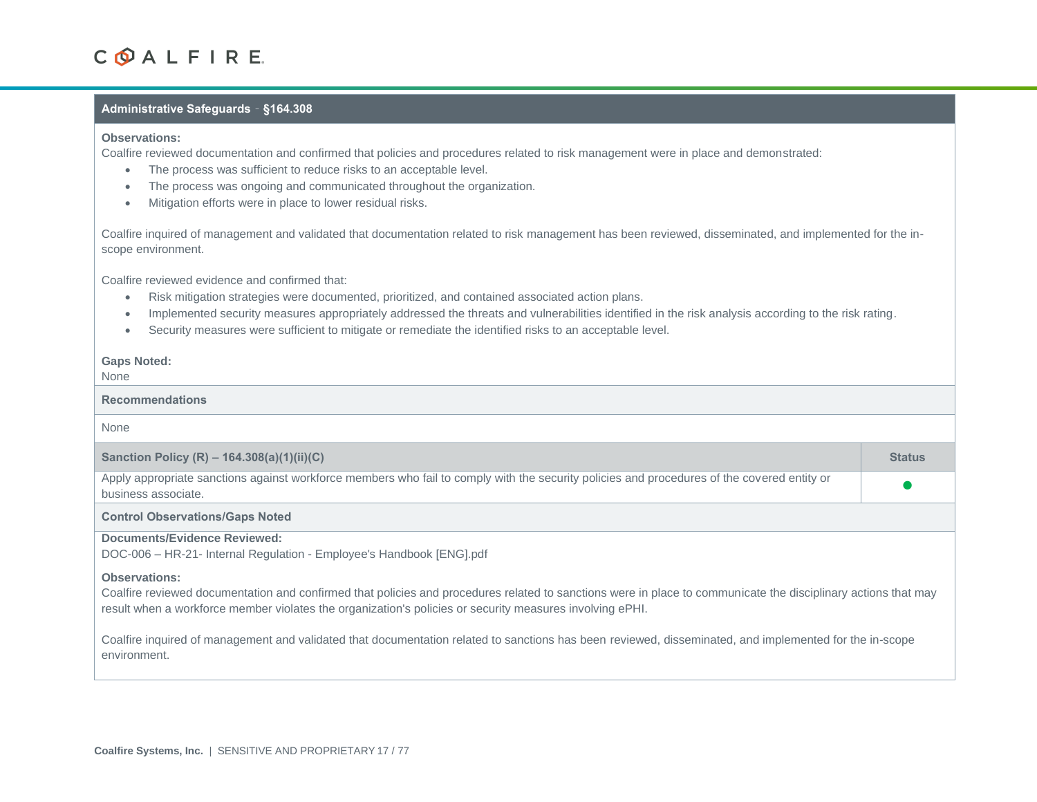#### **Administrative Safeguards** – **§164.308**

#### **Observations:**

Coalfire reviewed documentation and confirmed that policies and procedures related to risk management were in place and demonstrated:

- The process was sufficient to reduce risks to an acceptable level.
- The process was ongoing and communicated throughout the organization.
- Mitigation efforts were in place to lower residual risks.

Coalfire inquired of management and validated that documentation related to risk management has been reviewed, disseminated, and implemented for the inscope environment.

Coalfire reviewed evidence and confirmed that:

- Risk mitigation strategies were documented, prioritized, and contained associated action plans.
- Implemented security measures appropriately addressed the threats and vulnerabilities identified in the risk analysis according to the risk rating.
- Security measures were sufficient to mitigate or remediate the identified risks to an acceptable level.

#### **Gaps Noted:**

#### None

#### **Recommendations**

None

| Sanction Policy (R) – $164.308(a)(1)(ii)(C)$                                                                                                                       | <b>Status</b> |
|--------------------------------------------------------------------------------------------------------------------------------------------------------------------|---------------|
| Apply appropriate sanctions against workforce members who fail to comply with the security policies and procedures of the covered entity or<br>business associate. |               |
| <b>Control Observations/Gaps Noted</b>                                                                                                                             |               |
| Documents/Evidence Reviewed:                                                                                                                                       |               |
| DOC-006 - HR-21- Internal Regulation - Employee's Handbook [ENG].pdf                                                                                               |               |
| <b>Observations:</b>                                                                                                                                               |               |

#### Coalfire reviewed documentation and confirmed that policies and procedures related to sanctions were in place to communicate the disciplinary actions that may result when a workforce member violates the organization's policies or security measures involving ePHI.

Coalfire inquired of management and validated that documentation related to sanctions has been reviewed, disseminated, and implemented for the in-scope environment.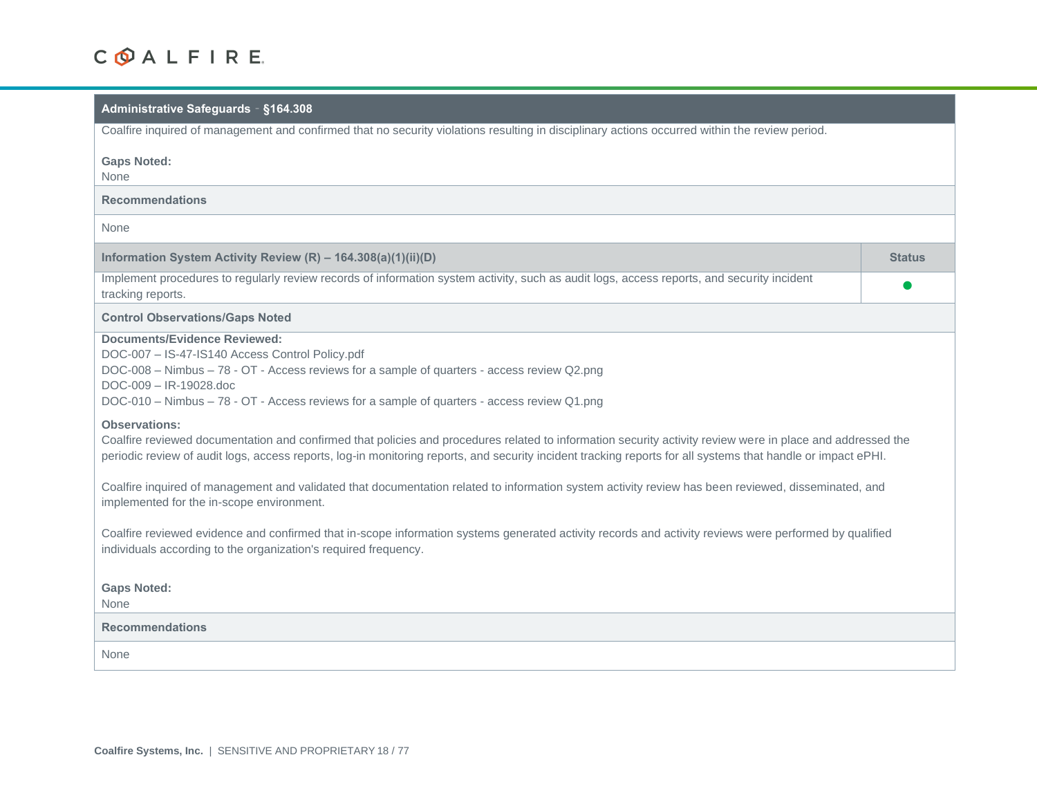#### **Administrative Safeguards** – **§164.308**

Coalfire inquired of management and confirmed that no security violations resulting in disciplinary actions occurred within the review period.

| <b>Gaps Noted:</b><br>None                                                                                                                                                                                                                                                                                                                                                                                                                                                                                |               |
|-----------------------------------------------------------------------------------------------------------------------------------------------------------------------------------------------------------------------------------------------------------------------------------------------------------------------------------------------------------------------------------------------------------------------------------------------------------------------------------------------------------|---------------|
| <b>Recommendations</b>                                                                                                                                                                                                                                                                                                                                                                                                                                                                                    |               |
| None                                                                                                                                                                                                                                                                                                                                                                                                                                                                                                      |               |
| Information System Activity Review (R) - 164.308(a)(1)(ii)(D)                                                                                                                                                                                                                                                                                                                                                                                                                                             | <b>Status</b> |
| Implement procedures to regularly review records of information system activity, such as audit logs, access reports, and security incident<br>tracking reports.                                                                                                                                                                                                                                                                                                                                           |               |
| <b>Control Observations/Gaps Noted</b>                                                                                                                                                                                                                                                                                                                                                                                                                                                                    |               |
| Documents/Evidence Reviewed:<br>DOC-007 - IS-47-IS140 Access Control Policy.pdf<br>DOC-008 - Nimbus - 78 - OT - Access reviews for a sample of quarters - access review Q2.png<br>DOC-009 - IR-19028.doc<br>DOC-010 - Nimbus - 78 - OT - Access reviews for a sample of quarters - access review Q1.png                                                                                                                                                                                                   |               |
| <b>Observations:</b><br>Coalfire reviewed documentation and confirmed that policies and procedures related to information security activity review were in place and addressed the<br>periodic review of audit logs, access reports, log-in monitoring reports, and security incident tracking reports for all systems that handle or impact ePHI.<br>Coalfire inquired of management and validated that documentation related to information system activity review has been reviewed, disseminated, and |               |
| implemented for the in-scope environment.                                                                                                                                                                                                                                                                                                                                                                                                                                                                 |               |
| Coalfire reviewed evidence and confirmed that in-scope information systems generated activity records and activity reviews were performed by qualified<br>individuals according to the organization's required frequency.                                                                                                                                                                                                                                                                                 |               |
| <b>Gaps Noted:</b><br>None                                                                                                                                                                                                                                                                                                                                                                                                                                                                                |               |
| <b>Recommendations</b>                                                                                                                                                                                                                                                                                                                                                                                                                                                                                    |               |
| None                                                                                                                                                                                                                                                                                                                                                                                                                                                                                                      |               |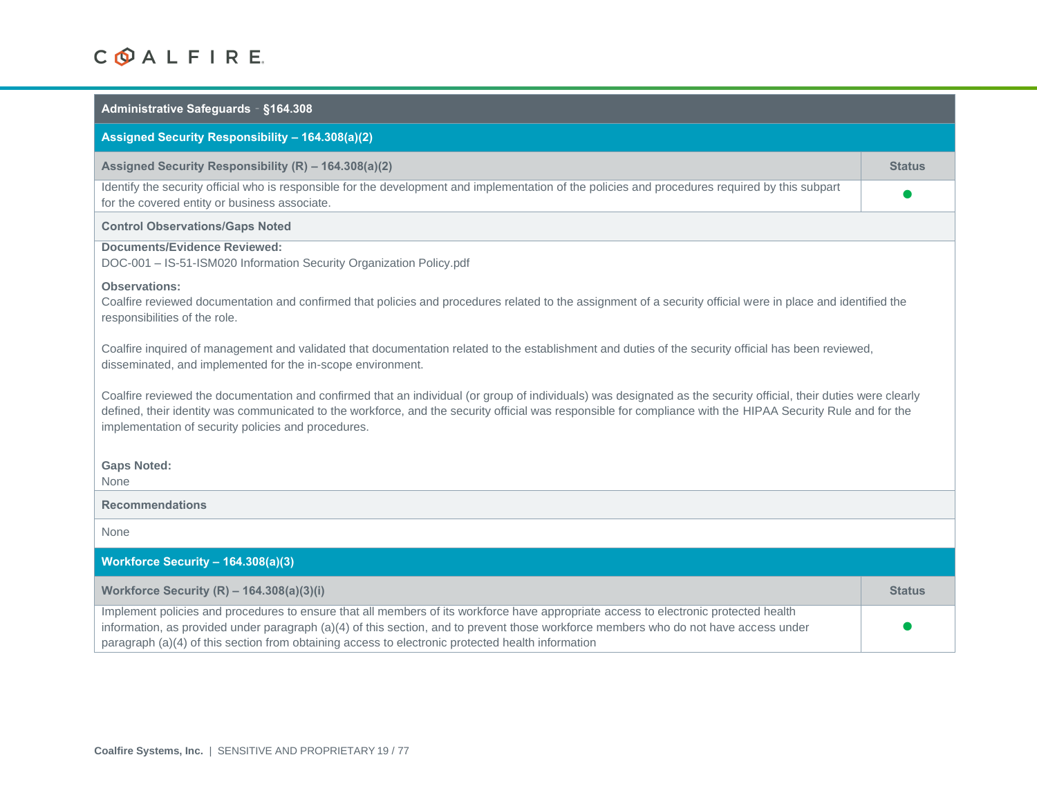| Administrative Safeguards - §164.308                                                                                                                                                                                                                                                                                                                                                     |               |
|------------------------------------------------------------------------------------------------------------------------------------------------------------------------------------------------------------------------------------------------------------------------------------------------------------------------------------------------------------------------------------------|---------------|
| Assigned Security Responsibility - 164.308(a)(2)                                                                                                                                                                                                                                                                                                                                         |               |
| Assigned Security Responsibility (R) - 164.308(a)(2)                                                                                                                                                                                                                                                                                                                                     | <b>Status</b> |
| Identify the security official who is responsible for the development and implementation of the policies and procedures required by this subpart<br>for the covered entity or business associate.                                                                                                                                                                                        |               |
| <b>Control Observations/Gaps Noted</b>                                                                                                                                                                                                                                                                                                                                                   |               |
| <b>Documents/Evidence Reviewed:</b><br>DOC-001 - IS-51-ISM020 Information Security Organization Policy.pdf                                                                                                                                                                                                                                                                               |               |
| <b>Observations:</b><br>Coalfire reviewed documentation and confirmed that policies and procedures related to the assignment of a security official were in place and identified the<br>responsibilities of the role.                                                                                                                                                                    |               |
| Coalfire inquired of management and validated that documentation related to the establishment and duties of the security official has been reviewed,<br>disseminated, and implemented for the in-scope environment.                                                                                                                                                                      |               |
| Coalfire reviewed the documentation and confirmed that an individual (or group of individuals) was designated as the security official, their duties were clearly<br>defined, their identity was communicated to the workforce, and the security official was responsible for compliance with the HIPAA Security Rule and for the<br>implementation of security policies and procedures. |               |
| <b>Gaps Noted:</b><br>None                                                                                                                                                                                                                                                                                                                                                               |               |
| <b>Recommendations</b>                                                                                                                                                                                                                                                                                                                                                                   |               |
| <b>None</b>                                                                                                                                                                                                                                                                                                                                                                              |               |
| Workforce Security - 164.308(a)(3)                                                                                                                                                                                                                                                                                                                                                       |               |
| Workforce Security $(R)$ – 164.308(a)(3)(i)                                                                                                                                                                                                                                                                                                                                              | <b>Status</b> |
| Implement policies and procedures to ensure that all members of its workforce have appropriate access to electronic protected health<br>information, as provided under paragraph (a)(4) of this section, and to prevent those workforce members who do not have access under<br>paragraph (a)(4) of this section from obtaining access to electronic protected health information        |               |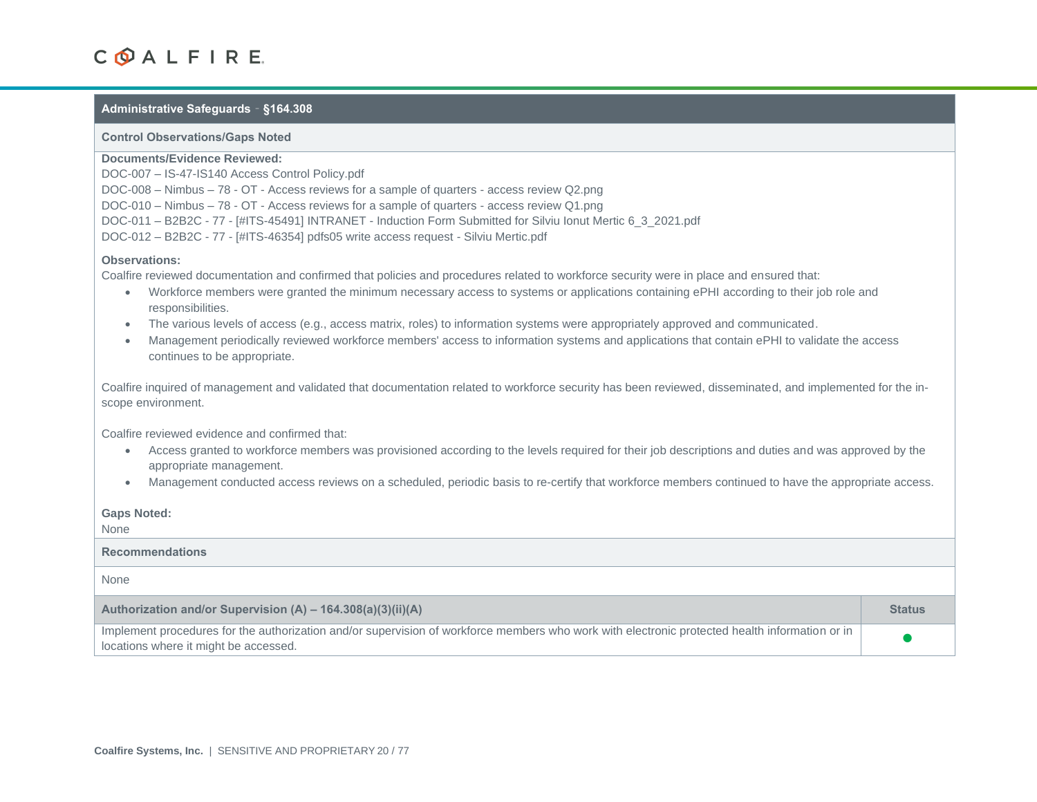#### **Administrative Safeguards** – **§164.308**

#### **Control Observations/Gaps Noted**

#### **Documents/Evidence Reviewed:**

DOC-007 – IS-47-IS140 Access Control Policy.pdf DOC-008 – Nimbus – 78 - OT - Access reviews for a sample of quarters - access review Q2.png DOC-010 – Nimbus – 78 - OT - Access reviews for a sample of quarters - access review Q1.png DOC-011 – B2B2C - 77 - [#ITS-45491] INTRANET - Induction Form Submitted for Silviu Ionut Mertic 6\_3\_2021.pdf DOC-012 – B2B2C - 77 - [#ITS-46354] pdfs05 write access request - Silviu Mertic.pdf

#### **Observations:**

Coalfire reviewed documentation and confirmed that policies and procedures related to workforce security were in place and ensured that:

- Workforce members were granted the minimum necessary access to systems or applications containing ePHI according to their job role and responsibilities.
- The various levels of access (e.g., access matrix, roles) to information systems were appropriately approved and communicated.
- Management periodically reviewed workforce members' access to information systems and applications that contain ePHI to validate the access continues to be appropriate.

Coalfire inquired of management and validated that documentation related to workforce security has been reviewed, disseminated, and implemented for the inscope environment.

Coalfire reviewed evidence and confirmed that:

- Access granted to workforce members was provisioned according to the levels required for their job descriptions and duties and was approved by the appropriate management.
- Management conducted access reviews on a scheduled, periodic basis to re-certify that workforce members continued to have the appropriate access.

#### **Gaps Noted:**

None **Recommendations** None **Authorization and/or Supervision (A) – 164.308(a)(3)(ii)(A) Status** Implement procedures for the authorization and/or supervision of workforce members who work with electronic protected health information or in **ORIC CONTENT CONTENT CONTENT CONTENT CONTENT** CONTENT CONTENT CONTENT CONTENT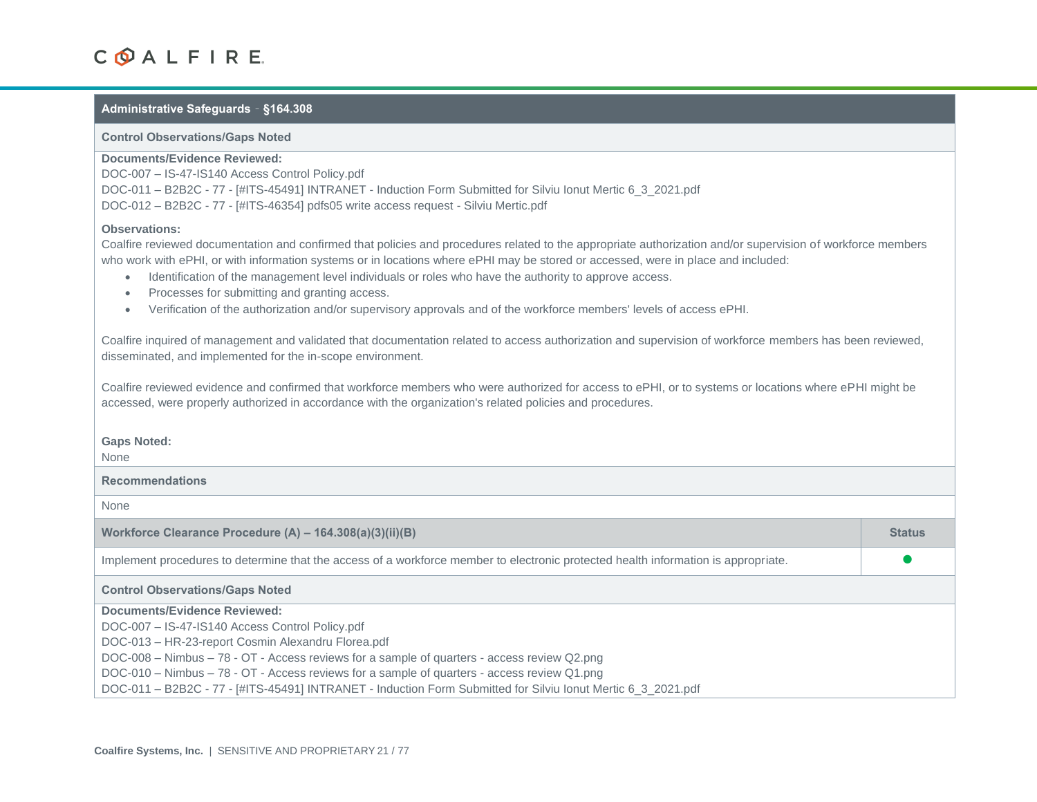#### **Administrative Safeguards** – **§164.308**

#### **Control Observations/Gaps Noted**

#### **Documents/Evidence Reviewed:**

DOC-007 – IS-47-IS140 Access Control Policy.pdf DOC-011 – B2B2C - 77 - [#ITS-45491] INTRANET - Induction Form Submitted for Silviu Ionut Mertic 6\_3\_2021.pdf DOC-012 – B2B2C - 77 - [#ITS-46354] pdfs05 write access request - Silviu Mertic.pdf

#### **Observations:**

Coalfire reviewed documentation and confirmed that policies and procedures related to the appropriate authorization and/or supervision of workforce members who work with ePHI, or with information systems or in locations where ePHI may be stored or accessed, were in place and included:

- Identification of the management level individuals or roles who have the authority to approve access.
- Processes for submitting and granting access.
- Verification of the authorization and/or supervisory approvals and of the workforce members' levels of access ePHI.

Coalfire inquired of management and validated that documentation related to access authorization and supervision of workforce members has been reviewed, disseminated, and implemented for the in-scope environment.

Coalfire reviewed evidence and confirmed that workforce members who were authorized for access to ePHI, or to systems or locations where ePHI might be accessed, were properly authorized in accordance with the organization's related policies and procedures.

#### **Gaps Noted:**

None

## **Recommendations** None **Workforce Clearance Procedure (A) – 164.308(a)(3)(ii)(B) Status** Implement procedures to determine that the access of a workforce member to electronic protected health information is appropriate. **Control Observations/Gaps Noted Documents/Evidence Reviewed:** DOC-007 – IS-47-IS140 Access Control Policy.pdf DOC-013 – HR-23-report Cosmin Alexandru Florea.pdf DOC-008 – Nimbus – 78 - OT - Access reviews for a sample of quarters - access review Q2.png

DOC-010 – Nimbus – 78 - OT - Access reviews for a sample of quarters - access review Q1.png

DOC-011 – B2B2C - 77 - [#ITS-45491] INTRANET - Induction Form Submitted for Silviu Ionut Mertic 6\_3\_2021.pdf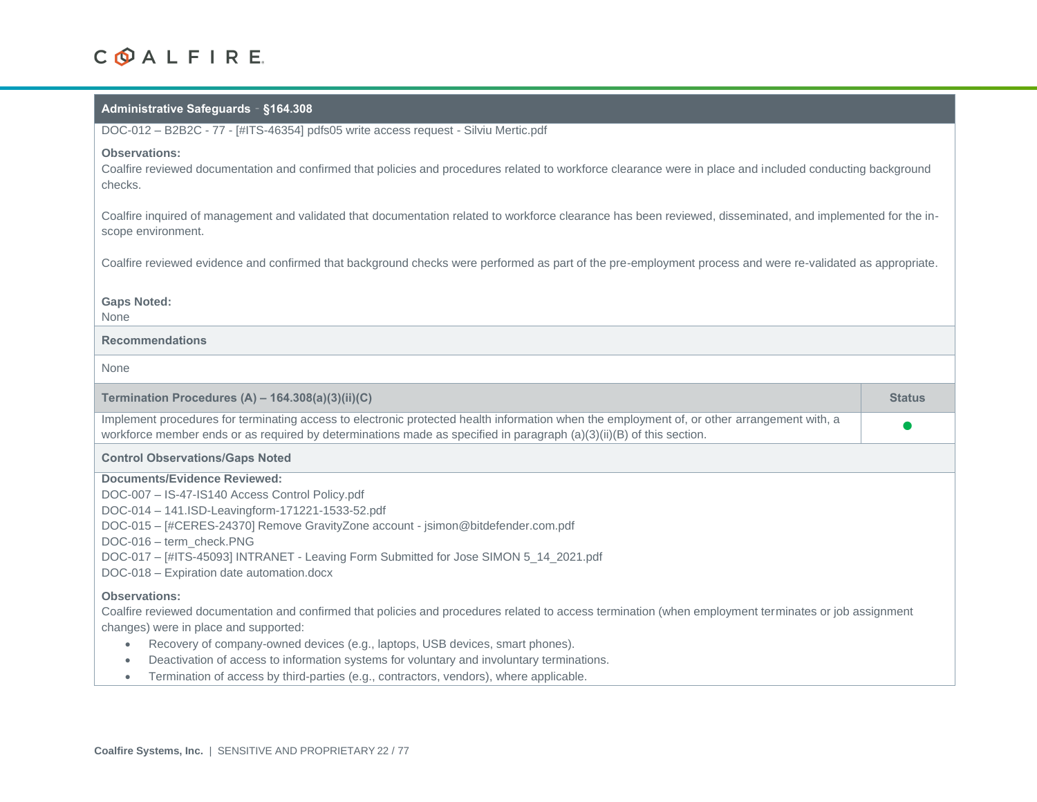#### **Administrative Safeguards** – **§164.308**

DOC-012 – B2B2C - 77 - [#ITS-46354] pdfs05 write access request - Silviu Mertic.pdf

#### **Observations:**

Coalfire reviewed documentation and confirmed that policies and procedures related to workforce clearance were in place and included conducting background checks.

Coalfire inquired of management and validated that documentation related to workforce clearance has been reviewed, disseminated, and implemented for the inscope environment.

Coalfire reviewed evidence and confirmed that background checks were performed as part of the pre-employment process and were re-validated as appropriate.

#### **Gaps Noted:**

None

#### **Recommendations**

None

| Termination Procedures (A) – 164.308(a)(3)(ii)(C)                                                                                                                                                                                                                   | <b>Status</b> |
|---------------------------------------------------------------------------------------------------------------------------------------------------------------------------------------------------------------------------------------------------------------------|---------------|
| Implement procedures for terminating access to electronic protected health information when the employment of, or other arrangement with, a<br>workforce member ends or as required by determinations made as specified in paragraph (a)(3)(ii)(B) of this section. |               |
| <b>Control Observations/Gaps Noted</b>                                                                                                                                                                                                                              |               |
| <b>Documents/Evidence Reviewed:</b>                                                                                                                                                                                                                                 |               |
| DOC-007 - IS-47-IS140 Access Control Policy.pdf                                                                                                                                                                                                                     |               |
| DOC-014 - 141.ISD-Leavingform-171221-1533-52.pdf                                                                                                                                                                                                                    |               |
| DOC-015 - [#CERES-24370] Remove GravityZone account - jsimon@bitdefender.com.pdf                                                                                                                                                                                    |               |
| DOC-016 - term check.PNG                                                                                                                                                                                                                                            |               |
| DOC-017 - [#ITS-45093] INTRANET - Leaving Form Submitted for Jose SIMON 5_14_2021.pdf                                                                                                                                                                               |               |
| DOC-018 - Expiration date automation.docx                                                                                                                                                                                                                           |               |
| <b>Observations:</b>                                                                                                                                                                                                                                                |               |
| Coalfire reviewed documentation and confirmed that policies and procedures related to access termination (when employment terminates or job assignment                                                                                                              |               |
| changes) were in place and supported:                                                                                                                                                                                                                               |               |
| Recovery of company-owned devices (e.g., laptops, USB devices, smart phones).                                                                                                                                                                                       |               |
| Deactivation of access to information systems for voluntary and involuntary terminations.                                                                                                                                                                           |               |

• Termination of access by third-parties (e.g., contractors, vendors), where applicable.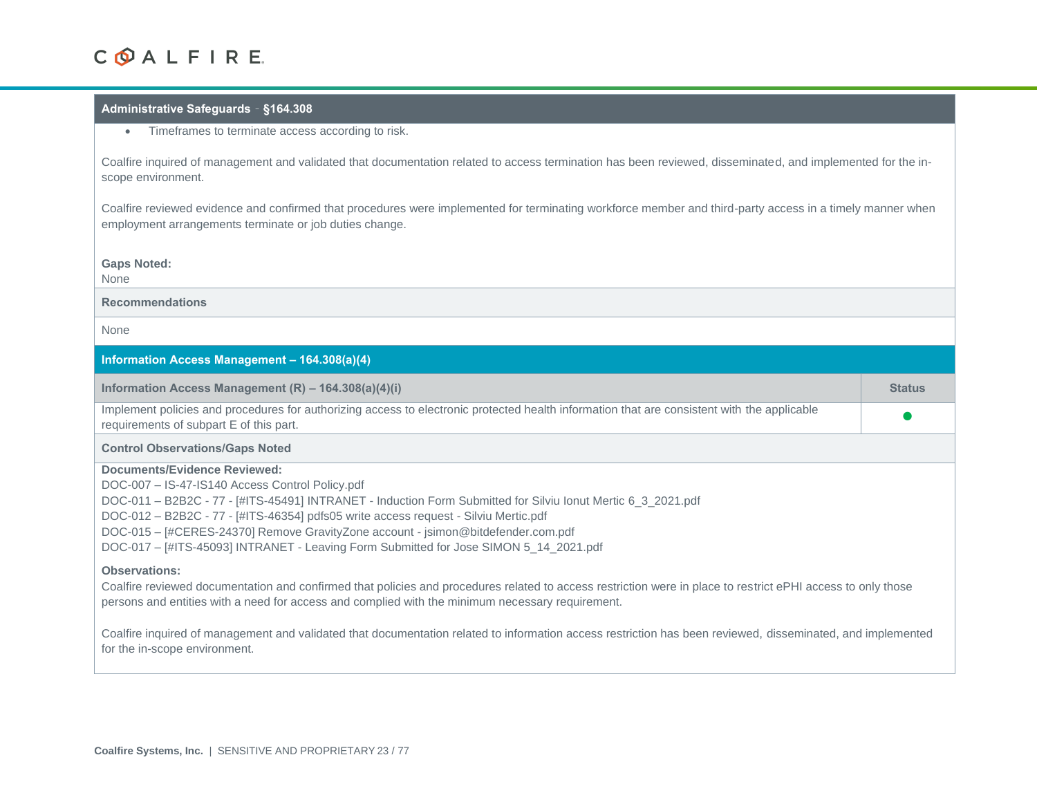#### **Administrative Safeguards** – **§164.308**

• Timeframes to terminate access according to risk.

Coalfire inquired of management and validated that documentation related to access termination has been reviewed, disseminated, and implemented for the inscope environment.

Coalfire reviewed evidence and confirmed that procedures were implemented for terminating workforce member and third-party access in a timely manner when employment arrangements terminate or job duties change.

#### **Gaps Noted:**

None

**Recommendations**

None

#### **Information Access Management – 164.308(a)(4)**

| Information Access Management $(R)$ – 164.308(a)(4)(i)                                                                                      | <b>Status</b> |
|---------------------------------------------------------------------------------------------------------------------------------------------|---------------|
| Implement policies and procedures for authorizing access to electronic protected health information that are consistent with the applicable |               |
| requirements of subpart E of this part.                                                                                                     |               |
|                                                                                                                                             |               |

#### **Control Observations/Gaps Noted**

#### **Documents/Evidence Reviewed:**

DOC-007 – IS-47-IS140 Access Control Policy.pdf

DOC-011 – B2B2C - 77 - [#ITS-45491] INTRANET - Induction Form Submitted for Silviu Ionut Mertic 6\_3\_2021.pdf

DOC-012 – B2B2C - 77 - [#ITS-46354] pdfs05 write access request - Silviu Mertic.pdf

DOC-015 – [#CERES-24370] Remove GravityZone account - jsimon@bitdefender.com.pdf

DOC-017 – [#ITS-45093] INTRANET - Leaving Form Submitted for Jose SIMON 5\_14\_2021.pdf

#### **Observations:**

Coalfire reviewed documentation and confirmed that policies and procedures related to access restriction were in place to restrict ePHI access to only those persons and entities with a need for access and complied with the minimum necessary requirement.

Coalfire inquired of management and validated that documentation related to information access restriction has been reviewed, disseminated, and implemented for the in-scope environment.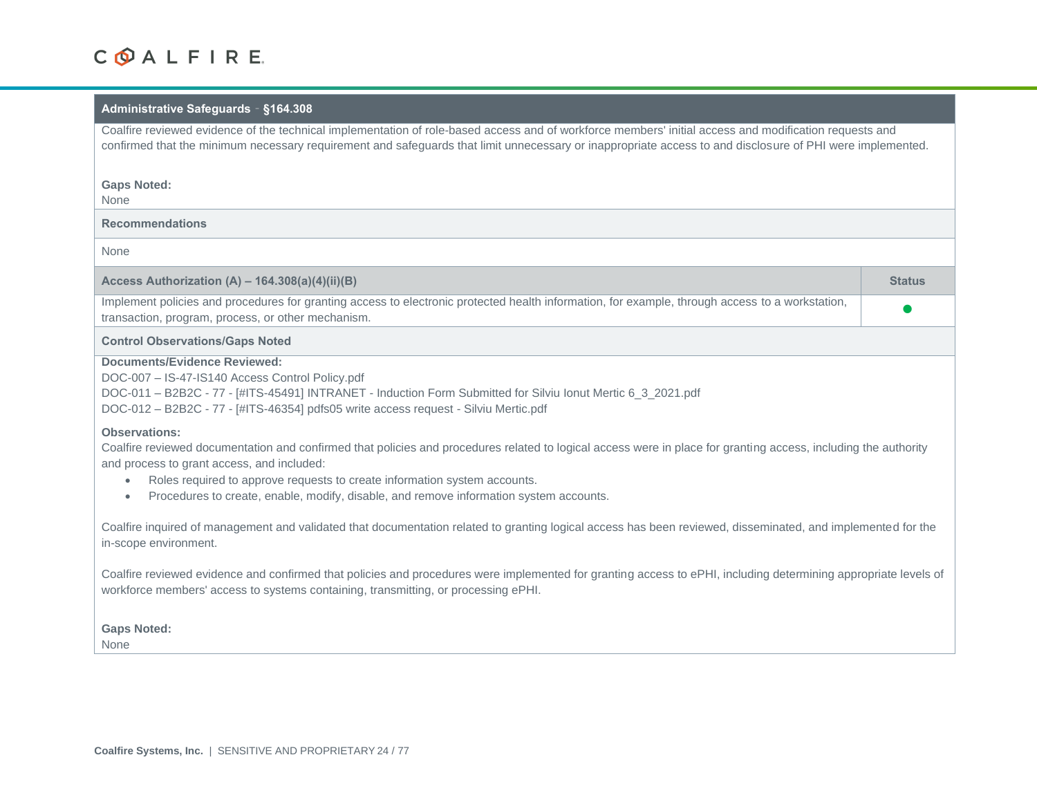#### **Administrative Safeguards** – **§164.308**

Coalfire reviewed evidence of the technical implementation of role-based access and of workforce members' initial access and modification requests and confirmed that the minimum necessary requirement and safeguards that limit unnecessary or inappropriate access to and disclosure of PHI were implemented.

#### **Gaps Noted:**

None

#### **Recommendations**

None

| Access Authorization $(A)$ – 164.308(a)(4)(ii)(B)                                                                                               | <b>Status</b> |
|-------------------------------------------------------------------------------------------------------------------------------------------------|---------------|
| Implement policies and procedures for granting access to electronic protected health information, for example, through access to a workstation, |               |
| transaction, program, process, or other mechanism.                                                                                              |               |
|                                                                                                                                                 |               |

#### **Control Observations/Gaps Noted**

#### **Documents/Evidence Reviewed:**

DOC-007 – IS-47-IS140 Access Control Policy.pdf DOC-011 – B2B2C - 77 - [#ITS-45491] INTRANET - Induction Form Submitted for Silviu Ionut Mertic 6\_3\_2021.pdf DOC-012 – B2B2C - 77 - [#ITS-46354] pdfs05 write access request - Silviu Mertic.pdf

#### **Observations:**

Coalfire reviewed documentation and confirmed that policies and procedures related to logical access were in place for granting access, including the authority and process to grant access, and included:

- Roles required to approve requests to create information system accounts.
- Procedures to create, enable, modify, disable, and remove information system accounts.

Coalfire inquired of management and validated that documentation related to granting logical access has been reviewed, disseminated, and implemented for the in-scope environment.

Coalfire reviewed evidence and confirmed that policies and procedures were implemented for granting access to ePHI, including determining appropriate levels of workforce members' access to systems containing, transmitting, or processing ePHI.

#### **Gaps Noted:**

None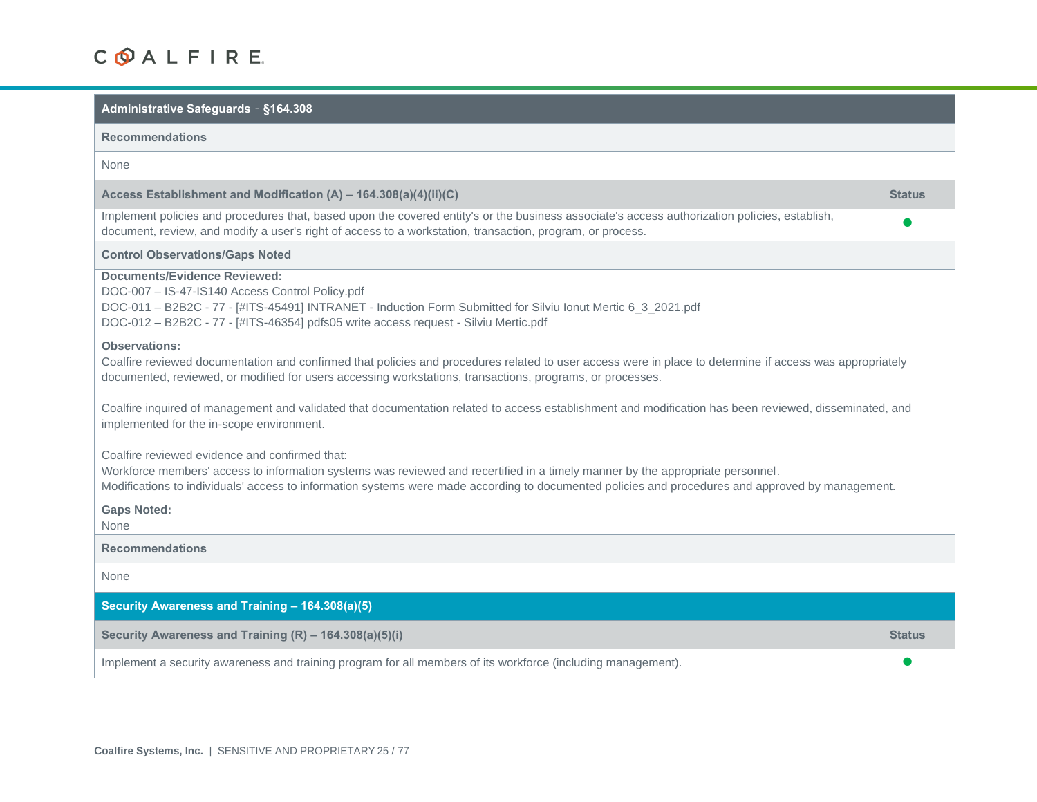| Administrative Safeguards - §164.308 |  |
|--------------------------------------|--|
|                                      |  |

| <b>Recommendations</b>                                                                                                                                                                                                                                                                                                                |               |
|---------------------------------------------------------------------------------------------------------------------------------------------------------------------------------------------------------------------------------------------------------------------------------------------------------------------------------------|---------------|
| <b>None</b>                                                                                                                                                                                                                                                                                                                           |               |
| Access Establishment and Modification (A) - 164.308(a)(4)(ii)(C)                                                                                                                                                                                                                                                                      | <b>Status</b> |
| Implement policies and procedures that, based upon the covered entity's or the business associate's access authorization policies, establish,<br>document, review, and modify a user's right of access to a workstation, transaction, program, or process.                                                                            |               |
| <b>Control Observations/Gaps Noted</b>                                                                                                                                                                                                                                                                                                |               |
| <b>Documents/Evidence Reviewed:</b><br>DOC-007 - IS-47-IS140 Access Control Policy.pdf<br>DOC-011 - B2B2C - 77 - [#ITS-45491] INTRANET - Induction Form Submitted for Silviu lonut Mertic 6_3_2021.pdf<br>DOC-012 - B2B2C - 77 - [#ITS-46354] pdfs05 write access request - Silviu Mertic.pdf                                         |               |
| <b>Observations:</b><br>Coalfire reviewed documentation and confirmed that policies and procedures related to user access were in place to determine if access was appropriately<br>documented, reviewed, or modified for users accessing workstations, transactions, programs, or processes.                                         |               |
| Coalfire inquired of management and validated that documentation related to access establishment and modification has been reviewed, disseminated, and<br>implemented for the in-scope environment.                                                                                                                                   |               |
| Coalfire reviewed evidence and confirmed that:<br>Workforce members' access to information systems was reviewed and recertified in a timely manner by the appropriate personnel.<br>Modifications to individuals' access to information systems were made according to documented policies and procedures and approved by management. |               |
| <b>Gaps Noted:</b><br>None                                                                                                                                                                                                                                                                                                            |               |
| <b>Recommendations</b>                                                                                                                                                                                                                                                                                                                |               |
| <b>None</b>                                                                                                                                                                                                                                                                                                                           |               |
| Security Awareness and Training - 164.308(a)(5)                                                                                                                                                                                                                                                                                       |               |
| Security Awareness and Training (R) - 164.308(a)(5)(i)                                                                                                                                                                                                                                                                                | <b>Status</b> |
| Implement a security awareness and training program for all members of its workforce (including management).                                                                                                                                                                                                                          |               |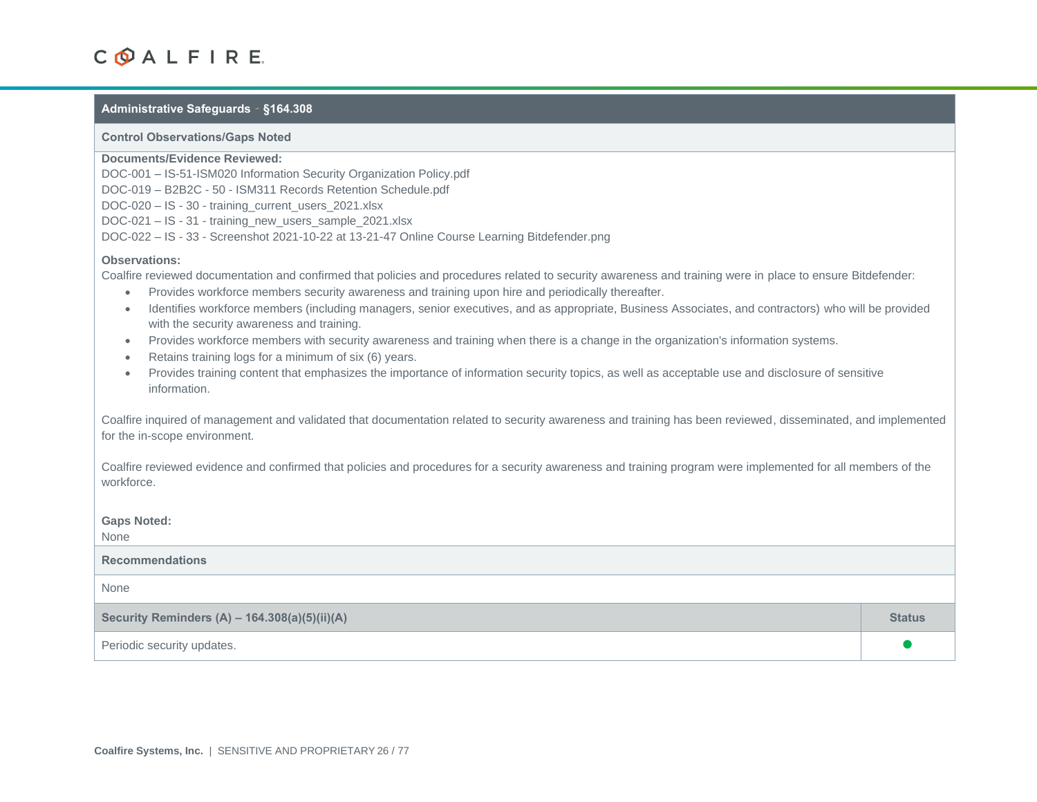#### **Administrative Safeguards** – **§164.308**

#### **Control Observations/Gaps Noted**

#### **Documents/Evidence Reviewed:**

DOC-001 – IS-51-ISM020 Information Security Organization Policy.pdf DOC-019 – B2B2C - 50 - ISM311 Records Retention Schedule.pdf DOC-020 – IS - 30 - training\_current\_users\_2021.xlsx DOC-021 – IS - 31 - training\_new\_users\_sample\_2021.xlsx DOC-022 – IS - 33 - Screenshot 2021-10-22 at 13-21-47 Online Course Learning Bitdefender.png

#### **Observations:**

Coalfire reviewed documentation and confirmed that policies and procedures related to security awareness and training were in place to ensure Bitdefender:

- Provides workforce members security awareness and training upon hire and periodically thereafter.
- Identifies workforce members (including managers, senior executives, and as appropriate, Business Associates, and contractors) who will be provided with the security awareness and training.
- Provides workforce members with security awareness and training when there is a change in the organization's information systems.
- Retains training logs for a minimum of six (6) years.
- Provides training content that emphasizes the importance of information security topics, as well as acceptable use and disclosure of sensitive information.

Coalfire inquired of management and validated that documentation related to security awareness and training has been reviewed, disseminated, and implemented for the in-scope environment.

Coalfire reviewed evidence and confirmed that policies and procedures for a security awareness and training program were implemented for all members of the workforce.

| <b>Gaps Noted:</b><br>None                    |               |
|-----------------------------------------------|---------------|
| <b>Recommendations</b>                        |               |
| None                                          |               |
| Security Reminders (A) - 164.308(a)(5)(ii)(A) | <b>Status</b> |
| Periodic security updates.                    |               |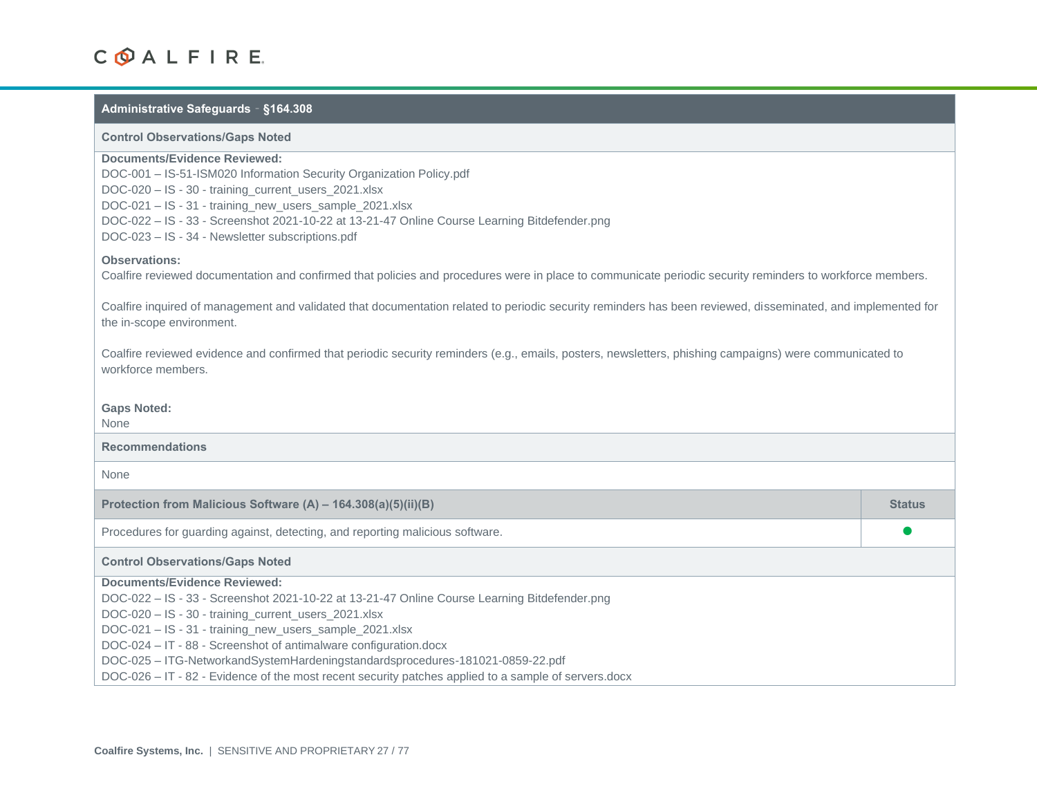#### **Administrative Safeguards** – **§164.308**

#### **Control Observations/Gaps Noted**

#### **Documents/Evidence Reviewed:**

DOC-001 – IS-51-ISM020 Information Security Organization Policy.pdf DOC-020 – IS - 30 - training\_current\_users\_2021.xlsx

DOC-021 – IS - 31 - training\_new\_users\_sample\_2021.xlsx

- DOC-022 IS 33 Screenshot 2021-10-22 at 13-21-47 Online Course Learning Bitdefender.png
- DOC-023 IS 34 Newsletter subscriptions.pdf

#### **Observations:**

Coalfire reviewed documentation and confirmed that policies and procedures were in place to communicate periodic security reminders to workforce members.

Coalfire inquired of management and validated that documentation related to periodic security reminders has been reviewed, disseminated, and implemented for the in-scope environment.

Coalfire reviewed evidence and confirmed that periodic security reminders (e.g., emails, posters, newsletters, phishing campaigns) were communicated to workforce members.

#### **Gaps Noted:**

None

**Recommendations**

None

| Protection from Malicious Software (A) - 164.308(a)(5)(ii)(B)                                        | <b>Status</b> |
|------------------------------------------------------------------------------------------------------|---------------|
| Procedures for guarding against, detecting, and reporting malicious software.                        |               |
| <b>Control Observations/Gaps Noted</b>                                                               |               |
| Documents/Evidence Reviewed:                                                                         |               |
| DOC-022 - IS - 33 - Screenshot 2021-10-22 at 13-21-47 Online Course Learning Bitdefender.png         |               |
| DOC-020 - IS - 30 - training_current_users_2021.xlsx                                                 |               |
| DOC-021 - IS - 31 - training_new_users_sample_2021.xlsx                                              |               |
| DOC-024 - IT - 88 - Screenshot of antimalware configuration.docx                                     |               |
| DOC-025 - ITG-NetworkandSystemHardeningstandardsprocedures-181021-0859-22.pdf                        |               |
| DOC-026 - IT - 82 - Evidence of the most recent security patches applied to a sample of servers.docx |               |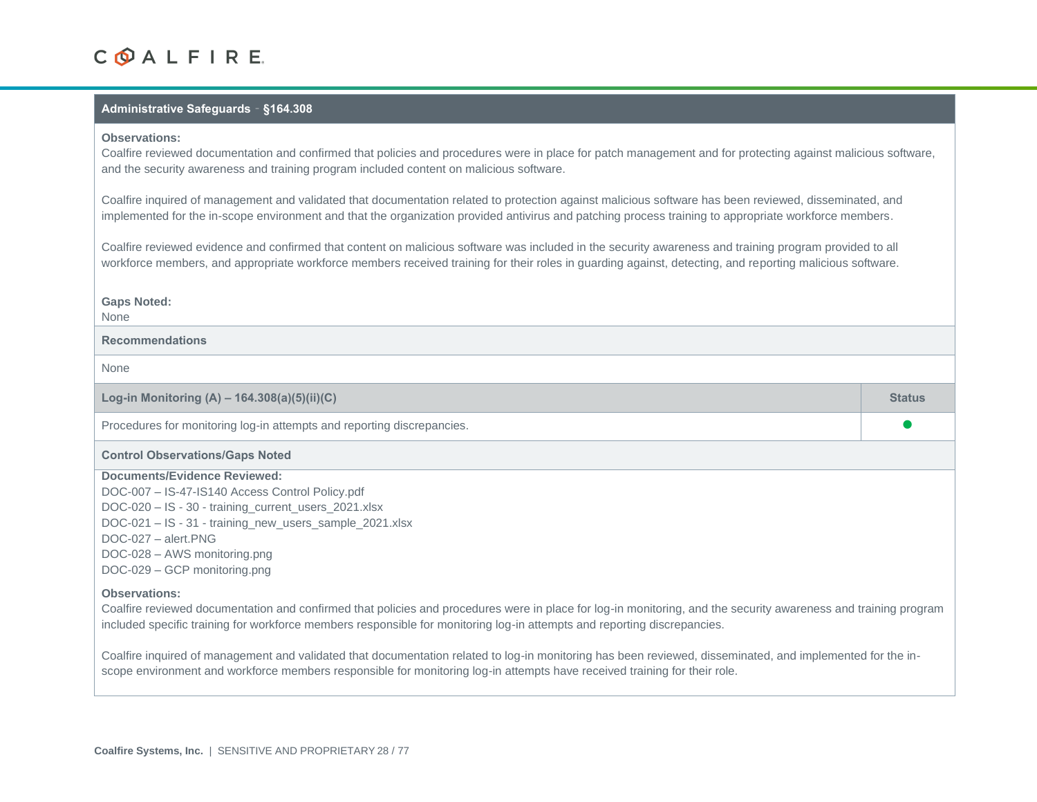#### **Administrative Safeguards** – **§164.308**

#### **Observations:**

Coalfire reviewed documentation and confirmed that policies and procedures were in place for patch management and for protecting against malicious software, and the security awareness and training program included content on malicious software.

Coalfire inquired of management and validated that documentation related to protection against malicious software has been reviewed, disseminated, and implemented for the in-scope environment and that the organization provided antivirus and patching process training to appropriate workforce members.

Coalfire reviewed evidence and confirmed that content on malicious software was included in the security awareness and training program provided to all workforce members, and appropriate workforce members received training for their roles in guarding against, detecting, and reporting malicious software.

**Gaps Noted:**

None

#### **Recommendations**

None

| Log-in Monitoring (A) – $164.308(a)(5)(ii)(C)$                         | <b>Status</b> |
|------------------------------------------------------------------------|---------------|
| Procedures for monitoring log-in attempts and reporting discrepancies. |               |
| <b>Control Observations/Gaps Noted</b>                                 |               |
| Documents/Evidence Reviewed:                                           |               |
| DOC-007 - IS-47-IS140 Access Control Policy.pdf                        |               |
| DOC-020 - IS - 30 - training_current_users_2021.xlsx                   |               |
| DOC-021 - IS - 31 - training new users sample 2021.xlsx                |               |
| $DOC-027 - alert.PNG$                                                  |               |

DOC-028 – AWS monitoring.png DOC-029 – GCP monitoring.png

#### **Observations:**

Coalfire reviewed documentation and confirmed that policies and procedures were in place for log-in monitoring, and the security awareness and training program included specific training for workforce members responsible for monitoring log-in attempts and reporting discrepancies.

Coalfire inquired of management and validated that documentation related to log-in monitoring has been reviewed, disseminated, and implemented for the inscope environment and workforce members responsible for monitoring log-in attempts have received training for their role.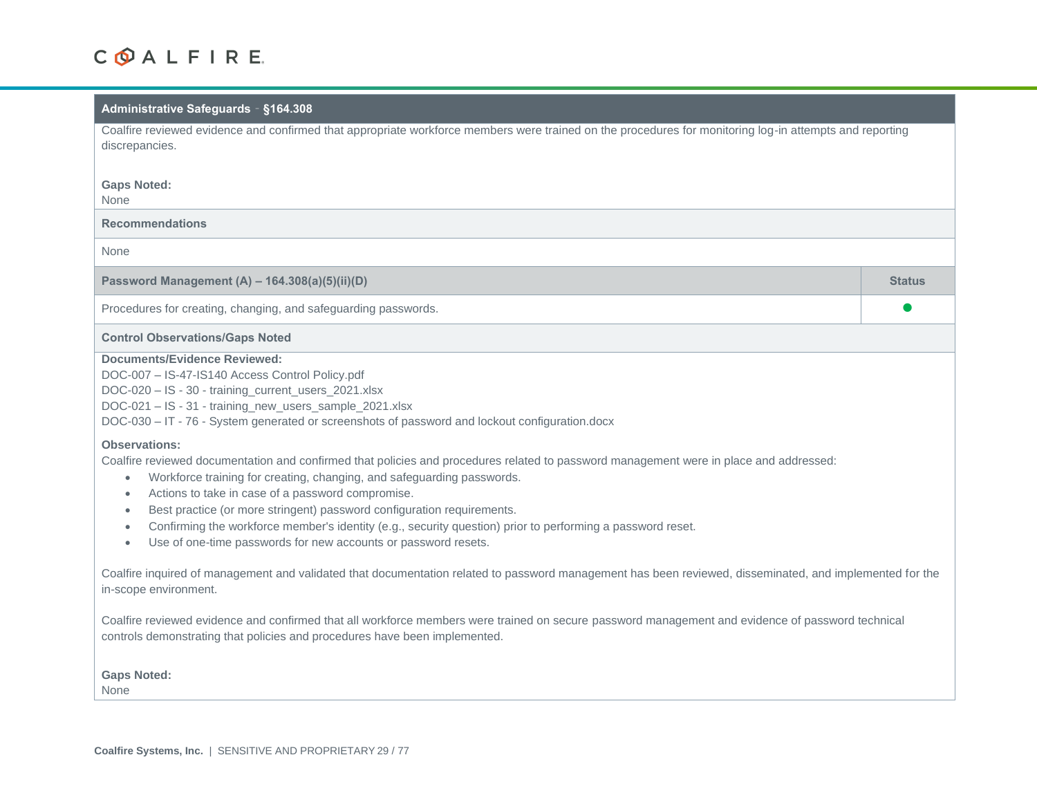#### **Administrative Safeguards** – **§164.308**

Coalfire reviewed evidence and confirmed that appropriate workforce members were trained on the procedures for monitoring log-in attempts and reporting discrepancies.

#### **Gaps Noted:**

None

#### **Recommendations**

None

#### **Password Management (A) – 164.308(a)(5)(ii)(D) Status**

Procedures for creating, changing, and safeguarding passwords.

#### **Control Observations/Gaps Noted**

#### **Documents/Evidence Reviewed:**

DOC-007 – IS-47-IS140 Access Control Policy.pdf

DOC-020 – IS - 30 - training\_current\_users\_2021.xlsx

DOC-021 – IS - 31 - training\_new\_users\_sample\_2021.xlsx

DOC-030 – IT - 76 - System generated or screenshots of password and lockout configuration.docx

#### **Observations:**

Coalfire reviewed documentation and confirmed that policies and procedures related to password management were in place and addressed:

- Workforce training for creating, changing, and safeguarding passwords.
- Actions to take in case of a password compromise.
- Best practice (or more stringent) password configuration requirements.
- Confirming the workforce member's identity (e.g., security question) prior to performing a password reset.
- Use of one-time passwords for new accounts or password resets.

Coalfire inquired of management and validated that documentation related to password management has been reviewed, disseminated, and implemented for the in-scope environment.

Coalfire reviewed evidence and confirmed that all workforce members were trained on secure password management and evidence of password technical controls demonstrating that policies and procedures have been implemented.

**Gaps Noted:**

None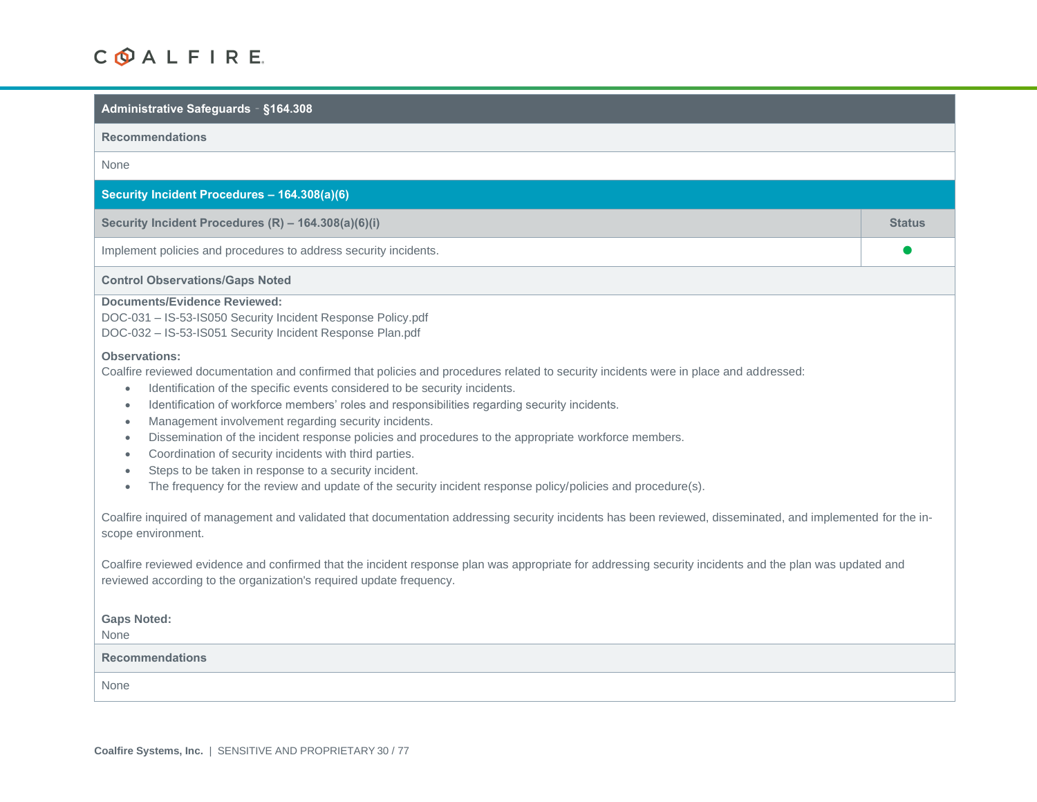| Administrative Safeguards - §164.308                                                                                                                                                                                                                                                                                                                                                                                                                                                                                                                                                                                                                                                                                                                                                                                                      |               |
|-------------------------------------------------------------------------------------------------------------------------------------------------------------------------------------------------------------------------------------------------------------------------------------------------------------------------------------------------------------------------------------------------------------------------------------------------------------------------------------------------------------------------------------------------------------------------------------------------------------------------------------------------------------------------------------------------------------------------------------------------------------------------------------------------------------------------------------------|---------------|
| <b>Recommendations</b>                                                                                                                                                                                                                                                                                                                                                                                                                                                                                                                                                                                                                                                                                                                                                                                                                    |               |
| None                                                                                                                                                                                                                                                                                                                                                                                                                                                                                                                                                                                                                                                                                                                                                                                                                                      |               |
| Security Incident Procedures - 164.308(a)(6)                                                                                                                                                                                                                                                                                                                                                                                                                                                                                                                                                                                                                                                                                                                                                                                              |               |
| Security Incident Procedures (R) - 164.308(a)(6)(i)                                                                                                                                                                                                                                                                                                                                                                                                                                                                                                                                                                                                                                                                                                                                                                                       | <b>Status</b> |
| Implement policies and procedures to address security incidents.                                                                                                                                                                                                                                                                                                                                                                                                                                                                                                                                                                                                                                                                                                                                                                          |               |
| <b>Control Observations/Gaps Noted</b>                                                                                                                                                                                                                                                                                                                                                                                                                                                                                                                                                                                                                                                                                                                                                                                                    |               |
| <b>Documents/Evidence Reviewed:</b><br>DOC-031 - IS-53-IS050 Security Incident Response Policy.pdf<br>DOC-032 - IS-53-IS051 Security Incident Response Plan.pdf                                                                                                                                                                                                                                                                                                                                                                                                                                                                                                                                                                                                                                                                           |               |
| <b>Observations:</b><br>Coalfire reviewed documentation and confirmed that policies and procedures related to security incidents were in place and addressed:<br>Identification of the specific events considered to be security incidents.<br>$\bullet$<br>Identification of workforce members' roles and responsibilities regarding security incidents.<br>$\bullet$<br>Management involvement regarding security incidents.<br>$\bullet$<br>Dissemination of the incident response policies and procedures to the appropriate workforce members.<br>$\bullet$<br>Coordination of security incidents with third parties.<br>$\bullet$<br>Steps to be taken in response to a security incident.<br>$\bullet$<br>The frequency for the review and update of the security incident response policy/policies and procedure(s).<br>$\bullet$ |               |
| Coalfire inquired of management and validated that documentation addressing security incidents has been reviewed, disseminated, and implemented for the in-<br>scope environment.                                                                                                                                                                                                                                                                                                                                                                                                                                                                                                                                                                                                                                                         |               |
| Coalfire reviewed evidence and confirmed that the incident response plan was appropriate for addressing security incidents and the plan was updated and<br>reviewed according to the organization's required update frequency.                                                                                                                                                                                                                                                                                                                                                                                                                                                                                                                                                                                                            |               |
| <b>Gaps Noted:</b><br>None                                                                                                                                                                                                                                                                                                                                                                                                                                                                                                                                                                                                                                                                                                                                                                                                                |               |
| <b>Recommendations</b>                                                                                                                                                                                                                                                                                                                                                                                                                                                                                                                                                                                                                                                                                                                                                                                                                    |               |
| None                                                                                                                                                                                                                                                                                                                                                                                                                                                                                                                                                                                                                                                                                                                                                                                                                                      |               |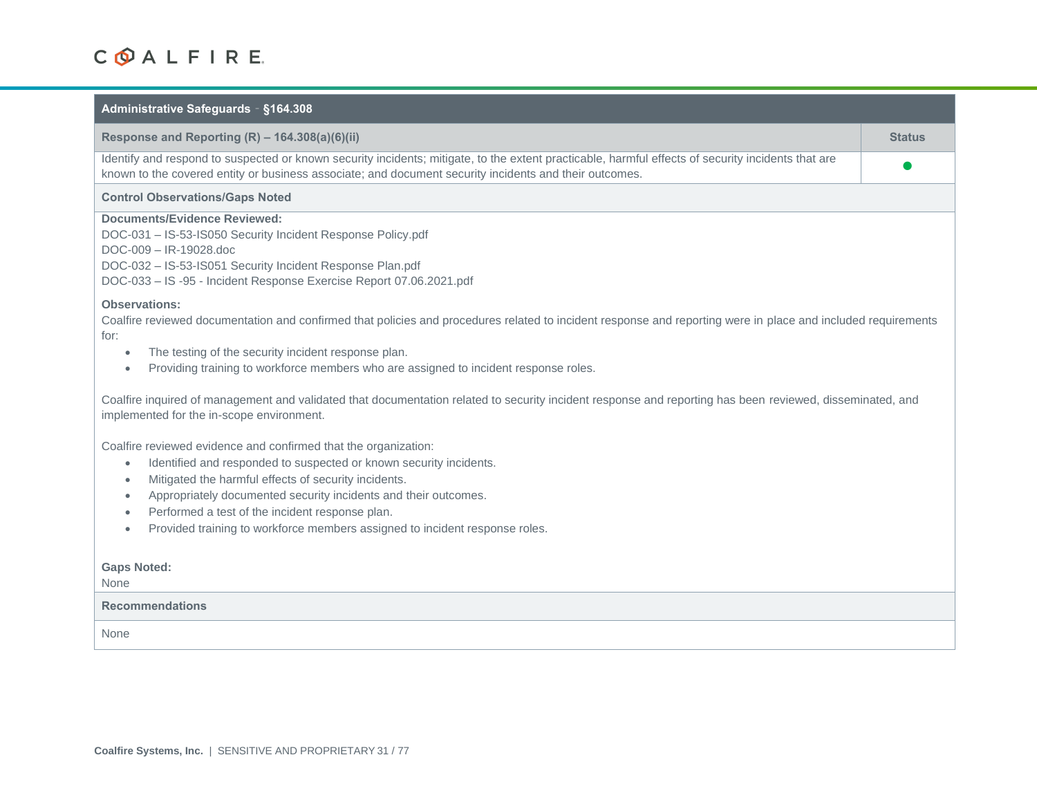| Administrative Safeguards - §164.308                                                                                                                                                                                                                                                                                                                                                                                                      |               |
|-------------------------------------------------------------------------------------------------------------------------------------------------------------------------------------------------------------------------------------------------------------------------------------------------------------------------------------------------------------------------------------------------------------------------------------------|---------------|
| Response and Reporting $(R)$ – 164.308(a)(6)(ii)                                                                                                                                                                                                                                                                                                                                                                                          | <b>Status</b> |
| Identify and respond to suspected or known security incidents; mitigate, to the extent practicable, harmful effects of security incidents that are<br>known to the covered entity or business associate; and document security incidents and their outcomes.                                                                                                                                                                              |               |
| <b>Control Observations/Gaps Noted</b>                                                                                                                                                                                                                                                                                                                                                                                                    |               |
| <b>Documents/Evidence Reviewed:</b><br>DOC-031 - IS-53-IS050 Security Incident Response Policy.pdf<br>DOC-009 - IR-19028.doc<br>DOC-032 - IS-53-IS051 Security Incident Response Plan.pdf<br>DOC-033 - IS -95 - Incident Response Exercise Report 07.06.2021.pdf                                                                                                                                                                          |               |
| <b>Observations:</b><br>Coalfire reviewed documentation and confirmed that policies and procedures related to incident response and reporting were in place and included requirements<br>for:<br>The testing of the security incident response plan.<br>Providing training to workforce members who are assigned to incident response roles.                                                                                              |               |
| Coalfire inquired of management and validated that documentation related to security incident response and reporting has been reviewed, disseminated, and<br>implemented for the in-scope environment.                                                                                                                                                                                                                                    |               |
| Coalfire reviewed evidence and confirmed that the organization:<br>Identified and responded to suspected or known security incidents.<br>$\bullet$<br>Mitigated the harmful effects of security incidents.<br>Appropriately documented security incidents and their outcomes.<br>$\bullet$<br>Performed a test of the incident response plan.<br>Provided training to workforce members assigned to incident response roles.<br>$\bullet$ |               |
| <b>Gaps Noted:</b><br>None                                                                                                                                                                                                                                                                                                                                                                                                                |               |
| <b>Recommendations</b>                                                                                                                                                                                                                                                                                                                                                                                                                    |               |
| None                                                                                                                                                                                                                                                                                                                                                                                                                                      |               |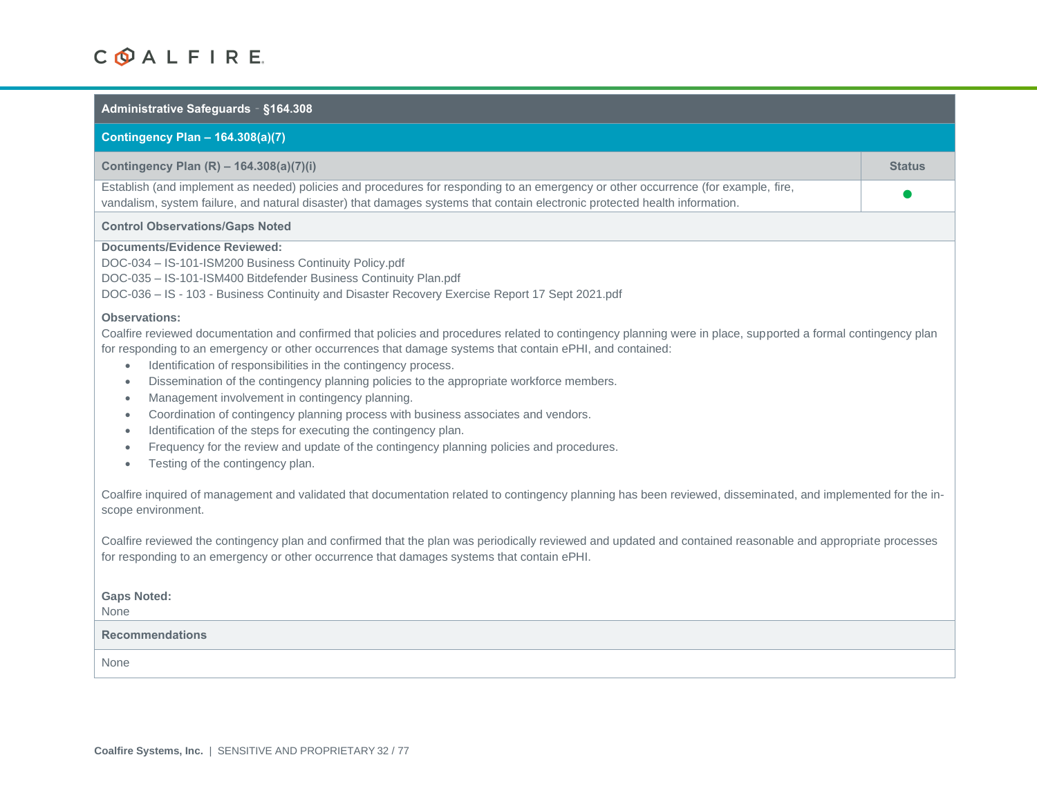| Administrative Safeguards - §164.308                                                                                                                                                                                                                                                                                                                                                                                                                                                                                                                                                                                                                                                                                                                                                                                                                                          |               |
|-------------------------------------------------------------------------------------------------------------------------------------------------------------------------------------------------------------------------------------------------------------------------------------------------------------------------------------------------------------------------------------------------------------------------------------------------------------------------------------------------------------------------------------------------------------------------------------------------------------------------------------------------------------------------------------------------------------------------------------------------------------------------------------------------------------------------------------------------------------------------------|---------------|
| Contingency Plan - 164.308(a)(7)                                                                                                                                                                                                                                                                                                                                                                                                                                                                                                                                                                                                                                                                                                                                                                                                                                              |               |
| Contingency Plan (R) - 164.308(a)(7)(i)                                                                                                                                                                                                                                                                                                                                                                                                                                                                                                                                                                                                                                                                                                                                                                                                                                       | <b>Status</b> |
| Establish (and implement as needed) policies and procedures for responding to an emergency or other occurrence (for example, fire,<br>vandalism, system failure, and natural disaster) that damages systems that contain electronic protected health information.                                                                                                                                                                                                                                                                                                                                                                                                                                                                                                                                                                                                             |               |
| <b>Control Observations/Gaps Noted</b>                                                                                                                                                                                                                                                                                                                                                                                                                                                                                                                                                                                                                                                                                                                                                                                                                                        |               |
| <b>Documents/Evidence Reviewed:</b><br>DOC-034 - IS-101-ISM200 Business Continuity Policy.pdf<br>DOC-035 - IS-101-ISM400 Bitdefender Business Continuity Plan.pdf<br>DOC-036 - IS - 103 - Business Continuity and Disaster Recovery Exercise Report 17 Sept 2021.pdf                                                                                                                                                                                                                                                                                                                                                                                                                                                                                                                                                                                                          |               |
| <b>Observations:</b><br>Coalfire reviewed documentation and confirmed that policies and procedures related to contingency planning were in place, supported a formal contingency plan<br>for responding to an emergency or other occurrences that damage systems that contain ePHI, and contained:<br>Identification of responsibilities in the contingency process.<br>$\bullet$<br>Dissemination of the contingency planning policies to the appropriate workforce members.<br>Management involvement in contingency planning.<br>$\bullet$<br>Coordination of contingency planning process with business associates and vendors.<br>$\bullet$<br>Identification of the steps for executing the contingency plan.<br>$\bullet$<br>Frequency for the review and update of the contingency planning policies and procedures.<br>Testing of the contingency plan.<br>$\bullet$ |               |
| Coalfire inquired of management and validated that documentation related to contingency planning has been reviewed, disseminated, and implemented for the in-<br>scope environment.                                                                                                                                                                                                                                                                                                                                                                                                                                                                                                                                                                                                                                                                                           |               |
| Coalfire reviewed the contingency plan and confirmed that the plan was periodically reviewed and updated and contained reasonable and appropriate processes<br>for responding to an emergency or other occurrence that damages systems that contain ePHI.                                                                                                                                                                                                                                                                                                                                                                                                                                                                                                                                                                                                                     |               |
| <b>Gaps Noted:</b><br><b>None</b>                                                                                                                                                                                                                                                                                                                                                                                                                                                                                                                                                                                                                                                                                                                                                                                                                                             |               |
| <b>Recommendations</b>                                                                                                                                                                                                                                                                                                                                                                                                                                                                                                                                                                                                                                                                                                                                                                                                                                                        |               |
| <b>None</b>                                                                                                                                                                                                                                                                                                                                                                                                                                                                                                                                                                                                                                                                                                                                                                                                                                                                   |               |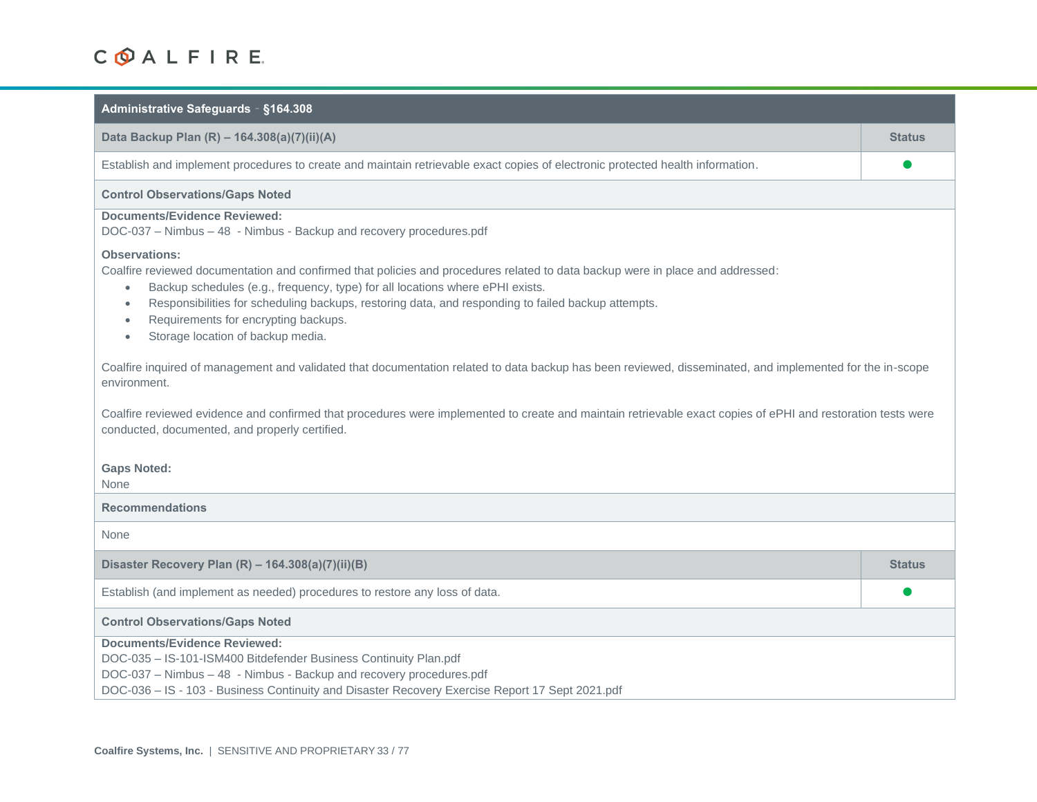| Administrative Safeguards - §164.308                                                                                                                                                                                                                                                                                                                                                                                                                                           |               |
|--------------------------------------------------------------------------------------------------------------------------------------------------------------------------------------------------------------------------------------------------------------------------------------------------------------------------------------------------------------------------------------------------------------------------------------------------------------------------------|---------------|
| Data Backup Plan (R) - 164.308(a)(7)(ii)(A)                                                                                                                                                                                                                                                                                                                                                                                                                                    | <b>Status</b> |
| Establish and implement procedures to create and maintain retrievable exact copies of electronic protected health information.                                                                                                                                                                                                                                                                                                                                                 |               |
| <b>Control Observations/Gaps Noted</b>                                                                                                                                                                                                                                                                                                                                                                                                                                         |               |
| <b>Documents/Evidence Reviewed:</b><br>DOC-037 - Nimbus - 48 - Nimbus - Backup and recovery procedures.pdf                                                                                                                                                                                                                                                                                                                                                                     |               |
| <b>Observations:</b><br>Coalfire reviewed documentation and confirmed that policies and procedures related to data backup were in place and addressed:<br>Backup schedules (e.g., frequency, type) for all locations where ePHI exists.<br>$\bullet$<br>Responsibilities for scheduling backups, restoring data, and responding to failed backup attempts.<br>$\bullet$<br>Requirements for encrypting backups.<br>$\bullet$<br>Storage location of backup media.<br>$\bullet$ |               |
| Coalfire inquired of management and validated that documentation related to data backup has been reviewed, disseminated, and implemented for the in-scope<br>environment.                                                                                                                                                                                                                                                                                                      |               |
| Coalfire reviewed evidence and confirmed that procedures were implemented to create and maintain retrievable exact copies of ePHI and restoration tests were<br>conducted, documented, and properly certified.                                                                                                                                                                                                                                                                 |               |
| <b>Gaps Noted:</b><br>None                                                                                                                                                                                                                                                                                                                                                                                                                                                     |               |
| <b>Recommendations</b>                                                                                                                                                                                                                                                                                                                                                                                                                                                         |               |
| None                                                                                                                                                                                                                                                                                                                                                                                                                                                                           |               |
| Disaster Recovery Plan (R) - 164.308(a)(7)(ii)(B)                                                                                                                                                                                                                                                                                                                                                                                                                              | <b>Status</b> |
| Establish (and implement as needed) procedures to restore any loss of data.                                                                                                                                                                                                                                                                                                                                                                                                    |               |
| <b>Control Observations/Gaps Noted</b>                                                                                                                                                                                                                                                                                                                                                                                                                                         |               |
| <b>Documents/Evidence Reviewed:</b><br>DOC-035 - IS-101-ISM400 Bitdefender Business Continuity Plan.pdf<br>DOC-037 - Nimbus - 48 - Nimbus - Backup and recovery procedures.pdf<br>DOC-036 - IS - 103 - Business Continuity and Disaster Recovery Exercise Report 17 Sept 2021.pdf                                                                                                                                                                                              |               |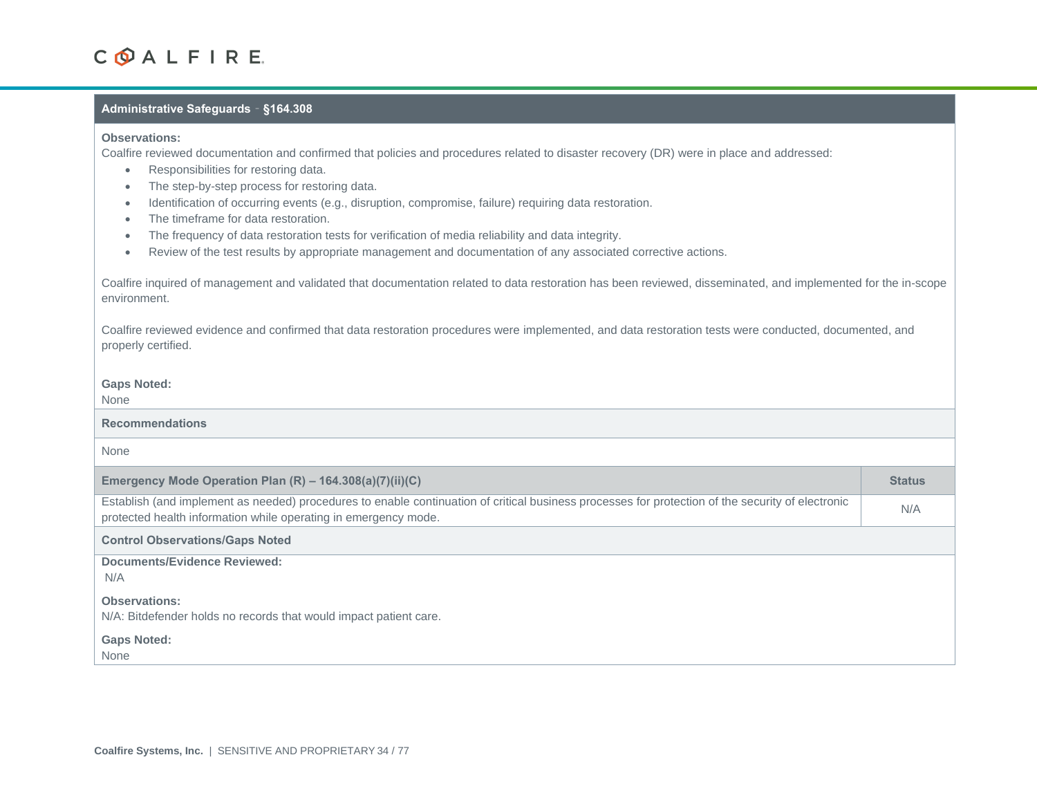#### **Administrative Safeguards** – **§164.308**

#### **Observations:**

Coalfire reviewed documentation and confirmed that policies and procedures related to disaster recovery (DR) were in place and addressed:

- Responsibilities for restoring data.
- The step-by-step process for restoring data.
- Identification of occurring events (e.g., disruption, compromise, failure) requiring data restoration.
- The timeframe for data restoration.
- The frequency of data restoration tests for verification of media reliability and data integrity.
- Review of the test results by appropriate management and documentation of any associated corrective actions.

Coalfire inquired of management and validated that documentation related to data restoration has been reviewed, disseminated, and implemented for the in-scope environment.

Coalfire reviewed evidence and confirmed that data restoration procedures were implemented, and data restoration tests were conducted, documented, and properly certified.

#### **Gaps Noted:**

None

### **Recommendations** None **Emergency Mode Operation Plan (R) – 164.308(a)(7)(ii)(C) Status** Establish (and implement as needed) procedures to enable continuation of critical business processes for protection of the security of electronic protected health information while operating in emergency mode.<br>Protected health information while operating in emergency mode. **Control Observations/Gaps Noted Documents/Evidence Reviewed:** N/A **Observations:** N/A: Bitdefender holds no records that would impact patient care. **Gaps Noted:** None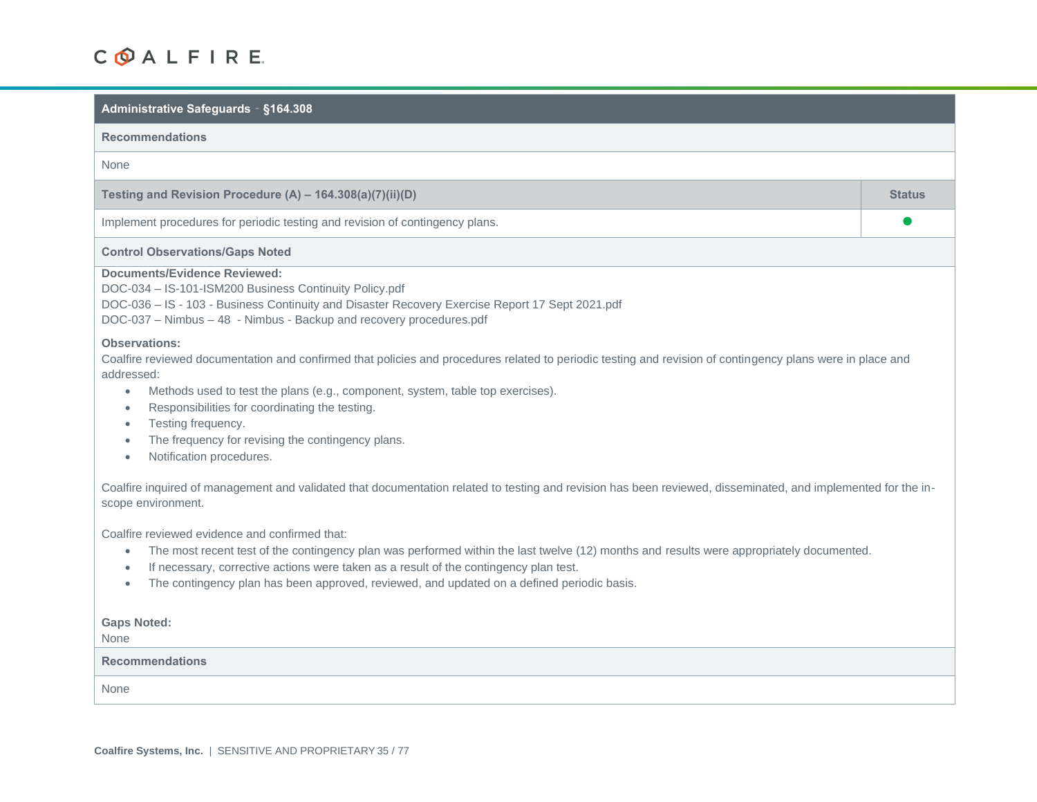### **Administrative Safeguards** – **§164.308 Recommendations** None **Testing and Revision Procedure (A) – 164.308(a)(7)(ii)(D) Status** Implement procedures for periodic testing and revision of contingency plans.  $\bullet$ **Control Observations/Gaps Noted Documents/Evidence Reviewed:** DOC-034 – IS-101-ISM200 Business Continuity Policy.pdf DOC-036 – IS - 103 - Business Continuity and Disaster Recovery Exercise Report 17 Sept 2021.pdf

DOC-037 – Nimbus – 48 - Nimbus - Backup and recovery procedures.pdf

#### **Observations:**

Coalfire reviewed documentation and confirmed that policies and procedures related to periodic testing and revision of contingency plans were in place and addressed:

- Methods used to test the plans (e.g., component, system, table top exercises).
- Responsibilities for coordinating the testing.
- Testing frequency.
- The frequency for revising the contingency plans.
- Notification procedures.

Coalfire inquired of management and validated that documentation related to testing and revision has been reviewed, disseminated, and implemented for the inscope environment.

Coalfire reviewed evidence and confirmed that:

- The most recent test of the contingency plan was performed within the last twelve (12) months and results were appropriately documented.
- If necessary, corrective actions were taken as a result of the contingency plan test.
- The contingency plan has been approved, reviewed, and updated on a defined periodic basis.

#### **Gaps Noted:**

#### None

#### **Recommendations**

None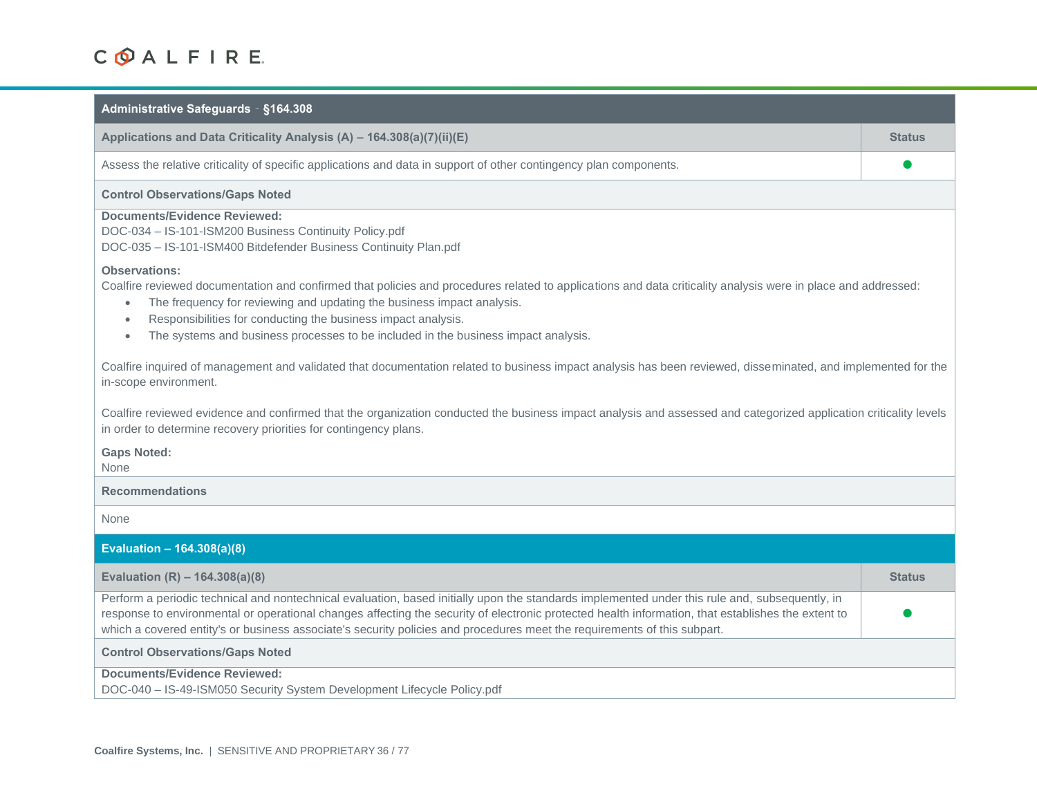| Administrative Safeguards - §164.308                                                                                                                                                                                                                                                                                                                                                                                                                          |               |
|---------------------------------------------------------------------------------------------------------------------------------------------------------------------------------------------------------------------------------------------------------------------------------------------------------------------------------------------------------------------------------------------------------------------------------------------------------------|---------------|
| Applications and Data Criticality Analysis (A) - 164.308(a)(7)(ii)(E)                                                                                                                                                                                                                                                                                                                                                                                         | <b>Status</b> |
| Assess the relative criticality of specific applications and data in support of other contingency plan components.                                                                                                                                                                                                                                                                                                                                            |               |
| <b>Control Observations/Gaps Noted</b>                                                                                                                                                                                                                                                                                                                                                                                                                        |               |
| <b>Documents/Evidence Reviewed:</b><br>DOC-034 - IS-101-ISM200 Business Continuity Policy.pdf<br>DOC-035 - IS-101-ISM400 Bitdefender Business Continuity Plan.pdf                                                                                                                                                                                                                                                                                             |               |
| <b>Observations:</b><br>Coalfire reviewed documentation and confirmed that policies and procedures related to applications and data criticality analysis were in place and addressed:<br>The frequency for reviewing and updating the business impact analysis.<br>$\bullet$<br>Responsibilities for conducting the business impact analysis.<br>$\bullet$<br>The systems and business processes to be included in the business impact analysis.<br>$\bullet$ |               |
| Coalfire inquired of management and validated that documentation related to business impact analysis has been reviewed, disseminated, and implemented for the<br>in-scope environment.                                                                                                                                                                                                                                                                        |               |
| Coalfire reviewed evidence and confirmed that the organization conducted the business impact analysis and assessed and categorized application criticality levels<br>in order to determine recovery priorities for contingency plans.                                                                                                                                                                                                                         |               |
| <b>Gaps Noted:</b><br><b>None</b>                                                                                                                                                                                                                                                                                                                                                                                                                             |               |
| <b>Recommendations</b>                                                                                                                                                                                                                                                                                                                                                                                                                                        |               |
| <b>None</b>                                                                                                                                                                                                                                                                                                                                                                                                                                                   |               |
| Evaluation - 164.308(a)(8)                                                                                                                                                                                                                                                                                                                                                                                                                                    |               |
| Evaluation $(R) - 164.308(a)(8)$                                                                                                                                                                                                                                                                                                                                                                                                                              | <b>Status</b> |
| Perform a periodic technical and nontechnical evaluation, based initially upon the standards implemented under this rule and, subsequently, in<br>response to environmental or operational changes affecting the security of electronic protected health information, that establishes the extent to<br>which a covered entity's or business associate's security policies and procedures meet the requirements of this subpart.                              |               |
| <b>Control Observations/Gaps Noted</b>                                                                                                                                                                                                                                                                                                                                                                                                                        |               |
| <b>Documents/Evidence Reviewed:</b><br>DOC-040 - IS-49-ISM050 Security System Development Lifecycle Policy.pdf                                                                                                                                                                                                                                                                                                                                                |               |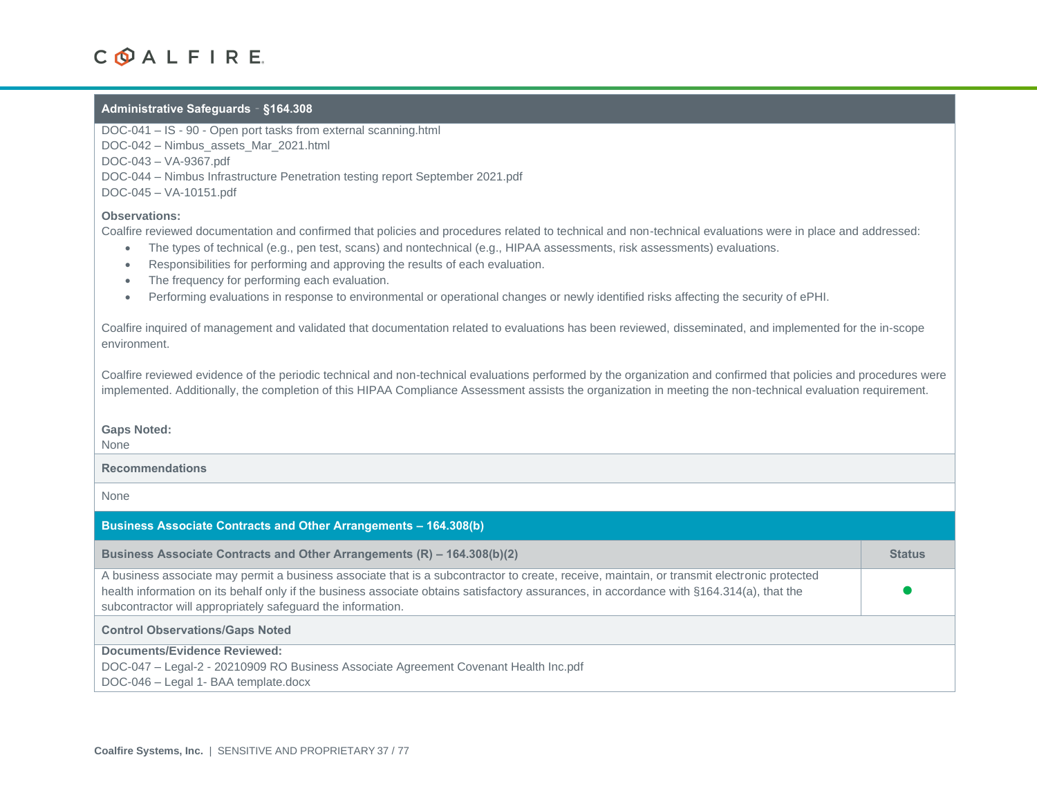### **Administrative Safeguards** – **§164.308**

DOC-041 – IS - 90 - Open port tasks from external scanning.html DOC-042 – Nimbus\_assets\_Mar\_2021.html DOC-043 – VA-9367.pdf DOC-044 – Nimbus Infrastructure Penetration testing report September 2021.pdf DOC-045 – VA-10151.pdf

### **Observations:**

Coalfire reviewed documentation and confirmed that policies and procedures related to technical and non-technical evaluations were in place and addressed:

- The types of technical (e.g., pen test, scans) and nontechnical (e.g., HIPAA assessments, risk assessments) evaluations.
- Responsibilities for performing and approving the results of each evaluation.
- The frequency for performing each evaluation.
- Performing evaluations in response to environmental or operational changes or newly identified risks affecting the security of ePHI.

Coalfire inquired of management and validated that documentation related to evaluations has been reviewed, disseminated, and implemented for the in-scope environment.

Coalfire reviewed evidence of the periodic technical and non-technical evaluations performed by the organization and confirmed that policies and procedures were implemented. Additionally, the completion of this HIPAA Compliance Assessment assists the organization in meeting the non-technical evaluation requirement.

### **Gaps Noted:**

None

### **Recommendations**

| <b>Business Associate Contracts and Other Arrangements - 164.308(b)</b>                                                                                                                                                                                                                                                                                 |               |
|---------------------------------------------------------------------------------------------------------------------------------------------------------------------------------------------------------------------------------------------------------------------------------------------------------------------------------------------------------|---------------|
| Business Associate Contracts and Other Arrangements (R) – 164.308(b)(2)                                                                                                                                                                                                                                                                                 | <b>Status</b> |
| A business associate may permit a business associate that is a subcontractor to create, receive, maintain, or transmit electronic protected<br>health information on its behalf only if the business associate obtains satisfactory assurances, in accordance with §164.314(a), that the<br>subcontractor will appropriately safeguard the information. |               |
| <b>Control Observations/Gaps Noted</b>                                                                                                                                                                                                                                                                                                                  |               |
| Documents/Evidence Reviewed:<br>DOC-047 - Legal-2 - 20210909 RO Business Associate Agreement Covenant Health Inc.pdf<br>DOC-046 - Legal 1- BAA template.docx                                                                                                                                                                                            |               |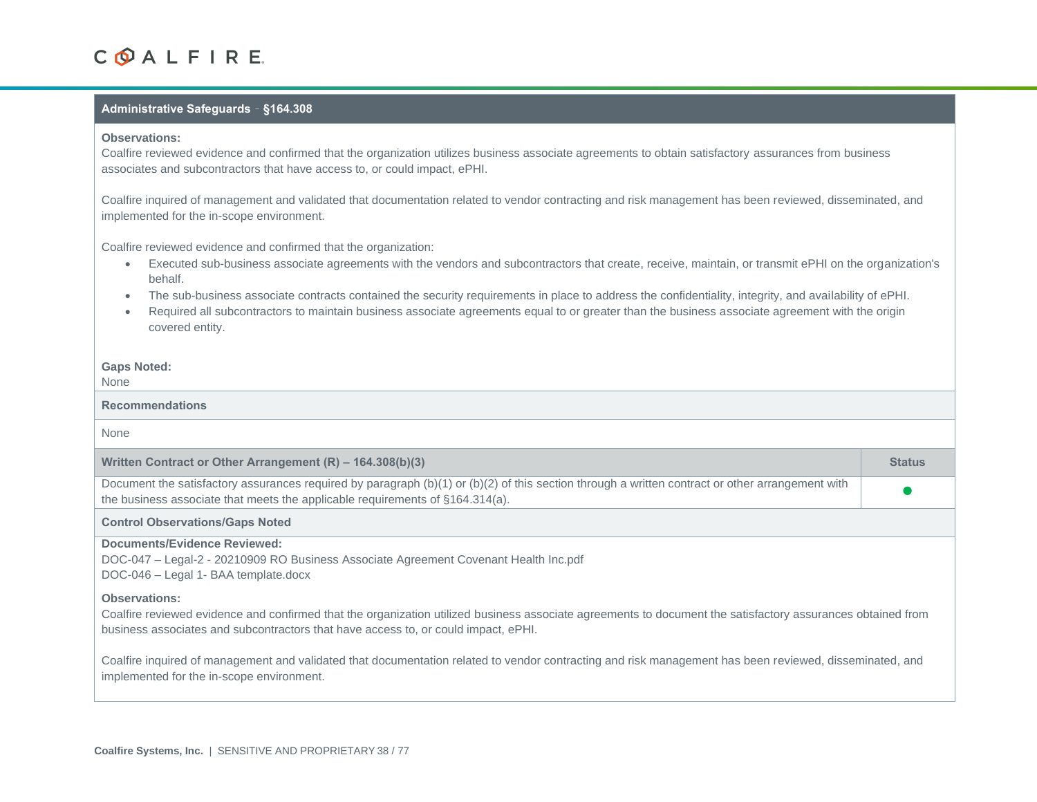### **Administrative Safeguards** – **§164.308**

### **Observations:**

Coalfire reviewed evidence and confirmed that the organization utilizes business associate agreements to obtain satisfactory assurances from business associates and subcontractors that have access to, or could impact, ePHI.

Coalfire inquired of management and validated that documentation related to vendor contracting and risk management has been reviewed, disseminated, and implemented for the in-scope environment.

Coalfire reviewed evidence and confirmed that the organization:

- Executed sub-business associate agreements with the vendors and subcontractors that create, receive, maintain, or transmit ePHI on the organization's behalf.
- The sub-business associate contracts contained the security requirements in place to address the confidentiality, integrity, and availability of ePHI.
- Required all subcontractors to maintain business associate agreements equal to or greater than the business associate agreement with the origin covered entity.

#### **Gaps Noted:**

None

### **Recommendations**

None

| Written Contract or Other Arrangement $(R)$ – 164.308(b)(3)                                                                                                 | <b>Status</b> |
|-------------------------------------------------------------------------------------------------------------------------------------------------------------|---------------|
| Document the satisfactory assurances required by paragraph (b)(1) or (b)(2) of this section through a written contract or other arrangement with            |               |
| the business associate that meets the applicable requirements of $\S 164.314(a)$ .                                                                          |               |
| <b>Control Observations/Gaps Noted</b>                                                                                                                      |               |
| Documents/Evidence Reviewed:                                                                                                                                |               |
| DOC-047 - Legal-2 - 20210909 RO Business Associate Agreement Covenant Health Inc.pdf                                                                        |               |
| DOC-046 - Legal 1- BAA template.docx                                                                                                                        |               |
| <b>Observations:</b>                                                                                                                                        |               |
| Coalfire reviewed evidence and confirmed that the organization utilized business associate agreements to document the satisfactory assurances obtained from |               |
| business associates and subcontractors that have access to, or could impact, ePHI.                                                                          |               |

Coalfire inquired of management and validated that documentation related to vendor contracting and risk management has been reviewed, disseminated, and implemented for the in-scope environment.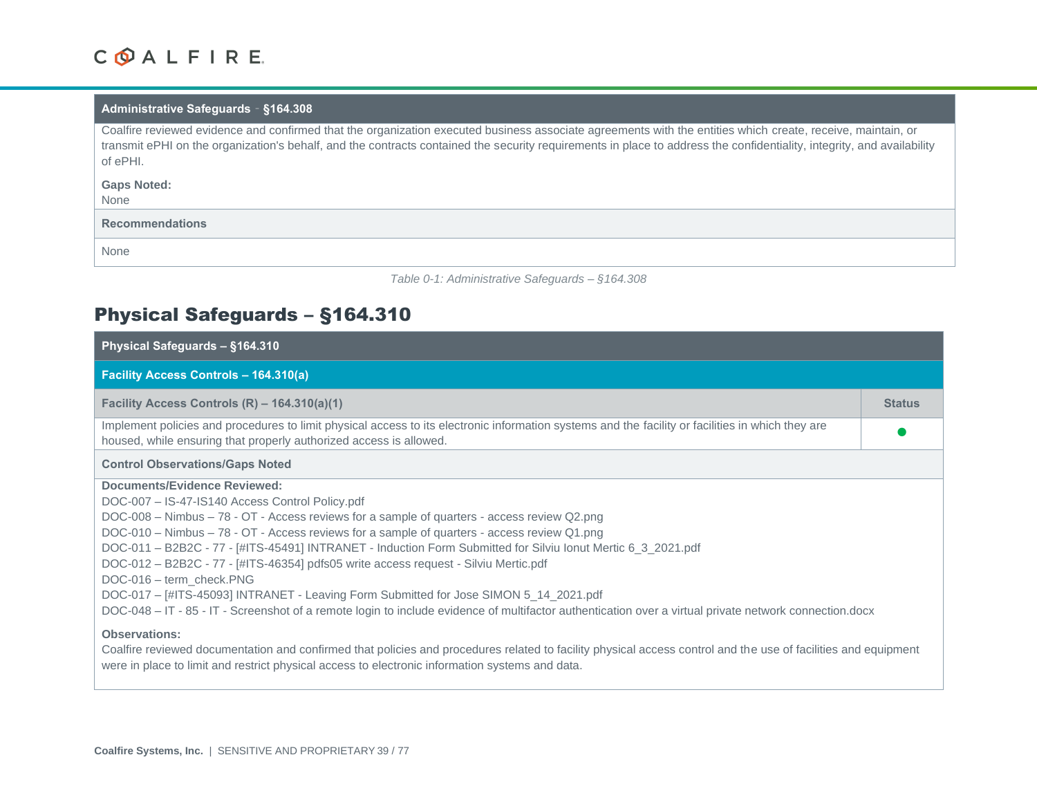### **Administrative Safeguards** – **§164.308**

Coalfire reviewed evidence and confirmed that the organization executed business associate agreements with the entities which create, receive, maintain, or transmit ePHI on the organization's behalf, and the contracts contained the security requirements in place to address the confidentiality, integrity, and availability of ePHI.

### **Gaps Noted:**

None

### **Recommendations**

None

*Table 0-1: Administrative Safeguards – §164.308*

### Physical Safeguards – §164.310

| Physical Safeguards - §164.310                                                                                                                                                                                                                                                                                                                                                                                                                                                                                                                                                                                                                                                                                                                                             |               |
|----------------------------------------------------------------------------------------------------------------------------------------------------------------------------------------------------------------------------------------------------------------------------------------------------------------------------------------------------------------------------------------------------------------------------------------------------------------------------------------------------------------------------------------------------------------------------------------------------------------------------------------------------------------------------------------------------------------------------------------------------------------------------|---------------|
| Facility Access Controls - 164.310(a)                                                                                                                                                                                                                                                                                                                                                                                                                                                                                                                                                                                                                                                                                                                                      |               |
| Facility Access Controls (R) - 164.310(a)(1)                                                                                                                                                                                                                                                                                                                                                                                                                                                                                                                                                                                                                                                                                                                               | <b>Status</b> |
| Implement policies and procedures to limit physical access to its electronic information systems and the facility or facilities in which they are<br>housed, while ensuring that properly authorized access is allowed.                                                                                                                                                                                                                                                                                                                                                                                                                                                                                                                                                    |               |
| <b>Control Observations/Gaps Noted</b>                                                                                                                                                                                                                                                                                                                                                                                                                                                                                                                                                                                                                                                                                                                                     |               |
| <b>Documents/Evidence Reviewed:</b><br>DOC-007 - IS-47-IS140 Access Control Policy.pdf<br>DOC-008 - Nimbus - 78 - OT - Access reviews for a sample of quarters - access review Q2.png<br>DOC-010 – Nimbus – 78 - OT - Access reviews for a sample of quarters - access review Q1.png<br>DOC-011 - B2B2C - 77 - [#ITS-45491] INTRANET - Induction Form Submitted for Silviu lonut Mertic 6_3_2021.pdf<br>DOC-012 - B2B2C - 77 - [#ITS-46354] pdfs05 write access request - Silviu Mertic.pdf<br>DOC-016 - term check.PNG<br>DOC-017 - [#ITS-45093] INTRANET - Leaving Form Submitted for Jose SIMON 5_14_2021.pdf<br>DOC-048 - IT - 85 - IT - Screenshot of a remote login to include evidence of multifactor authentication over a virtual private network connection.docx |               |
| <b>Observations:</b><br>Coalfire reviewed documentation and confirmed that policies and procedures related to facility physical access control and the use of facilities and equipment<br>were in place to limit and restrict physical access to electronic information systems and data.                                                                                                                                                                                                                                                                                                                                                                                                                                                                                  |               |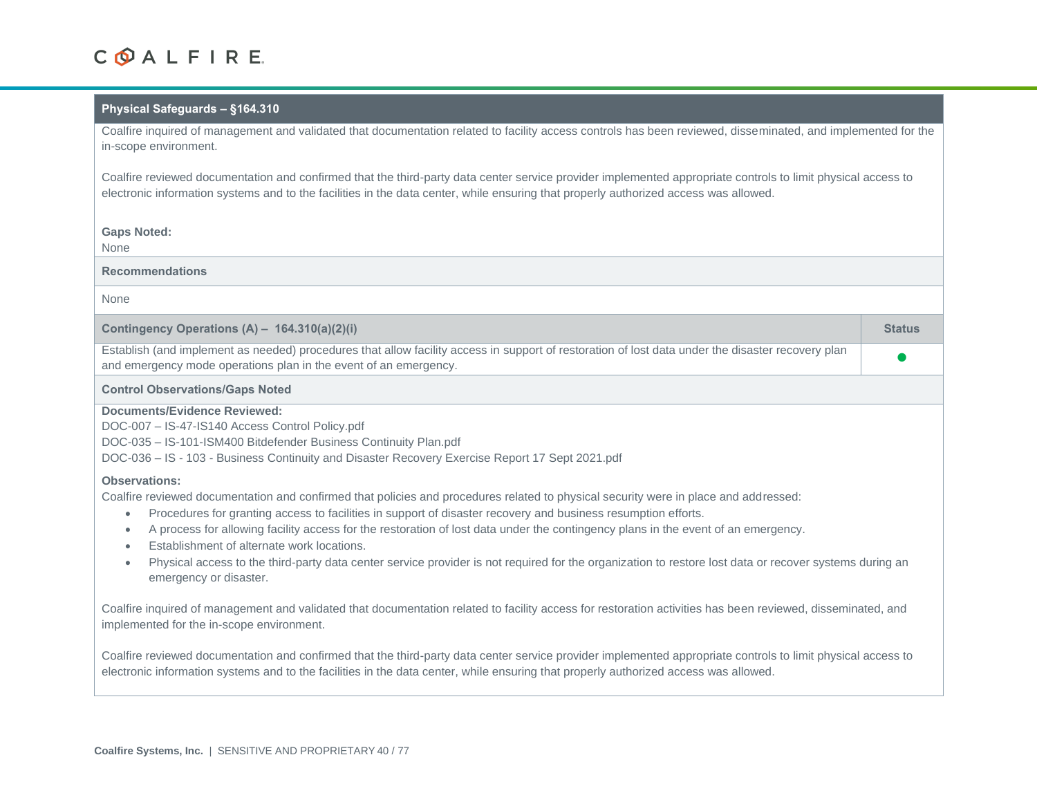### **Physical Safeguards – §164.310**

Coalfire inquired of management and validated that documentation related to facility access controls has been reviewed, disseminated, and implemented for the in-scope environment.

Coalfire reviewed documentation and confirmed that the third-party data center service provider implemented appropriate controls to limit physical access to electronic information systems and to the facilities in the data center, while ensuring that properly authorized access was allowed.

### **Gaps Noted:**

None

### **Recommendations**

None

| Contingency Operations $(A) - 164.310(a)(2)(i)$                                                                                                                                                                       | <b>Status</b> |
|-----------------------------------------------------------------------------------------------------------------------------------------------------------------------------------------------------------------------|---------------|
| Establish (and implement as needed) procedures that allow facility access in support of restoration of lost data under the disaster recovery plan<br>and emergency mode operations plan in the event of an emergency. |               |
| <b>Control Observations/Gaps Noted</b>                                                                                                                                                                                |               |
| Documents/Evidence Reviewed:                                                                                                                                                                                          |               |

DOC-007 – IS-47-IS140 Access Control Policy.pdf

DOC-035 – IS-101-ISM400 Bitdefender Business Continuity Plan.pdf

DOC-036 – IS - 103 - Business Continuity and Disaster Recovery Exercise Report 17 Sept 2021.pdf

### **Observations:**

Coalfire reviewed documentation and confirmed that policies and procedures related to physical security were in place and addressed:

- Procedures for granting access to facilities in support of disaster recovery and business resumption efforts.
- A process for allowing facility access for the restoration of lost data under the contingency plans in the event of an emergency.
- Establishment of alternate work locations.
- Physical access to the third-party data center service provider is not required for the organization to restore lost data or recover systems during an emergency or disaster.

Coalfire inquired of management and validated that documentation related to facility access for restoration activities has been reviewed, disseminated, and implemented for the in-scope environment.

Coalfire reviewed documentation and confirmed that the third-party data center service provider implemented appropriate controls to limit physical access to electronic information systems and to the facilities in the data center, while ensuring that properly authorized access was allowed.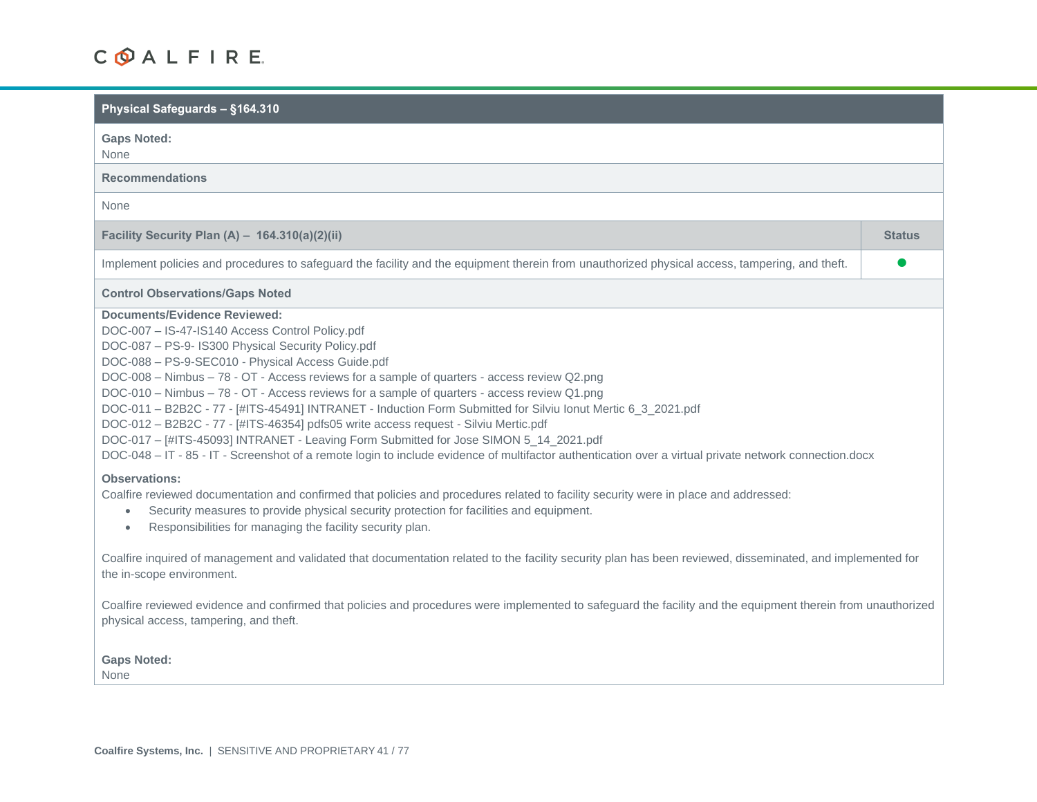| Physical Safeguards - §164.310                                                                                                                                                                                                                                                                                                                                                                                                                                                                                                                                                                                                                                                                                                                                                                                                                            |               |
|-----------------------------------------------------------------------------------------------------------------------------------------------------------------------------------------------------------------------------------------------------------------------------------------------------------------------------------------------------------------------------------------------------------------------------------------------------------------------------------------------------------------------------------------------------------------------------------------------------------------------------------------------------------------------------------------------------------------------------------------------------------------------------------------------------------------------------------------------------------|---------------|
| <b>Gaps Noted:</b><br>None                                                                                                                                                                                                                                                                                                                                                                                                                                                                                                                                                                                                                                                                                                                                                                                                                                |               |
| <b>Recommendations</b>                                                                                                                                                                                                                                                                                                                                                                                                                                                                                                                                                                                                                                                                                                                                                                                                                                    |               |
| <b>None</b>                                                                                                                                                                                                                                                                                                                                                                                                                                                                                                                                                                                                                                                                                                                                                                                                                                               |               |
| Facility Security Plan (A) - $164.310(a)(2)(ii)$                                                                                                                                                                                                                                                                                                                                                                                                                                                                                                                                                                                                                                                                                                                                                                                                          | <b>Status</b> |
| Implement policies and procedures to safeguard the facility and the equipment therein from unauthorized physical access, tampering, and theft.                                                                                                                                                                                                                                                                                                                                                                                                                                                                                                                                                                                                                                                                                                            |               |
| <b>Control Observations/Gaps Noted</b>                                                                                                                                                                                                                                                                                                                                                                                                                                                                                                                                                                                                                                                                                                                                                                                                                    |               |
| <b>Documents/Evidence Reviewed:</b><br>DOC-007 - IS-47-IS140 Access Control Policy.pdf<br>DOC-087 - PS-9- IS300 Physical Security Policy.pdf<br>DOC-088 - PS-9-SEC010 - Physical Access Guide.pdf<br>DOC-008 - Nimbus - 78 - OT - Access reviews for a sample of quarters - access review Q2.png<br>DOC-010 - Nimbus - 78 - OT - Access reviews for a sample of quarters - access review Q1.png<br>DOC-011 - B2B2C - 77 - [#ITS-45491] INTRANET - Induction Form Submitted for Silviu lonut Mertic 6_3_2021.pdf<br>DOC-012 - B2B2C - 77 - [#ITS-46354] pdfs05 write access request - Silviu Mertic.pdf<br>DOC-017 - [#ITS-45093] INTRANET - Leaving Form Submitted for Jose SIMON 5_14_2021.pdf<br>DOC-048 - IT - 85 - IT - Screenshot of a remote login to include evidence of multifactor authentication over a virtual private network connection.docx |               |
| <b>Observations:</b><br>Coalfire reviewed documentation and confirmed that policies and procedures related to facility security were in place and addressed:<br>Security measures to provide physical security protection for facilities and equipment.<br>٠<br>Responsibilities for managing the facility security plan.<br>$\bullet$                                                                                                                                                                                                                                                                                                                                                                                                                                                                                                                    |               |
| Coalfire inquired of management and validated that documentation related to the facility security plan has been reviewed, disseminated, and implemented for<br>the in-scope environment.                                                                                                                                                                                                                                                                                                                                                                                                                                                                                                                                                                                                                                                                  |               |
| Coalfire reviewed evidence and confirmed that policies and procedures were implemented to safeguard the facility and the equipment therein from unauthorized<br>physical access, tampering, and theft.                                                                                                                                                                                                                                                                                                                                                                                                                                                                                                                                                                                                                                                    |               |
| <b>Gaps Noted:</b><br><b>None</b>                                                                                                                                                                                                                                                                                                                                                                                                                                                                                                                                                                                                                                                                                                                                                                                                                         |               |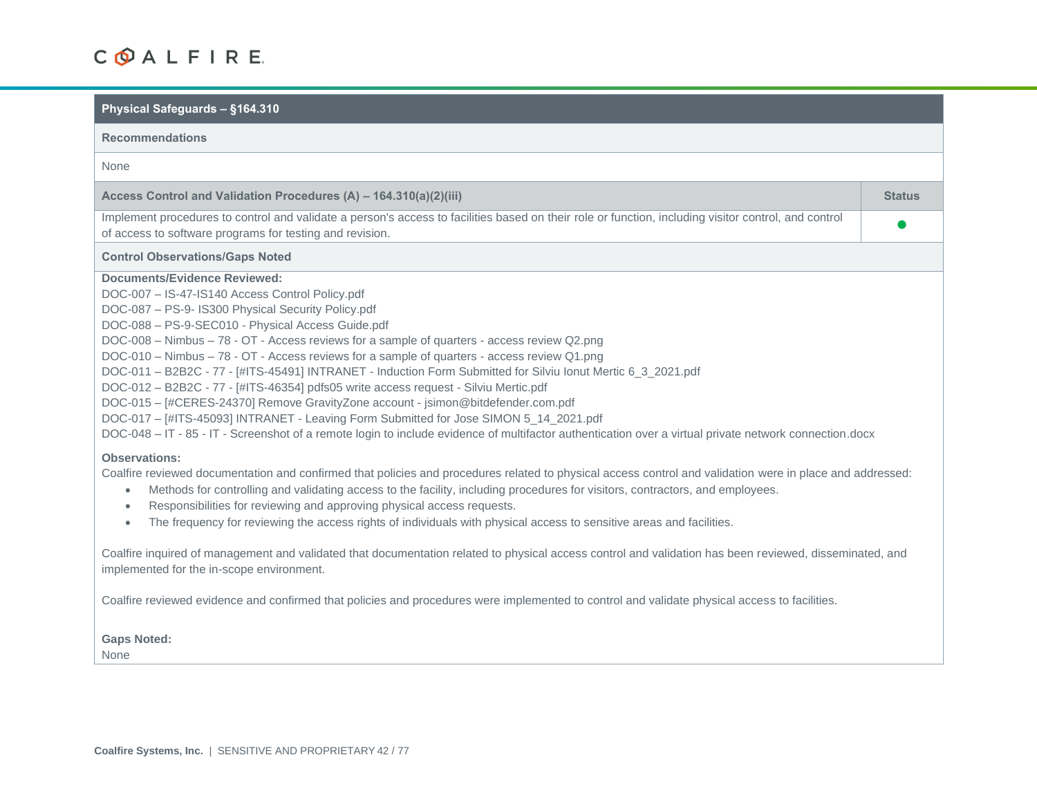| Physical Safeguards - §164.310                                                                                                                                                                                                                                                                                                                                                                                                                                                                                                                                                                                                                                                                                                                                                                                                                                                                                                                |               |
|-----------------------------------------------------------------------------------------------------------------------------------------------------------------------------------------------------------------------------------------------------------------------------------------------------------------------------------------------------------------------------------------------------------------------------------------------------------------------------------------------------------------------------------------------------------------------------------------------------------------------------------------------------------------------------------------------------------------------------------------------------------------------------------------------------------------------------------------------------------------------------------------------------------------------------------------------|---------------|
| <b>Recommendations</b>                                                                                                                                                                                                                                                                                                                                                                                                                                                                                                                                                                                                                                                                                                                                                                                                                                                                                                                        |               |
| None                                                                                                                                                                                                                                                                                                                                                                                                                                                                                                                                                                                                                                                                                                                                                                                                                                                                                                                                          |               |
| Access Control and Validation Procedures (A) - 164.310(a)(2)(iii)                                                                                                                                                                                                                                                                                                                                                                                                                                                                                                                                                                                                                                                                                                                                                                                                                                                                             | <b>Status</b> |
| Implement procedures to control and validate a person's access to facilities based on their role or function, including visitor control, and control<br>of access to software programs for testing and revision.                                                                                                                                                                                                                                                                                                                                                                                                                                                                                                                                                                                                                                                                                                                              |               |
| <b>Control Observations/Gaps Noted</b>                                                                                                                                                                                                                                                                                                                                                                                                                                                                                                                                                                                                                                                                                                                                                                                                                                                                                                        |               |
| <b>Documents/Evidence Reviewed:</b><br>DOC-007 - IS-47-IS140 Access Control Policy.pdf<br>DOC-087 - PS-9- IS300 Physical Security Policy.pdf<br>DOC-088 - PS-9-SEC010 - Physical Access Guide.pdf<br>DOC-008 - Nimbus - 78 - OT - Access reviews for a sample of quarters - access review Q2.png<br>DOC-010 - Nimbus - 78 - OT - Access reviews for a sample of quarters - access review Q1.png<br>DOC-011 - B2B2C - 77 - [#ITS-45491] INTRANET - Induction Form Submitted for Silviu lonut Mertic 6_3_2021.pdf<br>DOC-012 - B2B2C - 77 - [#ITS-46354] pdfs05 write access request - Silviu Mertic.pdf<br>DOC-015 - [#CERES-24370] Remove GravityZone account - jsimon@bitdefender.com.pdf<br>DOC-017 - [#ITS-45093] INTRANET - Leaving Form Submitted for Jose SIMON 5_14_2021.pdf<br>DOC-048 - IT - 85 - IT - Screenshot of a remote login to include evidence of multifactor authentication over a virtual private network connection.docx |               |
| <b>Observations:</b><br>Coalfire reviewed documentation and confirmed that policies and procedures related to physical access control and validation were in place and addressed:<br>Methods for controlling and validating access to the facility, including procedures for visitors, contractors, and employees.<br>٠<br>Responsibilities for reviewing and approving physical access requests.<br>٠<br>The frequency for reviewing the access rights of individuals with physical access to sensitive areas and facilities.<br>٠                                                                                                                                                                                                                                                                                                                                                                                                           |               |
| Coalfire inquired of management and validated that documentation related to physical access control and validation has been reviewed, disseminated, and<br>implemented for the in-scope environment.                                                                                                                                                                                                                                                                                                                                                                                                                                                                                                                                                                                                                                                                                                                                          |               |

Coalfire reviewed evidence and confirmed that policies and procedures were implemented to control and validate physical access to facilities.

### **Gaps Noted:**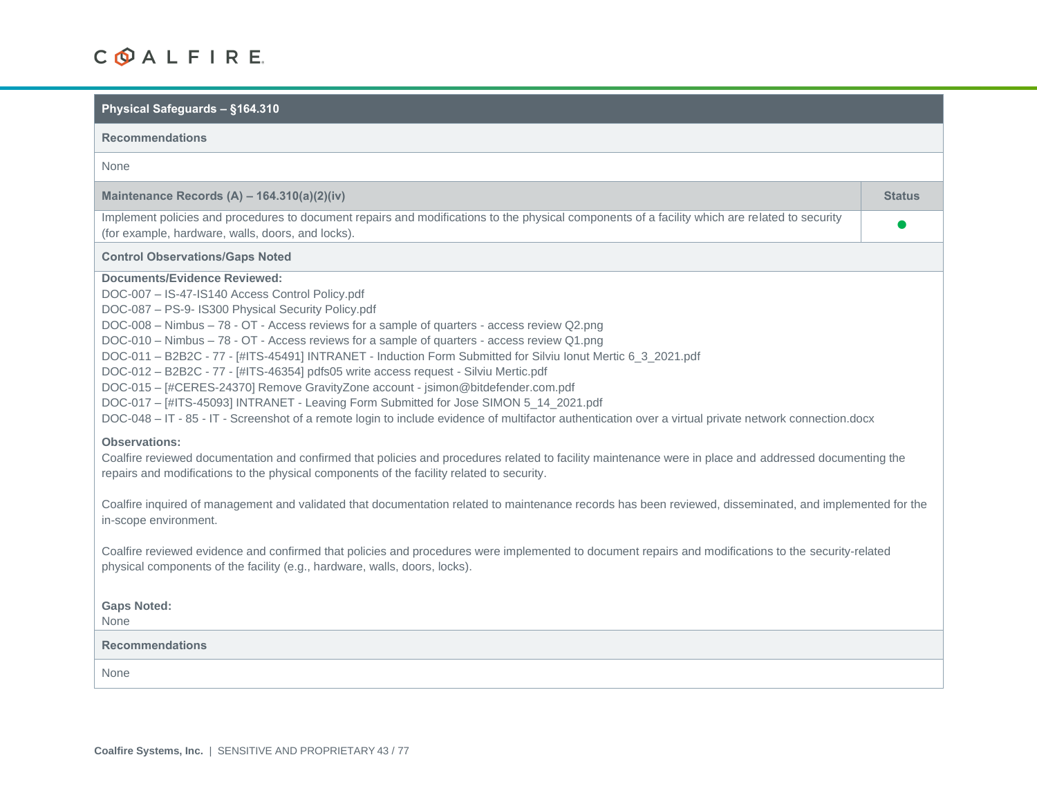| Physical Safeguards - §164.310                                                                                                                                                                                                                                                                                                                                                                                                                                                                                                                                                                                                                                                                                                                                                                                                                                                           |               |
|------------------------------------------------------------------------------------------------------------------------------------------------------------------------------------------------------------------------------------------------------------------------------------------------------------------------------------------------------------------------------------------------------------------------------------------------------------------------------------------------------------------------------------------------------------------------------------------------------------------------------------------------------------------------------------------------------------------------------------------------------------------------------------------------------------------------------------------------------------------------------------------|---------------|
| <b>Recommendations</b>                                                                                                                                                                                                                                                                                                                                                                                                                                                                                                                                                                                                                                                                                                                                                                                                                                                                   |               |
| None                                                                                                                                                                                                                                                                                                                                                                                                                                                                                                                                                                                                                                                                                                                                                                                                                                                                                     |               |
| Maintenance Records (A) - 164.310(a)(2)(iv)                                                                                                                                                                                                                                                                                                                                                                                                                                                                                                                                                                                                                                                                                                                                                                                                                                              | <b>Status</b> |
| Implement policies and procedures to document repairs and modifications to the physical components of a facility which are related to security<br>(for example, hardware, walls, doors, and locks).                                                                                                                                                                                                                                                                                                                                                                                                                                                                                                                                                                                                                                                                                      |               |
| <b>Control Observations/Gaps Noted</b>                                                                                                                                                                                                                                                                                                                                                                                                                                                                                                                                                                                                                                                                                                                                                                                                                                                   |               |
| <b>Documents/Evidence Reviewed:</b><br>DOC-007 - IS-47-IS140 Access Control Policy.pdf<br>DOC-087 - PS-9- IS300 Physical Security Policy.pdf<br>DOC-008 - Nimbus - 78 - OT - Access reviews for a sample of quarters - access review Q2.png<br>DOC-010 - Nimbus - 78 - OT - Access reviews for a sample of quarters - access review Q1.png<br>DOC-011 - B2B2C - 77 - [#ITS-45491] INTRANET - Induction Form Submitted for Silviu lonut Mertic 6_3_2021.pdf<br>DOC-012 - B2B2C - 77 - [#ITS-46354] pdfs05 write access request - Silviu Mertic.pdf<br>DOC-015 - [#CERES-24370] Remove GravityZone account - jsimon@bitdefender.com.pdf<br>DOC-017 - [#ITS-45093] INTRANET - Leaving Form Submitted for Jose SIMON 5_14_2021.pdf<br>DOC-048 - IT - 85 - IT - Screenshot of a remote login to include evidence of multifactor authentication over a virtual private network connection.docx |               |
| <b>Observations:</b><br>Coalfire reviewed documentation and confirmed that policies and procedures related to facility maintenance were in place and addressed documenting the<br>repairs and modifications to the physical components of the facility related to security.                                                                                                                                                                                                                                                                                                                                                                                                                                                                                                                                                                                                              |               |
| Coalfire inquired of management and validated that documentation related to maintenance records has been reviewed, disseminated, and implemented for the<br>in-scope environment.                                                                                                                                                                                                                                                                                                                                                                                                                                                                                                                                                                                                                                                                                                        |               |
| Coalfire reviewed evidence and confirmed that policies and procedures were implemented to document repairs and modifications to the security-related<br>physical components of the facility (e.g., hardware, walls, doors, locks).                                                                                                                                                                                                                                                                                                                                                                                                                                                                                                                                                                                                                                                       |               |
| <b>Gaps Noted:</b><br>None                                                                                                                                                                                                                                                                                                                                                                                                                                                                                                                                                                                                                                                                                                                                                                                                                                                               |               |
| <b>Recommendations</b>                                                                                                                                                                                                                                                                                                                                                                                                                                                                                                                                                                                                                                                                                                                                                                                                                                                                   |               |
| None                                                                                                                                                                                                                                                                                                                                                                                                                                                                                                                                                                                                                                                                                                                                                                                                                                                                                     |               |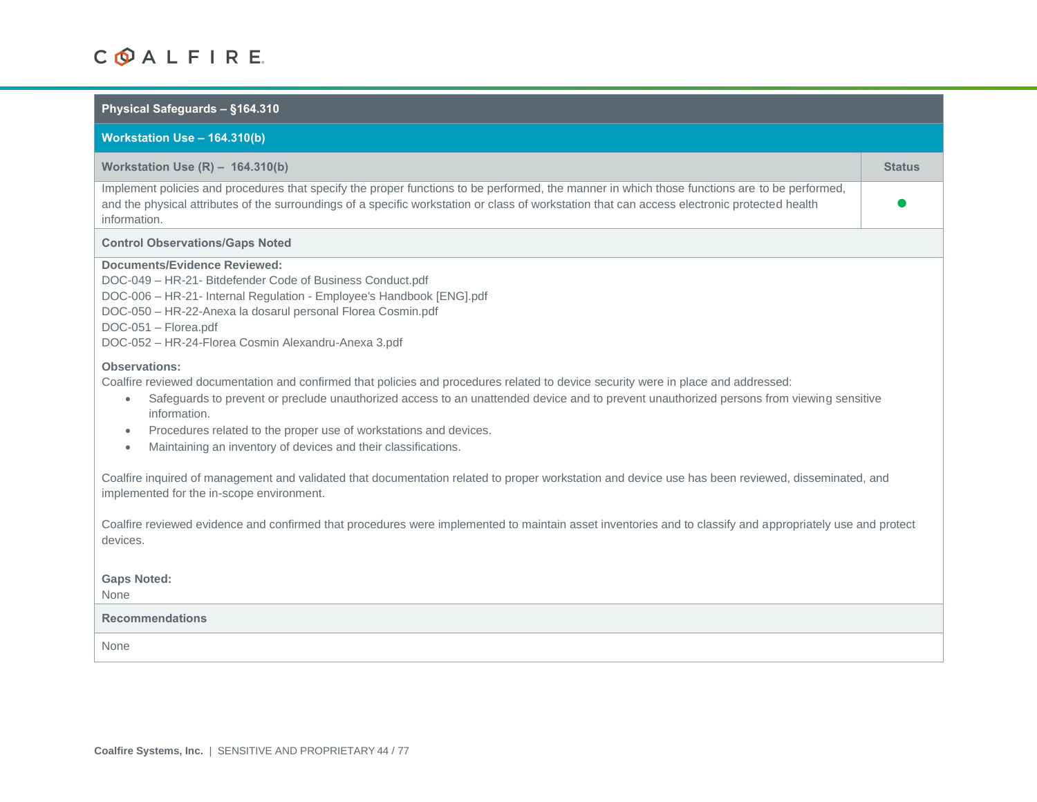| Physical Safeguards - §164.310                                                                                                                                                                                                                                                                                                                                                                                                                                                          |               |
|-----------------------------------------------------------------------------------------------------------------------------------------------------------------------------------------------------------------------------------------------------------------------------------------------------------------------------------------------------------------------------------------------------------------------------------------------------------------------------------------|---------------|
| Workstation Use - 164.310(b)                                                                                                                                                                                                                                                                                                                                                                                                                                                            |               |
| Workstation Use $(R)$ – 164.310(b)                                                                                                                                                                                                                                                                                                                                                                                                                                                      | <b>Status</b> |
| Implement policies and procedures that specify the proper functions to be performed, the manner in which those functions are to be performed,<br>and the physical attributes of the surroundings of a specific workstation or class of workstation that can access electronic protected health<br>information.                                                                                                                                                                          |               |
| <b>Control Observations/Gaps Noted</b>                                                                                                                                                                                                                                                                                                                                                                                                                                                  |               |
| <b>Documents/Evidence Reviewed:</b><br>DOC-049 - HR-21- Bitdefender Code of Business Conduct.pdf<br>DOC-006 - HR-21- Internal Regulation - Employee's Handbook [ENG].pdf<br>DOC-050 - HR-22-Anexa la dosarul personal Florea Cosmin.pdf<br>DOC-051 - Florea.pdf<br>DOC-052 - HR-24-Florea Cosmin Alexandru-Anexa 3.pdf                                                                                                                                                                  |               |
| <b>Observations:</b><br>Coalfire reviewed documentation and confirmed that policies and procedures related to device security were in place and addressed:<br>Safeguards to prevent or preclude unauthorized access to an unattended device and to prevent unauthorized persons from viewing sensitive<br>$\bullet$<br>information.<br>Procedures related to the proper use of workstations and devices.<br>Maintaining an inventory of devices and their classifications.<br>$\bullet$ |               |
| Coalfire inquired of management and validated that documentation related to proper workstation and device use has been reviewed, disseminated, and<br>implemented for the in-scope environment.                                                                                                                                                                                                                                                                                         |               |
| Coalfire reviewed evidence and confirmed that procedures were implemented to maintain asset inventories and to classify and appropriately use and protect<br>devices.                                                                                                                                                                                                                                                                                                                   |               |
| <b>Gaps Noted:</b><br>None                                                                                                                                                                                                                                                                                                                                                                                                                                                              |               |
| <b>Recommendations</b>                                                                                                                                                                                                                                                                                                                                                                                                                                                                  |               |
| None                                                                                                                                                                                                                                                                                                                                                                                                                                                                                    |               |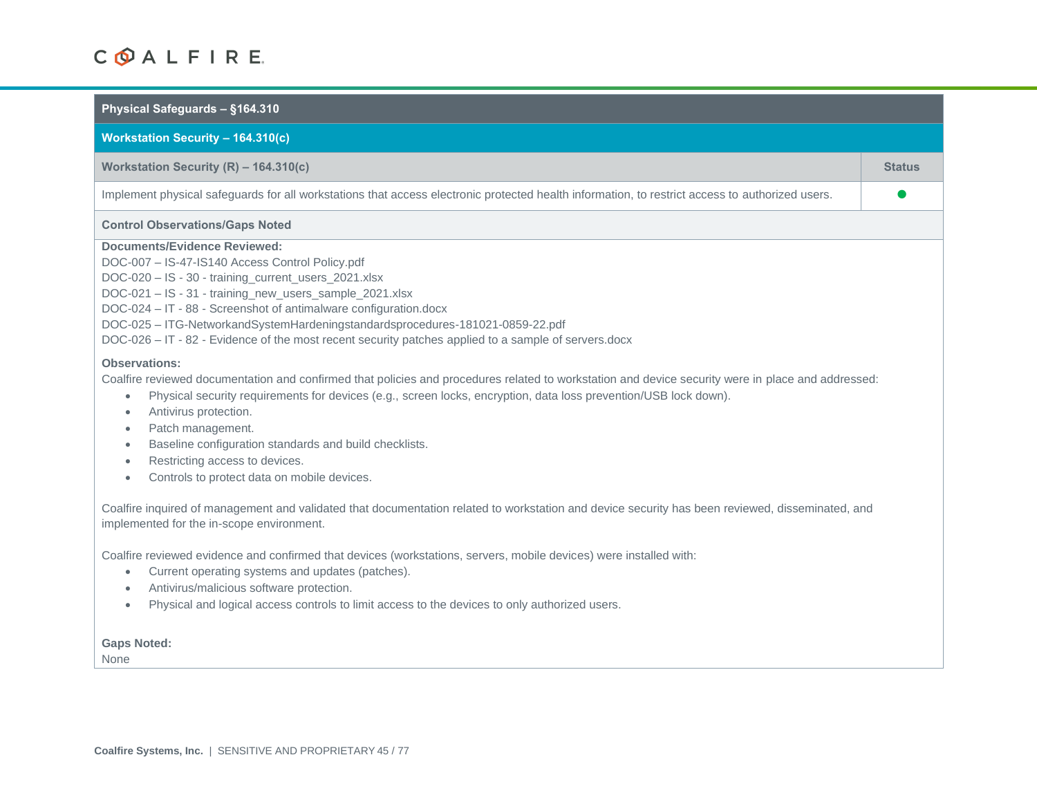| Physical Safeguards - §164.310                                                                                                                                                                                                                                                                                                                                                                                                                                                                                                                                        |               |
|-----------------------------------------------------------------------------------------------------------------------------------------------------------------------------------------------------------------------------------------------------------------------------------------------------------------------------------------------------------------------------------------------------------------------------------------------------------------------------------------------------------------------------------------------------------------------|---------------|
| <b>Workstation Security - 164.310(c)</b>                                                                                                                                                                                                                                                                                                                                                                                                                                                                                                                              |               |
| Workstation Security (R) - 164.310(c)                                                                                                                                                                                                                                                                                                                                                                                                                                                                                                                                 | <b>Status</b> |
| Implement physical safeguards for all workstations that access electronic protected health information, to restrict access to authorized users.                                                                                                                                                                                                                                                                                                                                                                                                                       |               |
| <b>Control Observations/Gaps Noted</b>                                                                                                                                                                                                                                                                                                                                                                                                                                                                                                                                |               |
| <b>Documents/Evidence Reviewed:</b><br>DOC-007 - IS-47-IS140 Access Control Policy.pdf<br>DOC-020 - IS - 30 - training_current_users_2021.xlsx<br>DOC-021 - IS - 31 - training_new_users_sample_2021.xlsx<br>DOC-024 - IT - 88 - Screenshot of antimalware configuration.docx<br>DOC-025 - ITG-NetworkandSystemHardeningstandardsprocedures-181021-0859-22.pdf<br>DOC-026 - IT - 82 - Evidence of the most recent security patches applied to a sample of servers.docx                                                                                                |               |
| <b>Observations:</b><br>Coalfire reviewed documentation and confirmed that policies and procedures related to workstation and device security were in place and addressed:<br>Physical security requirements for devices (e.g., screen locks, encryption, data loss prevention/USB lock down).<br>$\bullet$<br>Antivirus protection.<br>$\bullet$<br>Patch management.<br>$\bullet$<br>Baseline configuration standards and build checklists.<br>$\bullet$<br>Restricting access to devices.<br>$\bullet$<br>Controls to protect data on mobile devices.<br>$\bullet$ |               |
| Coalfire inquired of management and validated that documentation related to workstation and device security has been reviewed, disseminated, and<br>implemented for the in-scope environment.                                                                                                                                                                                                                                                                                                                                                                         |               |
| Coalfire reviewed evidence and confirmed that devices (workstations, servers, mobile devices) were installed with:<br>Current operating systems and updates (patches).<br>$\bullet$<br>Antivirus/malicious software protection.<br>$\bullet$<br>Physical and logical access controls to limit access to the devices to only authorized users.                                                                                                                                                                                                                         |               |

### **Gaps Noted:**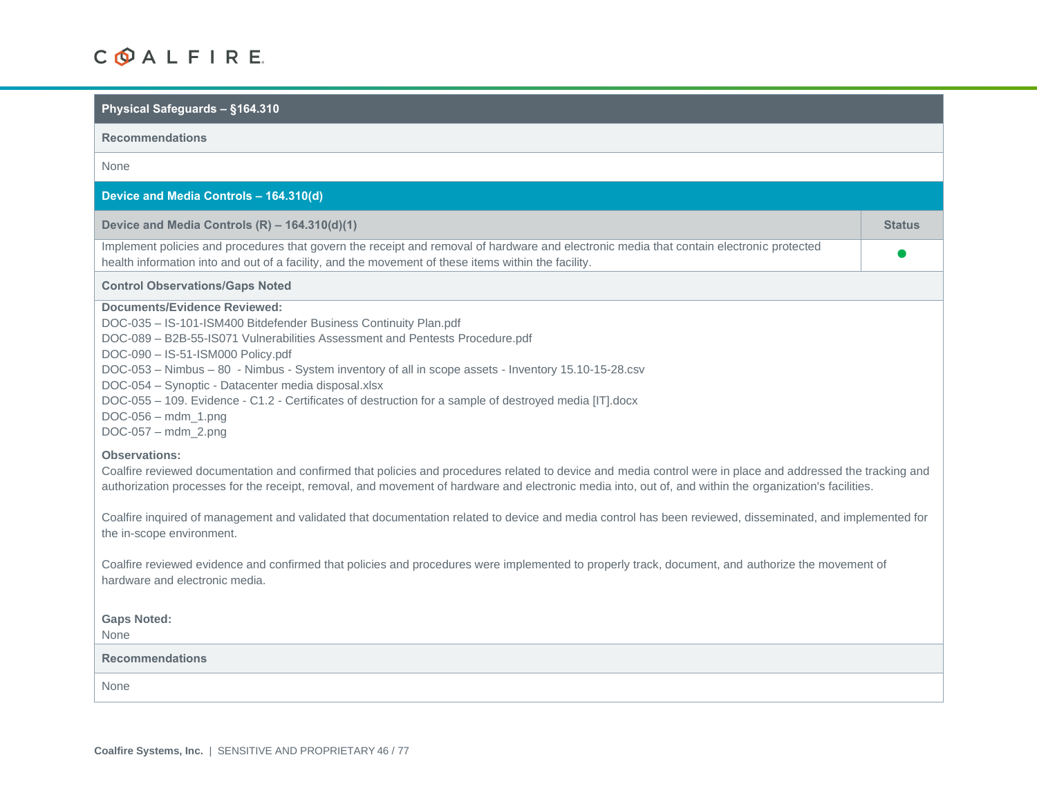| Physical Safeguards - §164.310                                                                                                                                                                                                                                                                                                                                                                                                                                                                                                                          |               |
|---------------------------------------------------------------------------------------------------------------------------------------------------------------------------------------------------------------------------------------------------------------------------------------------------------------------------------------------------------------------------------------------------------------------------------------------------------------------------------------------------------------------------------------------------------|---------------|
| <b>Recommendations</b>                                                                                                                                                                                                                                                                                                                                                                                                                                                                                                                                  |               |
| None                                                                                                                                                                                                                                                                                                                                                                                                                                                                                                                                                    |               |
| Device and Media Controls - 164.310(d)                                                                                                                                                                                                                                                                                                                                                                                                                                                                                                                  |               |
| Device and Media Controls (R) - 164.310(d)(1)                                                                                                                                                                                                                                                                                                                                                                                                                                                                                                           | <b>Status</b> |
| Implement policies and procedures that govern the receipt and removal of hardware and electronic media that contain electronic protected<br>health information into and out of a facility, and the movement of these items within the facility.                                                                                                                                                                                                                                                                                                         |               |
| <b>Control Observations/Gaps Noted</b>                                                                                                                                                                                                                                                                                                                                                                                                                                                                                                                  |               |
| <b>Documents/Evidence Reviewed:</b><br>DOC-035 - IS-101-ISM400 Bitdefender Business Continuity Plan.pdf<br>DOC-089 - B2B-55-IS071 Vulnerabilities Assessment and Pentests Procedure.pdf<br>DOC-090 - IS-51-ISM000 Policy.pdf<br>DOC-053 - Nimbus - 80 - Nimbus - System inventory of all in scope assets - Inventory 15.10-15-28.csv<br>DOC-054 - Synoptic - Datacenter media disposal.xlsx<br>DOC-055 - 109. Evidence - C1.2 - Certificates of destruction for a sample of destroyed media [IT].docx<br>$DOC-056 - mdm_1.png$<br>$DOC-057 - mdm_2.png$ |               |
| <b>Observations:</b><br>Coalfire reviewed documentation and confirmed that policies and procedures related to device and media control were in place and addressed the tracking and<br>authorization processes for the receipt, removal, and movement of hardware and electronic media into, out of, and within the organization's facilities.                                                                                                                                                                                                          |               |
| Coalfire inquired of management and validated that documentation related to device and media control has been reviewed, disseminated, and implemented for<br>the in-scope environment.                                                                                                                                                                                                                                                                                                                                                                  |               |
| Coalfire reviewed evidence and confirmed that policies and procedures were implemented to properly track, document, and authorize the movement of<br>hardware and electronic media.                                                                                                                                                                                                                                                                                                                                                                     |               |
| <b>Gaps Noted:</b><br>None                                                                                                                                                                                                                                                                                                                                                                                                                                                                                                                              |               |
| <b>Recommendations</b>                                                                                                                                                                                                                                                                                                                                                                                                                                                                                                                                  |               |
| None                                                                                                                                                                                                                                                                                                                                                                                                                                                                                                                                                    |               |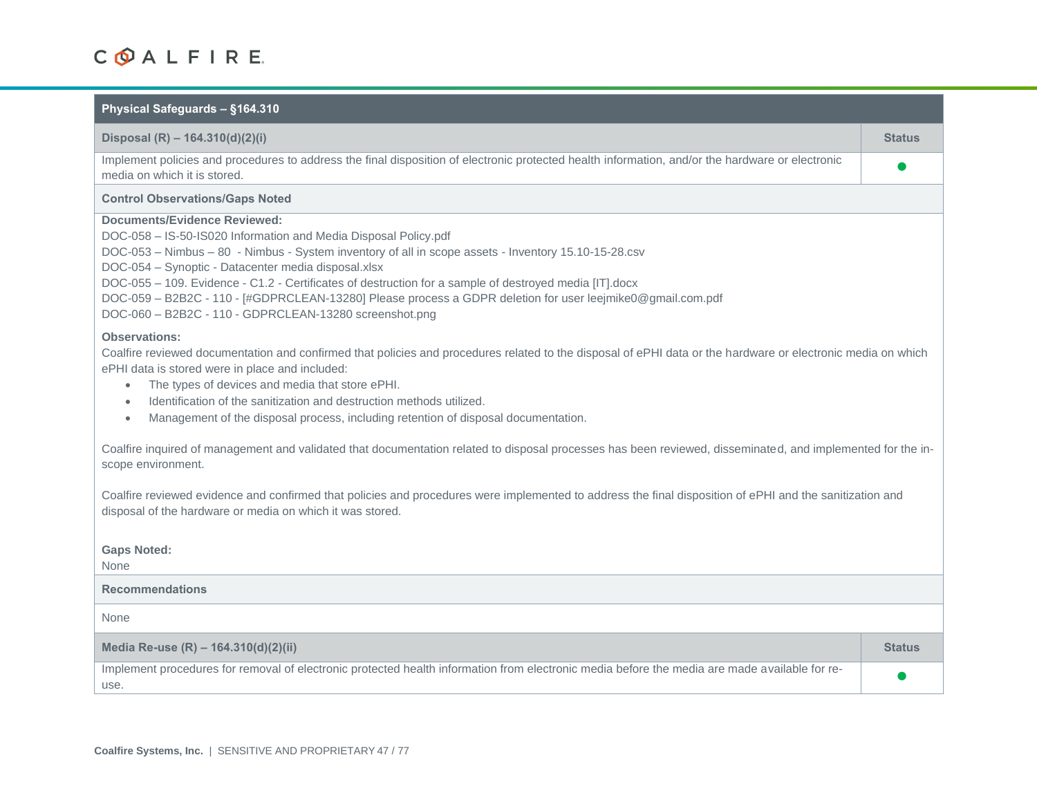| Physical Safeguards - §164.310                                                                                                                                                                                                                                                                                                                                                                                                                                                                                                                          |               |
|---------------------------------------------------------------------------------------------------------------------------------------------------------------------------------------------------------------------------------------------------------------------------------------------------------------------------------------------------------------------------------------------------------------------------------------------------------------------------------------------------------------------------------------------------------|---------------|
| Disposal (R) - 164.310(d)(2)(i)                                                                                                                                                                                                                                                                                                                                                                                                                                                                                                                         | <b>Status</b> |
| Implement policies and procedures to address the final disposition of electronic protected health information, and/or the hardware or electronic<br>media on which it is stored.                                                                                                                                                                                                                                                                                                                                                                        |               |
| <b>Control Observations/Gaps Noted</b>                                                                                                                                                                                                                                                                                                                                                                                                                                                                                                                  |               |
| <b>Documents/Evidence Reviewed:</b><br>DOC-058 - IS-50-IS020 Information and Media Disposal Policy.pdf<br>DOC-053 - Nimbus - 80 - Nimbus - System inventory of all in scope assets - Inventory 15.10-15-28.csv<br>DOC-054 - Synoptic - Datacenter media disposal.xlsx<br>DOC-055 - 109. Evidence - C1.2 - Certificates of destruction for a sample of destroyed media [IT].docx<br>DOC-059 - B2B2C - 110 - [#GDPRCLEAN-13280] Please process a GDPR deletion for user leejmike0@gmail.com.pdf<br>DOC-060 - B2B2C - 110 - GDPRCLEAN-13280 screenshot.png |               |
| <b>Observations:</b><br>Coalfire reviewed documentation and confirmed that policies and procedures related to the disposal of ePHI data or the hardware or electronic media on which<br>ePHI data is stored were in place and included:<br>The types of devices and media that store ePHI.<br>$\bullet$<br>Identification of the sanitization and destruction methods utilized.<br>٠<br>Management of the disposal process, including retention of disposal documentation.<br>$\bullet$                                                                 |               |
| Coalfire inquired of management and validated that documentation related to disposal processes has been reviewed, disseminated, and implemented for the in-<br>scope environment.                                                                                                                                                                                                                                                                                                                                                                       |               |
| Coalfire reviewed evidence and confirmed that policies and procedures were implemented to address the final disposition of ePHI and the sanitization and<br>disposal of the hardware or media on which it was stored.                                                                                                                                                                                                                                                                                                                                   |               |
| <b>Gaps Noted:</b><br><b>None</b>                                                                                                                                                                                                                                                                                                                                                                                                                                                                                                                       |               |
| <b>Recommendations</b>                                                                                                                                                                                                                                                                                                                                                                                                                                                                                                                                  |               |
| <b>None</b>                                                                                                                                                                                                                                                                                                                                                                                                                                                                                                                                             |               |
| Media Re-use (R) - 164.310(d)(2)(ii)                                                                                                                                                                                                                                                                                                                                                                                                                                                                                                                    | <b>Status</b> |
| Implement procedures for removal of electronic protected health information from electronic media before the media are made available for re-<br>use.                                                                                                                                                                                                                                                                                                                                                                                                   |               |

m.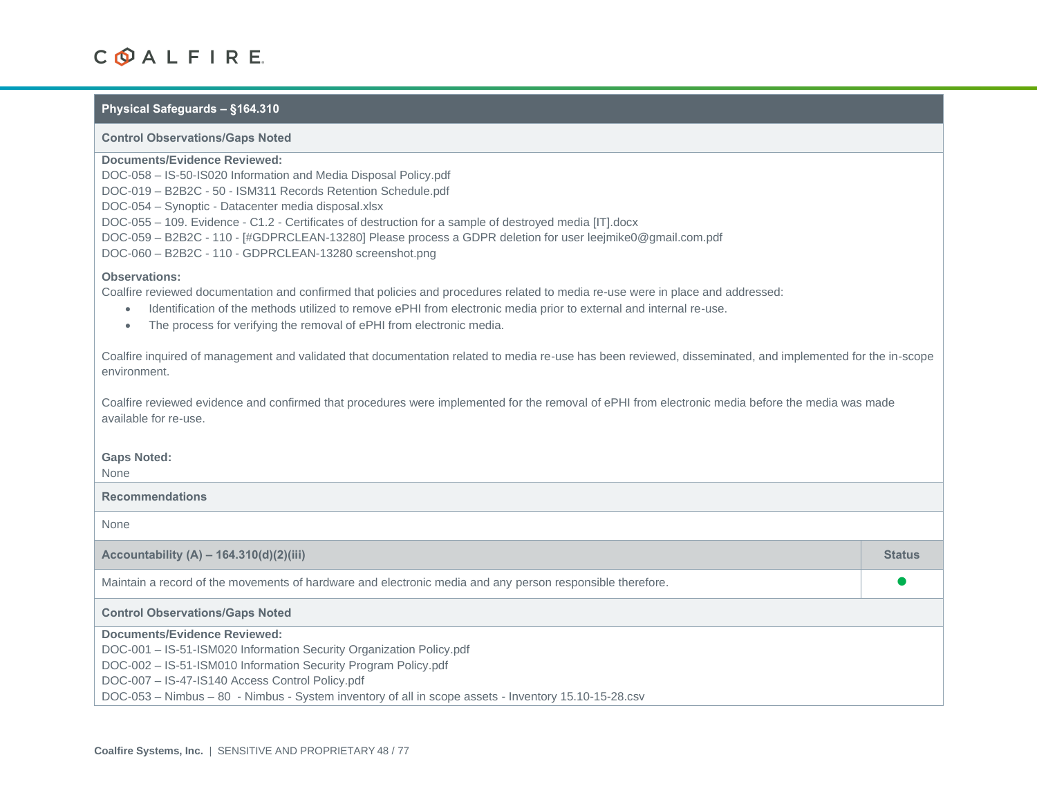### **Physical Safeguards – §164.310**

### **Control Observations/Gaps Noted**

### **Documents/Evidence Reviewed:**

DOC-058 – IS-50-IS020 Information and Media Disposal Policy.pdf DOC-019 – B2B2C - 50 - ISM311 Records Retention Schedule.pdf DOC-054 – Synoptic - Datacenter media disposal.xlsx DOC-055 – 109. Evidence - C1.2 - Certificates of destruction for a sample of destroyed media [IT].docx DOC-059 – B2B2C - 110 - [#GDPRCLEAN-13280] Please process a GDPR deletion for user leejmike0@gmail.com.pdf DOC-060 – B2B2C - 110 - GDPRCLEAN-13280 screenshot.png

### **Observations:**

Coalfire reviewed documentation and confirmed that policies and procedures related to media re-use were in place and addressed:

- Identification of the methods utilized to remove ePHI from electronic media prior to external and internal re-use.
- The process for verifying the removal of ePHI from electronic media.

Coalfire inquired of management and validated that documentation related to media re-use has been reviewed, disseminated, and implemented for the in-scope environment.

Coalfire reviewed evidence and confirmed that procedures were implemented for the removal of ePHI from electronic media before the media was made available for re-use.

#### **Gaps Noted:**

None

**Recommendations**

| Accountability $(A) - 164.310(d)(2)(iii)$                                                                 | <b>Status</b> |
|-----------------------------------------------------------------------------------------------------------|---------------|
| Maintain a record of the movements of hardware and electronic media and any person responsible therefore. |               |
| <b>Control Observations/Gaps Noted</b>                                                                    |               |
| Documents/Evidence Reviewed:                                                                              |               |
| DOC-001 - IS-51-ISM020 Information Security Organization Policy.pdf                                       |               |
| DOC-002 - IS-51-ISM010 Information Security Program Policy.pdf                                            |               |
| DOC-007 - IS-47-IS140 Access Control Policy.pdf                                                           |               |
| DOC-053 – Nimbus – 80 - Nimbus - System inventory of all in scope assets - Inventory 15.10-15-28.csv      |               |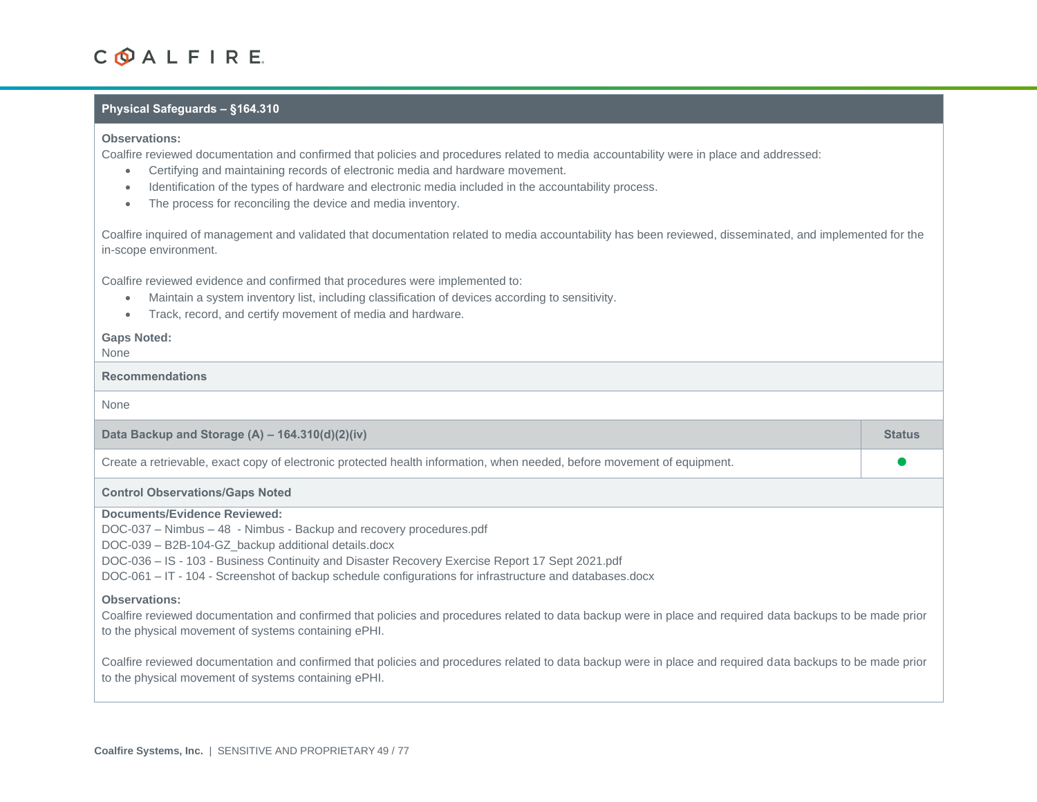### **Physical Safeguards – §164.310**

### **Observations:**

Coalfire reviewed documentation and confirmed that policies and procedures related to media accountability were in place and addressed:

- Certifying and maintaining records of electronic media and hardware movement.
- Identification of the types of hardware and electronic media included in the accountability process.
- The process for reconciling the device and media inventory.

Coalfire inquired of management and validated that documentation related to media accountability has been reviewed, disseminated, and implemented for the in-scope environment.

Coalfire reviewed evidence and confirmed that procedures were implemented to:

- Maintain a system inventory list, including classification of devices according to sensitivity.
- Track, record, and certify movement of media and hardware.

### **Gaps Noted:**

None

### **Recommendations**

| סווטו                                                                                                                                                                                                                                      |               |
|--------------------------------------------------------------------------------------------------------------------------------------------------------------------------------------------------------------------------------------------|---------------|
| Data Backup and Storage (A) - 164.310(d)(2)(iv)                                                                                                                                                                                            | <b>Status</b> |
| Create a retrievable, exact copy of electronic protected health information, when needed, before movement of equipment.                                                                                                                    |               |
| <b>Control Observations/Gaps Noted</b>                                                                                                                                                                                                     |               |
| Documents/Evidence Reviewed:                                                                                                                                                                                                               |               |
| DOC-037 – Nimbus – 48 - Nimbus - Backup and recovery procedures.pdf                                                                                                                                                                        |               |
| DOC-039 - B2B-104-GZ_backup additional details.docx                                                                                                                                                                                        |               |
| DOC-036 - IS - 103 - Business Continuity and Disaster Recovery Exercise Report 17 Sept 2021.pdf                                                                                                                                            |               |
| DOC-061 - IT - 104 - Screenshot of backup schedule configurations for infrastructure and databases.docx                                                                                                                                    |               |
| <b>Observations:</b><br>Coalfire reviewed documentation and confirmed that policies and procedures related to data backup were in place and required data backups to be made prior<br>to the physical movement of systems containing ePHI. |               |
| Coalfire reviewed documentation and confirmed that policies and procedures related to data backup were in place and required data backups to be made prior<br>to the physical movement of systems containing ePHI.                         |               |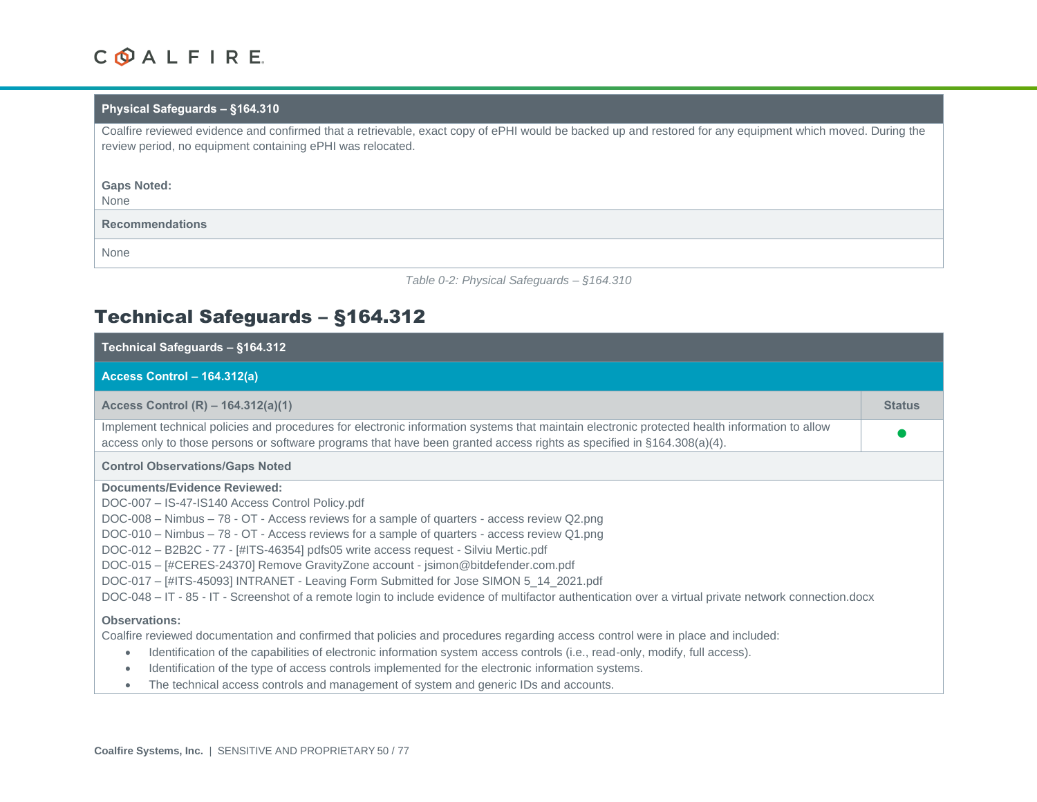### **Physical Safeguards – §164.310**

Coalfire reviewed evidence and confirmed that a retrievable, exact copy of ePHI would be backed up and restored for any equipment which moved. During the review period, no equipment containing ePHI was relocated.

### **Gaps Noted:**

None

### **Recommendations**

None

*Table 0-2: Physical Safeguards – §164.310*

### Technical Safeguards – §164.312

| Technical Safeguards - §164.312                                                                                                                                                                                                                                                                                                                                                                                                                                                                                                                                                                                                                                                                                    |               |
|--------------------------------------------------------------------------------------------------------------------------------------------------------------------------------------------------------------------------------------------------------------------------------------------------------------------------------------------------------------------------------------------------------------------------------------------------------------------------------------------------------------------------------------------------------------------------------------------------------------------------------------------------------------------------------------------------------------------|---------------|
| Access Control - 164.312(a)                                                                                                                                                                                                                                                                                                                                                                                                                                                                                                                                                                                                                                                                                        |               |
| Access Control (R) - 164.312(a)(1)                                                                                                                                                                                                                                                                                                                                                                                                                                                                                                                                                                                                                                                                                 | <b>Status</b> |
| Implement technical policies and procedures for electronic information systems that maintain electronic protected health information to allow<br>access only to those persons or software programs that have been granted access rights as specified in $\S 164.308(a)(4)$ .                                                                                                                                                                                                                                                                                                                                                                                                                                       |               |
| <b>Control Observations/Gaps Noted</b>                                                                                                                                                                                                                                                                                                                                                                                                                                                                                                                                                                                                                                                                             |               |
| <b>Documents/Evidence Reviewed:</b><br>DOC-007 - IS-47-IS140 Access Control Policy.pdf<br>DOC-008 - Nimbus - 78 - OT - Access reviews for a sample of quarters - access review Q2.png<br>DOC-010 - Nimbus - 78 - OT - Access reviews for a sample of quarters - access review Q1.png<br>DOC-012 - B2B2C - 77 - [#ITS-46354] pdfs05 write access request - Silviu Mertic.pdf<br>DOC-015 - [#CERES-24370] Remove GravityZone account - jsimon@bitdefender.com.pdf<br>DOC-017 - [#ITS-45093] INTRANET - Leaving Form Submitted for Jose SIMON 5_14_2021.pdf<br>DOC-048 - IT - 85 - IT - Screenshot of a remote login to include evidence of multifactor authentication over a virtual private network connection.docx |               |
| <b>Observations:</b><br>Coalfire reviewed documentation and confirmed that policies and procedures regarding access control were in place and included:<br>Identification of the capabilities of electronic information system access controls (i.e., read-only, modify, full access).<br>$\bullet$<br>Identification of the type of access controls implemented for the electronic information systems.<br>$\bullet$<br>The technical access controls and management of system and generic IDs and accounts.                                                                                                                                                                                                      |               |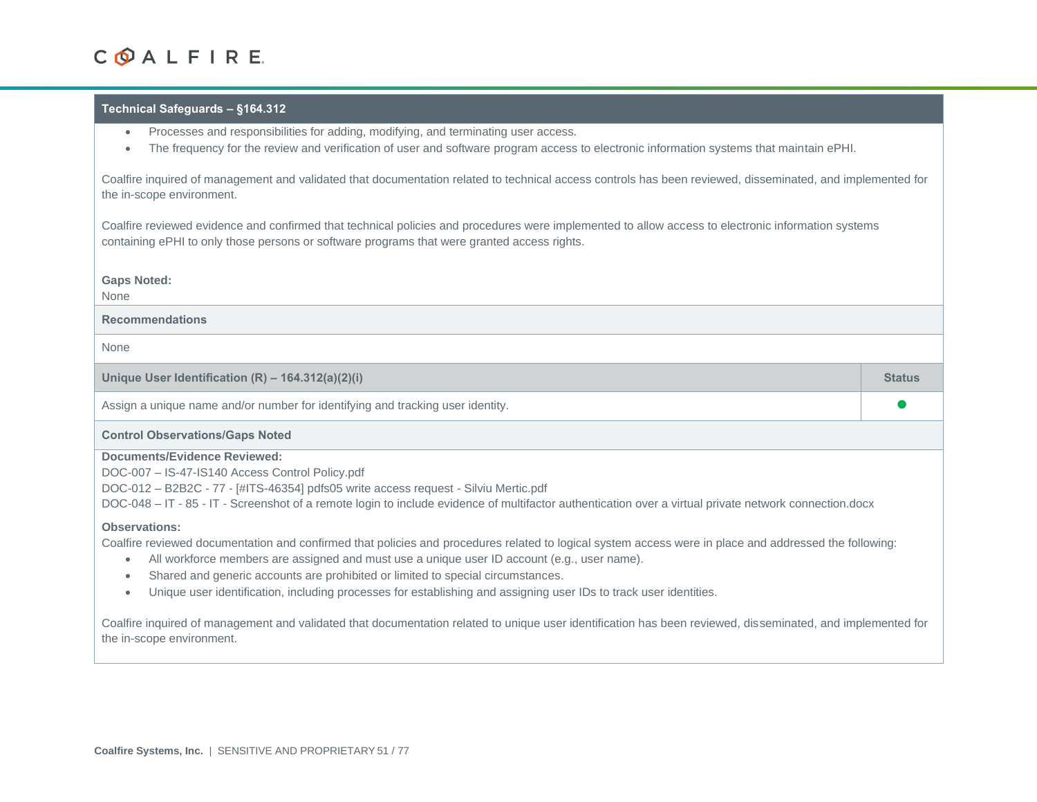### **Technical Safeguards – §164.312**

- Processes and responsibilities for adding, modifying, and terminating user access.
- The frequency for the review and verification of user and software program access to electronic information systems that maintain ePHI.

Coalfire inquired of management and validated that documentation related to technical access controls has been reviewed, disseminated, and implemented for the in-scope environment.

Coalfire reviewed evidence and confirmed that technical policies and procedures were implemented to allow access to electronic information systems containing ePHI to only those persons or software programs that were granted access rights.

#### **Gaps Noted:**

None

**Recommendations**

None

**Unique User Identification (R) – 164.312(a)(2)(i) Status**

Assign a unique name and/or number for identifying and tracking user identity.

### **Control Observations/Gaps Noted**

### **Documents/Evidence Reviewed:**

DOC-007 – IS-47-IS140 Access Control Policy.pdf DOC-012 – B2B2C - 77 - [#ITS-46354] pdfs05 write access request - Silviu Mertic.pdf DOC-048 – IT - 85 - IT - Screenshot of a remote login to include evidence of multifactor authentication over a virtual private network connection.docx

### **Observations:**

Coalfire reviewed documentation and confirmed that policies and procedures related to logical system access were in place and addressed the following:

- All workforce members are assigned and must use a unique user ID account (e.g., user name).
- Shared and generic accounts are prohibited or limited to special circumstances.
- Unique user identification, including processes for establishing and assigning user IDs to track user identities.

Coalfire inquired of management and validated that documentation related to unique user identification has been reviewed, disseminated, and implemented for the in-scope environment.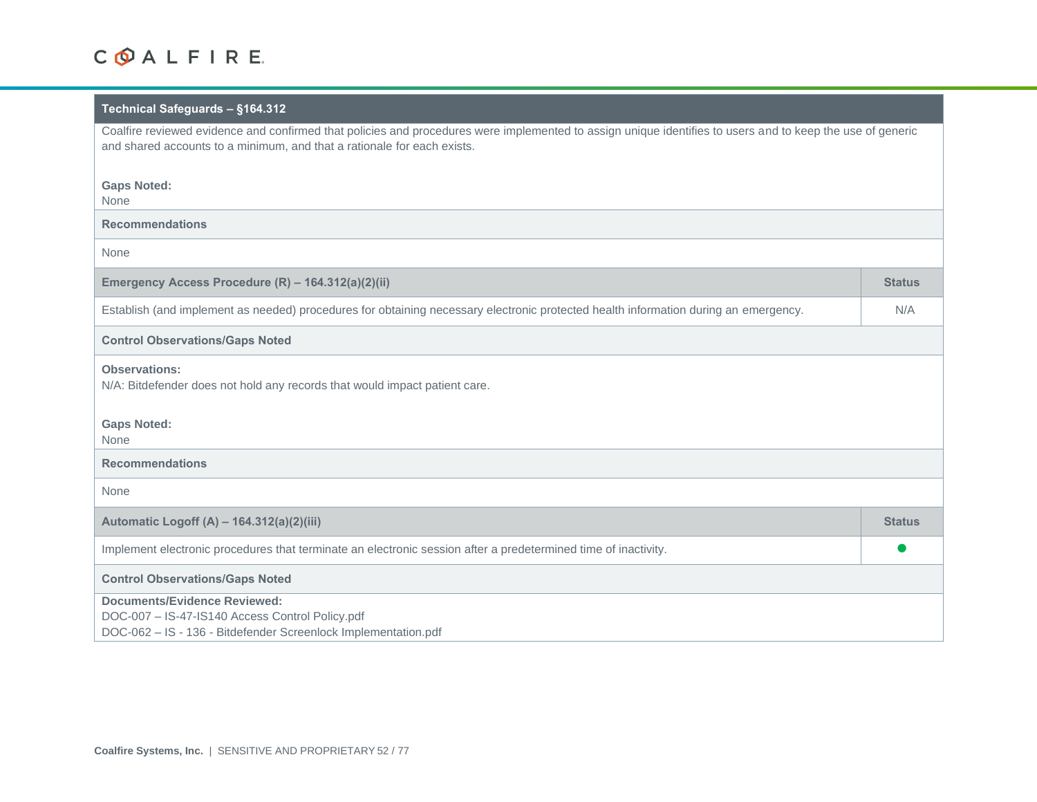### **Technical Safeguards – §164.312**

Coalfire reviewed evidence and confirmed that policies and procedures were implemented to assign unique identifies to users and to keep the use of generic and shared accounts to a minimum, and that a rationale for each exists.

### **Gaps Noted:**

None

### **Recommendations**

| None                                                                                                                                                     |               |
|----------------------------------------------------------------------------------------------------------------------------------------------------------|---------------|
| Emergency Access Procedure (R) - 164.312(a)(2)(ii)                                                                                                       | <b>Status</b> |
| Establish (and implement as needed) procedures for obtaining necessary electronic protected health information during an emergency.                      | N/A           |
| <b>Control Observations/Gaps Noted</b>                                                                                                                   |               |
| <b>Observations:</b><br>N/A: Bitdefender does not hold any records that would impact patient care.                                                       |               |
| <b>Gaps Noted:</b><br>None                                                                                                                               |               |
| <b>Recommendations</b>                                                                                                                                   |               |
| None                                                                                                                                                     |               |
| Automatic Logoff (A) - 164.312(a)(2)(iii)                                                                                                                | <b>Status</b> |
| Implement electronic procedures that terminate an electronic session after a predetermined time of inactivity.                                           |               |
| <b>Control Observations/Gaps Noted</b>                                                                                                                   |               |
| <b>Documents/Evidence Reviewed:</b><br>DOC-007 - IS-47-IS140 Access Control Policy.pdf<br>DOC-062 - IS - 136 - Bitdefender Screenlock Implementation.pdf |               |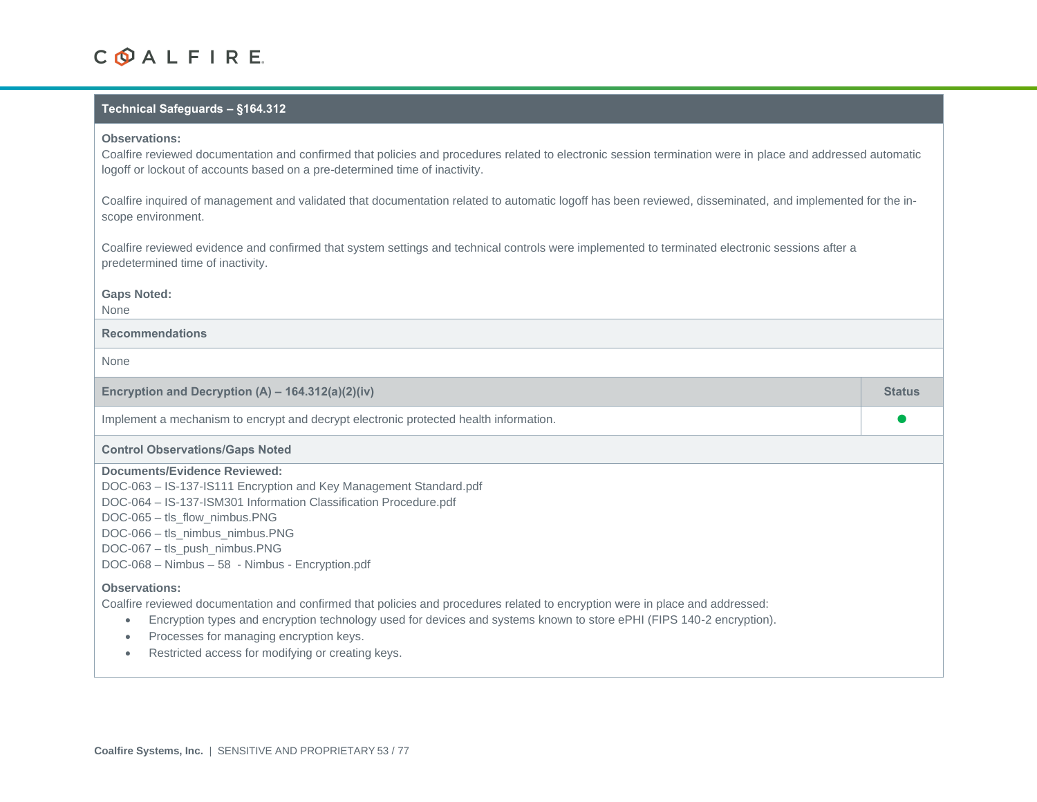### **Technical Safeguards – §164.312**

### **Observations:**

Coalfire reviewed documentation and confirmed that policies and procedures related to electronic session termination were in place and addressed automatic logoff or lockout of accounts based on a pre-determined time of inactivity.

Coalfire inquired of management and validated that documentation related to automatic logoff has been reviewed, disseminated, and implemented for the inscope environment.

Coalfire reviewed evidence and confirmed that system settings and technical controls were implemented to terminated electronic sessions after a predetermined time of inactivity.

### **Gaps Noted:**

None

### **Recommendations**

None

| Encryption and Decryption $(A) - 164.312(a)(2)(iv)$                                   | <b>Status</b> |
|---------------------------------------------------------------------------------------|---------------|
| Implement a mechanism to encrypt and decrypt electronic protected health information. |               |
| <b>Control Observations/Gaps Noted</b>                                                |               |

### **Documents/Evidence Reviewed:**

DOC-063 – IS-137-IS111 Encryption and Key Management Standard.pdf

DOC-064 – IS-137-ISM301 Information Classification Procedure.pdf

DOC-065 – tls\_flow\_nimbus.PNG

DOC-066 – tls\_nimbus\_nimbus.PNG

DOC-067 – tls\_push\_nimbus.PNG

DOC-068 – Nimbus – 58 - Nimbus - Encryption.pdf

### **Observations:**

Coalfire reviewed documentation and confirmed that policies and procedures related to encryption were in place and addressed:

- Encryption types and encryption technology used for devices and systems known to store ePHI (FIPS 140-2 encryption).
- Processes for managing encryption keys.
- Restricted access for modifying or creating keys.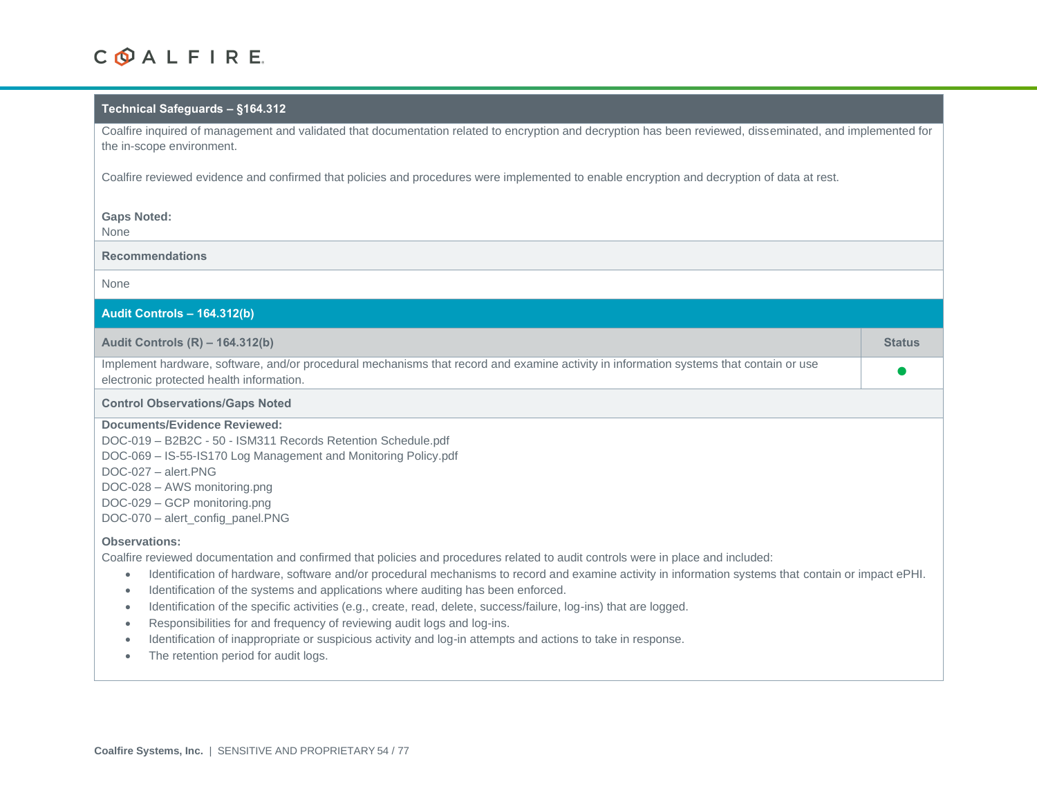### **Technical Safeguards – §164.312**

Coalfire inquired of management and validated that documentation related to encryption and decryption has been reviewed, disseminated, and implemented for the in-scope environment.

Coalfire reviewed evidence and confirmed that policies and procedures were implemented to enable encryption and decryption of data at rest.

### **Gaps Noted:**

None

### **Recommendations**

| <b>Audit Controls - 164.312(b)</b>                                                                                                                                                                                                                                                                                                                                                                                                                                                                                                                                                                                               |               |
|----------------------------------------------------------------------------------------------------------------------------------------------------------------------------------------------------------------------------------------------------------------------------------------------------------------------------------------------------------------------------------------------------------------------------------------------------------------------------------------------------------------------------------------------------------------------------------------------------------------------------------|---------------|
| Audit Controls (R) – 164.312(b)                                                                                                                                                                                                                                                                                                                                                                                                                                                                                                                                                                                                  | <b>Status</b> |
| Implement hardware, software, and/or procedural mechanisms that record and examine activity in information systems that contain or use<br>electronic protected health information.                                                                                                                                                                                                                                                                                                                                                                                                                                               |               |
| <b>Control Observations/Gaps Noted</b>                                                                                                                                                                                                                                                                                                                                                                                                                                                                                                                                                                                           |               |
| <b>Documents/Evidence Reviewed:</b><br>DOC-019 - B2B2C - 50 - ISM311 Records Retention Schedule.pdf<br>DOC-069 - IS-55-IS170 Log Management and Monitoring Policy.pdf<br>$DOC-027 - alert.PNG$<br>DOC-028 - AWS monitoring.png<br>DOC-029 - GCP monitoring.png<br>DOC-070 - alert_config_panel.PNG<br><b>Observations:</b><br>Coalfire reviewed documentation and confirmed that policies and procedures related to audit controls were in place and included:                                                                                                                                                                   |               |
| Identification of hardware, software and/or procedural mechanisms to record and examine activity in information systems that contain or impact ePHI.<br>$\bullet$<br>Identification of the systems and applications where auditing has been enforced.<br>٠<br>Identification of the specific activities (e.g., create, read, delete, success/failure, log-ins) that are logged.<br>٠<br>Responsibilities for and frequency of reviewing audit logs and log-ins.<br>٠<br>Identification of inappropriate or suspicious activity and log-in attempts and actions to take in response.<br>۰<br>The retention period for audit logs. |               |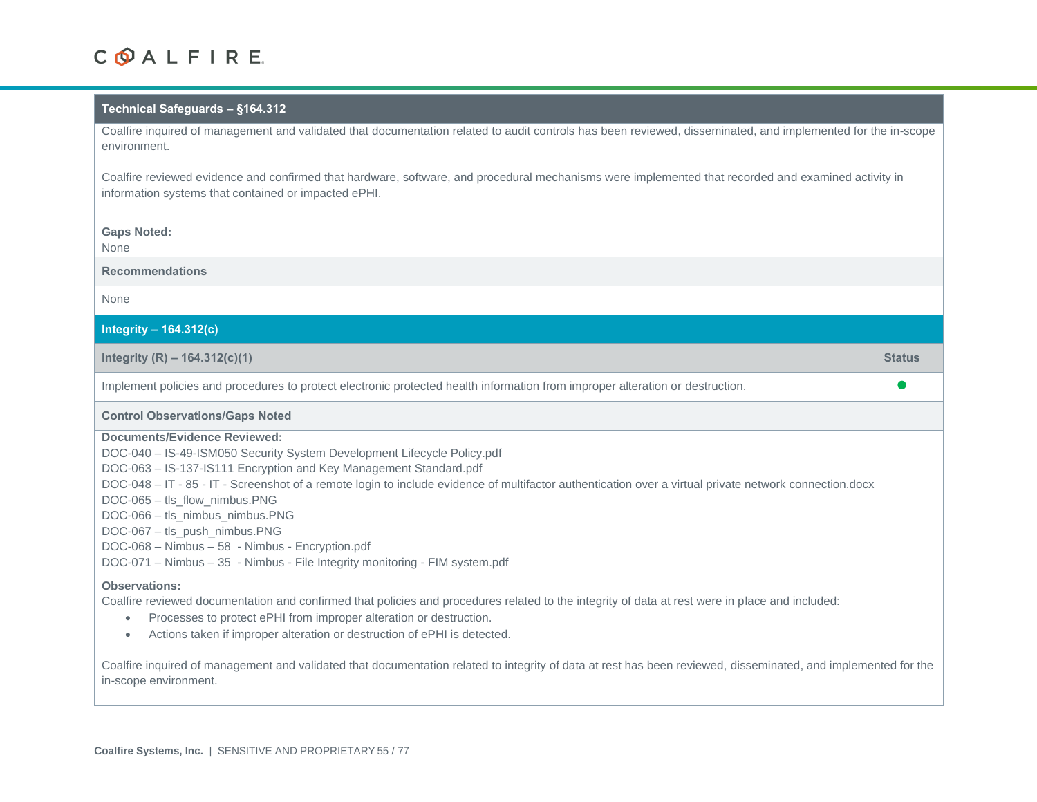### **Technical Safeguards – §164.312**

Coalfire inquired of management and validated that documentation related to audit controls has been reviewed, disseminated, and implemented for the in-scope environment.

Coalfire reviewed evidence and confirmed that hardware, software, and procedural mechanisms were implemented that recorded and examined activity in information systems that contained or impacted ePHI.

### **Gaps Noted:**

None

**Recommendations**

| Integrity $- 164.312(c)$                                                                                                                                                                                                                                                                                                                                                                                                                                                                                                                                                      |               |
|-------------------------------------------------------------------------------------------------------------------------------------------------------------------------------------------------------------------------------------------------------------------------------------------------------------------------------------------------------------------------------------------------------------------------------------------------------------------------------------------------------------------------------------------------------------------------------|---------------|
| Integrity $(R) - 164.312(c)(1)$                                                                                                                                                                                                                                                                                                                                                                                                                                                                                                                                               | <b>Status</b> |
| Implement policies and procedures to protect electronic protected health information from improper alteration or destruction.                                                                                                                                                                                                                                                                                                                                                                                                                                                 |               |
| <b>Control Observations/Gaps Noted</b>                                                                                                                                                                                                                                                                                                                                                                                                                                                                                                                                        |               |
| Documents/Evidence Reviewed:<br>DOC-040 - IS-49-ISM050 Security System Development Lifecycle Policy.pdf<br>DOC-063 - IS-137-IS111 Encryption and Key Management Standard.pdf<br>DOC-048 - IT - 85 - IT - Screenshot of a remote login to include evidence of multifactor authentication over a virtual private network connection.docx<br>DOC-065 - tls_flow_nimbus.PNG<br>DOC-066 - tls_nimbus_nimbus.PNG<br>DOC-067 - tls_push_nimbus.PNG<br>DOC-068 - Nimbus - 58 - Nimbus - Encryption.pdf<br>DOC-071 - Nimbus - 35 - Nimbus - File Integrity monitoring - FIM system.pdf |               |
| <b>Observations:</b><br>Coalfire reviewed documentation and confirmed that policies and procedures related to the integrity of data at rest were in place and included:<br>Processes to protect ePHI from improper alteration or destruction.<br>$\bullet$<br>Actions taken if improper alteration or destruction of ePHI is detected.                                                                                                                                                                                                                                        |               |
| Coalfire inquired of management and validated that documentation related to integrity of data at rest has been reviewed, disseminated, and implemented for the<br>in-scope environment.                                                                                                                                                                                                                                                                                                                                                                                       |               |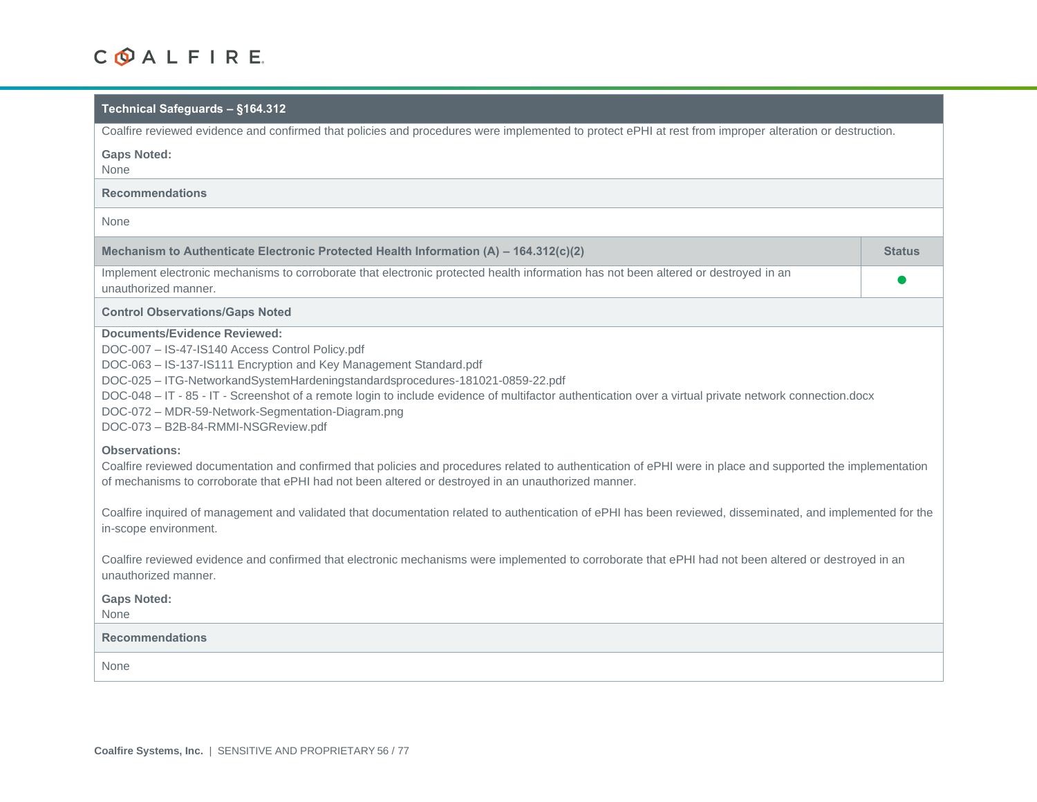### **Technical Safeguards – §164.312**

| Coalfire reviewed evidence and confirmed that policies and procedures were implemented to protect ePHI at rest from improper alteration or destruction.                                                                                                                                                                                                                                                                                                                                            |               |
|----------------------------------------------------------------------------------------------------------------------------------------------------------------------------------------------------------------------------------------------------------------------------------------------------------------------------------------------------------------------------------------------------------------------------------------------------------------------------------------------------|---------------|
| <b>Gaps Noted:</b><br>None                                                                                                                                                                                                                                                                                                                                                                                                                                                                         |               |
| <b>Recommendations</b>                                                                                                                                                                                                                                                                                                                                                                                                                                                                             |               |
| None                                                                                                                                                                                                                                                                                                                                                                                                                                                                                               |               |
| Mechanism to Authenticate Electronic Protected Health Information (A) - 164.312(c)(2)                                                                                                                                                                                                                                                                                                                                                                                                              | <b>Status</b> |
| Implement electronic mechanisms to corroborate that electronic protected health information has not been altered or destroyed in an<br>unauthorized manner.                                                                                                                                                                                                                                                                                                                                        |               |
| <b>Control Observations/Gaps Noted</b>                                                                                                                                                                                                                                                                                                                                                                                                                                                             |               |
| <b>Documents/Evidence Reviewed:</b><br>DOC-007 - IS-47-IS140 Access Control Policy.pdf<br>DOC-063 - IS-137-IS111 Encryption and Key Management Standard.pdf<br>DOC-025 - ITG-NetworkandSystemHardeningstandardsprocedures-181021-0859-22.pdf<br>DOC-048 - IT - 85 - IT - Screenshot of a remote login to include evidence of multifactor authentication over a virtual private network connection.docx<br>DOC-072 - MDR-59-Network-Segmentation-Diagram.png<br>DOC-073 - B2B-84-RMMI-NSGReview.pdf |               |
| <b>Observations:</b><br>Coalfire reviewed documentation and confirmed that policies and procedures related to authentication of ePHI were in place and supported the implementation<br>of mechanisms to corroborate that ePHI had not been altered or destroyed in an unauthorized manner.                                                                                                                                                                                                         |               |
| Coalfire inquired of management and validated that documentation related to authentication of ePHI has been reviewed, disseminated, and implemented for the<br>in-scope environment.                                                                                                                                                                                                                                                                                                               |               |
| Coalfire reviewed evidence and confirmed that electronic mechanisms were implemented to corroborate that ePHI had not been altered or destroyed in an<br>unauthorized manner.                                                                                                                                                                                                                                                                                                                      |               |
| <b>Gaps Noted:</b><br><b>None</b>                                                                                                                                                                                                                                                                                                                                                                                                                                                                  |               |
| <b>Recommendations</b>                                                                                                                                                                                                                                                                                                                                                                                                                                                                             |               |
| None                                                                                                                                                                                                                                                                                                                                                                                                                                                                                               |               |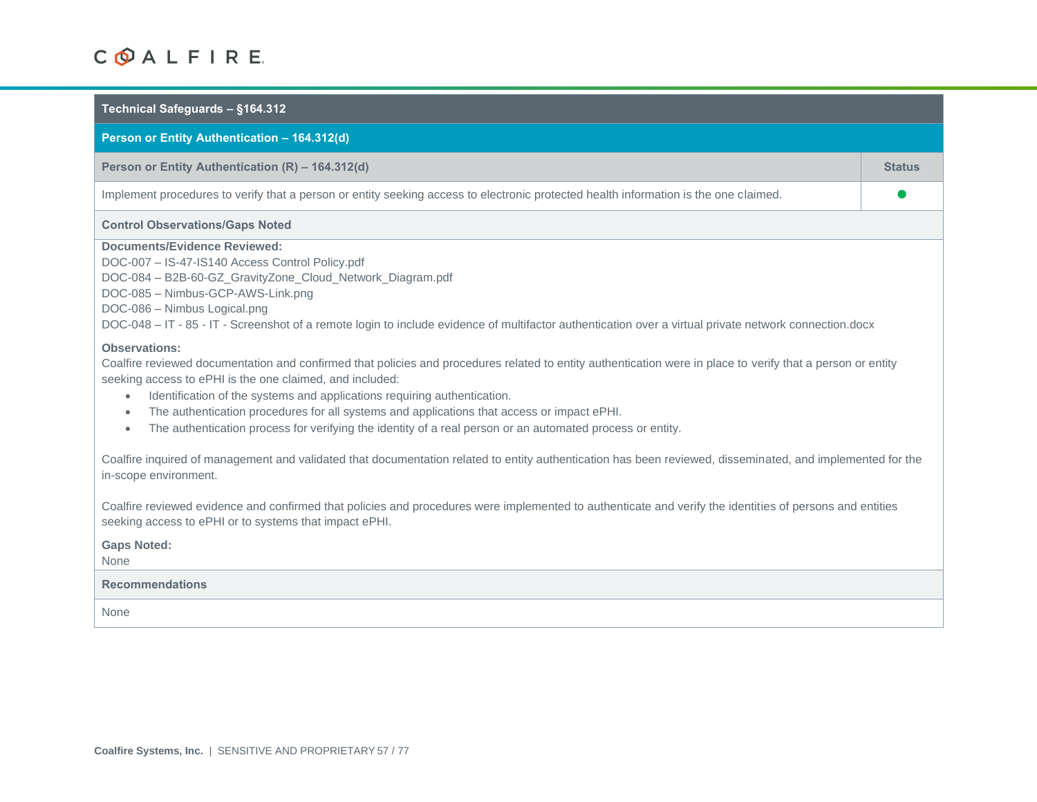| Technical Safeguards - §164.312                                                                                                                                                                                                                                                                                                                                                                                                                                                                                                                                       |               |
|-----------------------------------------------------------------------------------------------------------------------------------------------------------------------------------------------------------------------------------------------------------------------------------------------------------------------------------------------------------------------------------------------------------------------------------------------------------------------------------------------------------------------------------------------------------------------|---------------|
| Person or Entity Authentication - 164.312(d)                                                                                                                                                                                                                                                                                                                                                                                                                                                                                                                          |               |
| Person or Entity Authentication (R) - 164.312(d)                                                                                                                                                                                                                                                                                                                                                                                                                                                                                                                      | <b>Status</b> |
| Implement procedures to verify that a person or entity seeking access to electronic protected health information is the one claimed.                                                                                                                                                                                                                                                                                                                                                                                                                                  |               |
| <b>Control Observations/Gaps Noted</b>                                                                                                                                                                                                                                                                                                                                                                                                                                                                                                                                |               |
| <b>Documents/Evidence Reviewed:</b><br>DOC-007 - IS-47-IS140 Access Control Policy.pdf<br>DOC-084 - B2B-60-GZ_GravityZone_Cloud_Network_Diagram.pdf<br>DOC-085 - Nimbus-GCP-AWS-Link.png<br>DOC-086 - Nimbus Logical.png<br>DOC-048 - IT - 85 - IT - Screenshot of a remote login to include evidence of multifactor authentication over a virtual private network connection.docx                                                                                                                                                                                    |               |
| <b>Observations:</b><br>Coalfire reviewed documentation and confirmed that policies and procedures related to entity authentication were in place to verify that a person or entity<br>seeking access to ePHI is the one claimed, and included:<br>Identification of the systems and applications requiring authentication.<br>$\bullet$<br>The authentication procedures for all systems and applications that access or impact ePHI.<br>٠<br>The authentication process for verifying the identity of a real person or an automated process or entity.<br>$\bullet$ |               |
| Coalfire inquired of management and validated that documentation related to entity authentication has been reviewed, disseminated, and implemented for the<br>in-scope environment.                                                                                                                                                                                                                                                                                                                                                                                   |               |
| Coalfire reviewed evidence and confirmed that policies and procedures were implemented to authenticate and verify the identities of persons and entities<br>seeking access to ePHI or to systems that impact ePHI.                                                                                                                                                                                                                                                                                                                                                    |               |
| <b>Gaps Noted:</b><br>None                                                                                                                                                                                                                                                                                                                                                                                                                                                                                                                                            |               |
| <b>Recommendations</b>                                                                                                                                                                                                                                                                                                                                                                                                                                                                                                                                                |               |
| None                                                                                                                                                                                                                                                                                                                                                                                                                                                                                                                                                                  |               |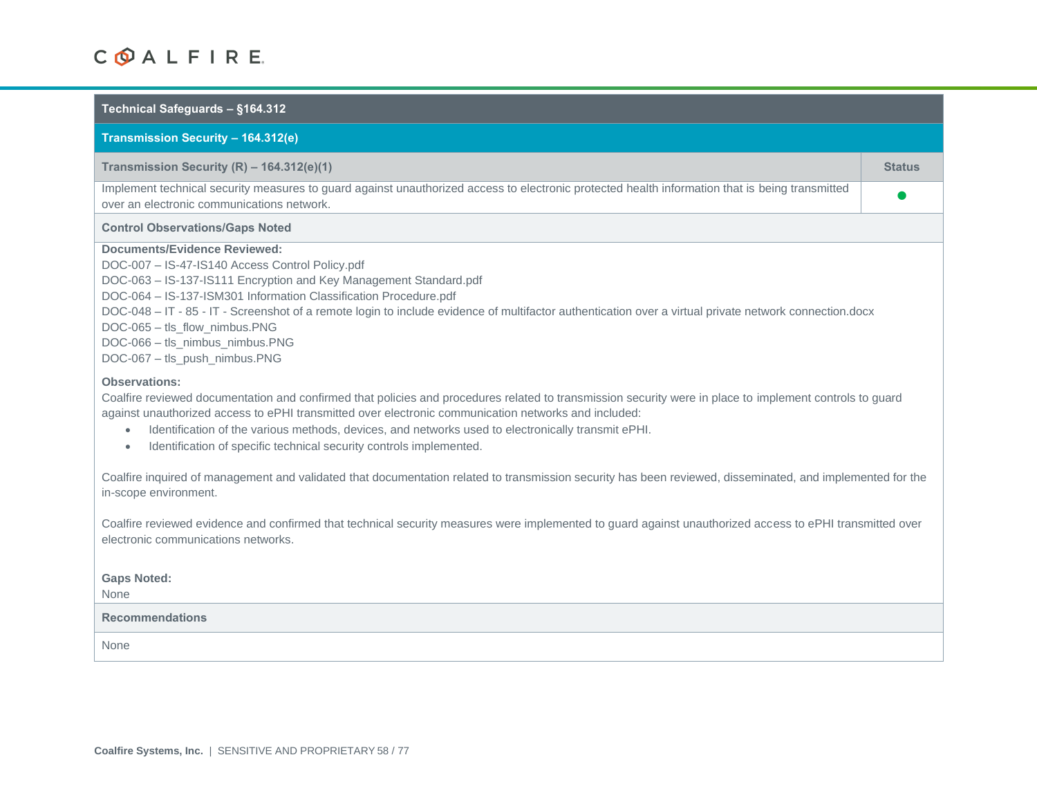| Technical Safeguards - §164.312                                                                                                                                                                                                                                                                                                                                                                                                                                                                |               |
|------------------------------------------------------------------------------------------------------------------------------------------------------------------------------------------------------------------------------------------------------------------------------------------------------------------------------------------------------------------------------------------------------------------------------------------------------------------------------------------------|---------------|
| Transmission Security - 164.312(e)                                                                                                                                                                                                                                                                                                                                                                                                                                                             |               |
| Transmission Security (R) $- 164.312(e)(1)$                                                                                                                                                                                                                                                                                                                                                                                                                                                    | <b>Status</b> |
| Implement technical security measures to guard against unauthorized access to electronic protected health information that is being transmitted<br>over an electronic communications network.                                                                                                                                                                                                                                                                                                  |               |
| <b>Control Observations/Gaps Noted</b>                                                                                                                                                                                                                                                                                                                                                                                                                                                         |               |
| <b>Documents/Evidence Reviewed:</b><br>DOC-007 - IS-47-IS140 Access Control Policy.pdf<br>DOC-063 - IS-137-IS111 Encryption and Key Management Standard.pdf<br>DOC-064 - IS-137-ISM301 Information Classification Procedure.pdf<br>DOC-048 - IT - 85 - IT - Screenshot of a remote login to include evidence of multifactor authentication over a virtual private network connection.docx<br>DOC-065 - tls_flow_nimbus.PNG<br>DOC-066 - tls_nimbus_nimbus.PNG<br>DOC-067 - tls_push_nimbus.PNG |               |
| <b>Observations:</b><br>Coalfire reviewed documentation and confirmed that policies and procedures related to transmission security were in place to implement controls to quard<br>against unauthorized access to ePHI transmitted over electronic communication networks and included:<br>Identification of the various methods, devices, and networks used to electronically transmit ePHI.<br>Identification of specific technical security controls implemented.<br>٠                     |               |
| Coalfire inquired of management and validated that documentation related to transmission security has been reviewed, disseminated, and implemented for the<br>in-scope environment.                                                                                                                                                                                                                                                                                                            |               |
| Coalfire reviewed evidence and confirmed that technical security measures were implemented to guard against unauthorized access to ePHI transmitted over<br>electronic communications networks.                                                                                                                                                                                                                                                                                                |               |
| <b>Gaps Noted:</b><br>None                                                                                                                                                                                                                                                                                                                                                                                                                                                                     |               |
| <b>Recommendations</b>                                                                                                                                                                                                                                                                                                                                                                                                                                                                         |               |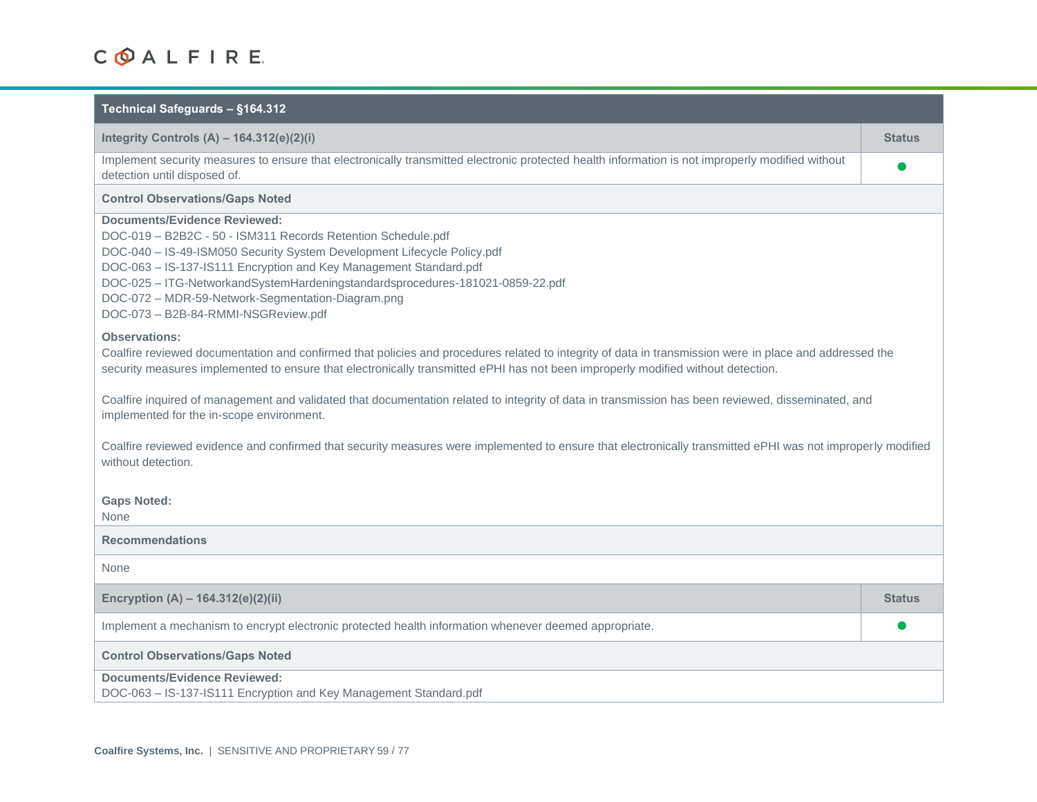### **Technical Safeguards – §164.312 Integrity Controls (A) – 164.312(e)(2)(i) Status** Implement security measures to ensure that electronically transmitted electronic protected health information is not improperly modified without detection until disposed of. **Control Observations/Gaps Noted Documents/Evidence Reviewed:** DOC-019 – B2B2C - 50 - ISM311 Records Retention Schedule.pdf DOC-040 – IS-49-ISM050 Security System Development Lifecycle Policy.pdf DOC-063 – IS-137-IS111 Encryption and Key Management Standard.pdf DOC-025 – ITG-NetworkandSystemHardeningstandardsprocedures-181021-0859-22.pdf DOC-072 – MDR-59-Network-Segmentation-Diagram.png DOC-073 – B2B-84-RMMI-NSGReview.pdf **Observations:** Coalfire reviewed documentation and confirmed that policies and procedures related to integrity of data in transmission were in place and addressed the security measures implemented to ensure that electronically transmitted ePHI has not been improperly modified without detection. Coalfire inquired of management and validated that documentation related to integrity of data in transmission has been reviewed, disseminated, and implemented for the in-scope environment. Coalfire reviewed evidence and confirmed that security measures were implemented to ensure that electronically transmitted ePHI was not improperly modified without detection. **Gaps Noted:** None **Recommendations** None **Encryption (A) – 164.312(e)(2)(ii) Status** Implement a mechanism to encrypt electronic protected health information whenever deemed appropriate. **Control Observations/Gaps Noted**

**Documents/Evidence Reviewed:**

DOC-063 – IS-137-IS111 Encryption and Key Management Standard.pdf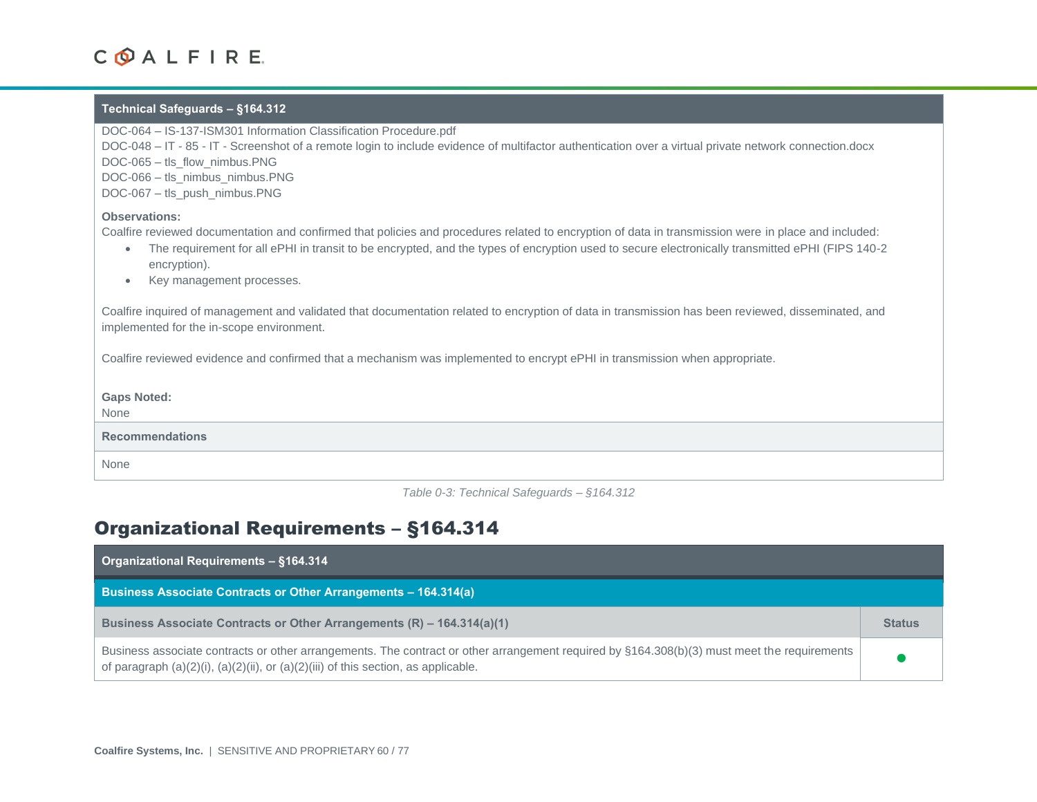### **Technical Safeguards – §164.312**

DOC-064 – IS-137-ISM301 Information Classification Procedure.pdf

DOC-048 – IT - 85 - IT - Screenshot of a remote login to include evidence of multifactor authentication over a virtual private network connection.docx

DOC-065 – tls\_flow\_nimbus.PNG

DOC-066 – tls\_nimbus\_nimbus.PNG

DOC-067 – tls\_push\_nimbus.PNG

### **Observations:**

Coalfire reviewed documentation and confirmed that policies and procedures related to encryption of data in transmission were in place and included:

- The requirement for all ePHI in transit to be encrypted, and the types of encryption used to secure electronically transmitted ePHI (FIPS 140-2) encryption).
- Key management processes.

Coalfire inquired of management and validated that documentation related to encryption of data in transmission has been reviewed, disseminated, and implemented for the in-scope environment.

Coalfire reviewed evidence and confirmed that a mechanism was implemented to encrypt ePHI in transmission when appropriate.

| <b>Gaps Noted:</b><br>None |  |
|----------------------------|--|
| <b>Recommendations</b>     |  |
| None                       |  |

*Table 0-3: Technical Safeguards – §164.312*

### Organizational Requirements – §164.314

| <b>Organizational Requirements - §164.314</b>                                                                                                                                                                                             |               |
|-------------------------------------------------------------------------------------------------------------------------------------------------------------------------------------------------------------------------------------------|---------------|
| <b>Business Associate Contracts or Other Arrangements - 164.314(a)</b>                                                                                                                                                                    |               |
| Business Associate Contracts or Other Arrangements (R) – 164.314(a)(1)                                                                                                                                                                    | <b>Status</b> |
| Business associate contracts or other arrangements. The contract or other arrangement required by §164.308(b)(3) must meet the requirements<br>of paragraph $(a)(2)(i)$ , $(a)(2)(ii)$ , or $(a)(2)(iii)$ of this section, as applicable. |               |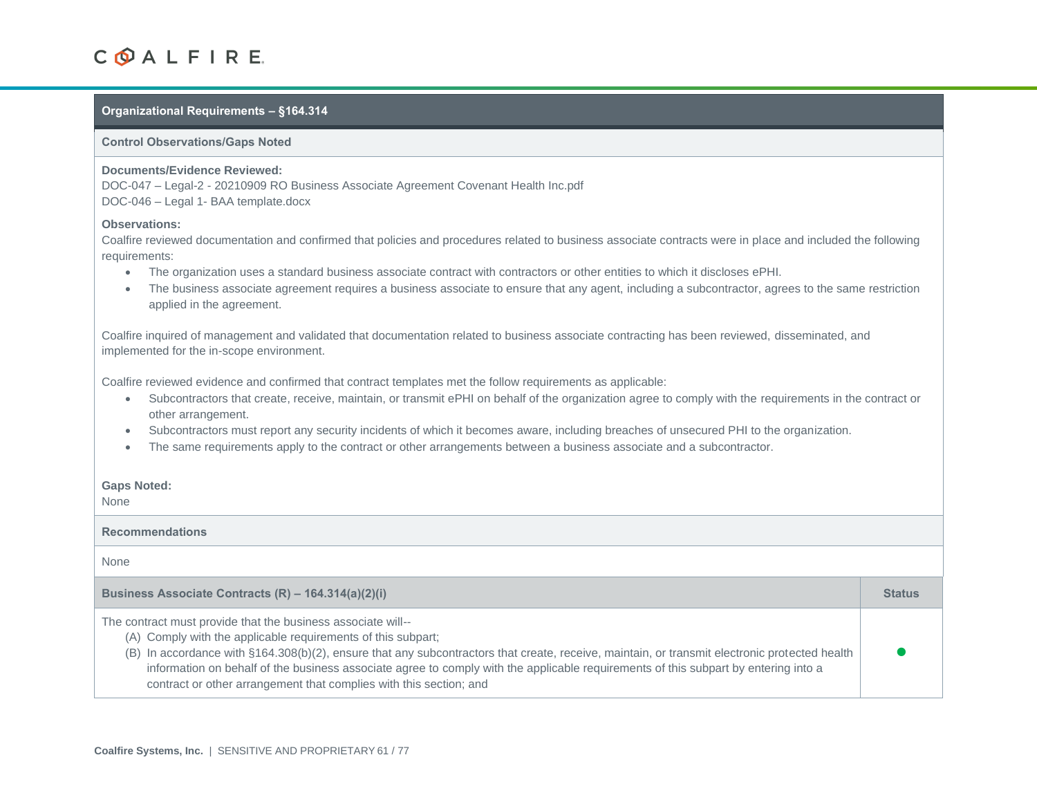### **Organizational Requirements – §164.314**

#### **Control Observations/Gaps Noted**

### **Documents/Evidence Reviewed:**

DOC-047 – Legal-2 - 20210909 RO Business Associate Agreement Covenant Health Inc.pdf DOC-046 – Legal 1- BAA template.docx

### **Observations:**

Coalfire reviewed documentation and confirmed that policies and procedures related to business associate contracts were in place and included the following requirements:

- The organization uses a standard business associate contract with contractors or other entities to which it discloses ePHI.
- The business associate agreement requires a business associate to ensure that any agent, including a subcontractor, agrees to the same restriction applied in the agreement.

Coalfire inquired of management and validated that documentation related to business associate contracting has been reviewed, disseminated, and implemented for the in-scope environment.

Coalfire reviewed evidence and confirmed that contract templates met the follow requirements as applicable:

- Subcontractors that create, receive, maintain, or transmit ePHI on behalf of the organization agree to comply with the requirements in the contract or other arrangement.
- Subcontractors must report any security incidents of which it becomes aware, including breaches of unsecured PHI to the organization.
- The same requirements apply to the contract or other arrangements between a business associate and a subcontractor.

#### **Gaps Noted:**

None

#### **Recommendations**

None

**Business Associate Contracts (R) – 164.314(a)(2)(i) Status**

The contract must provide that the business associate will--

- (A) Comply with the applicable requirements of this subpart;
- (B) In accordance with §164.308(b)(2), ensure that any subcontractors that create, receive, maintain, or transmit electronic protected health information on behalf of the business associate agree to comply with the applicable requirements of this subpart by entering into a contract or other arrangement that complies with this section; and

 $\bullet$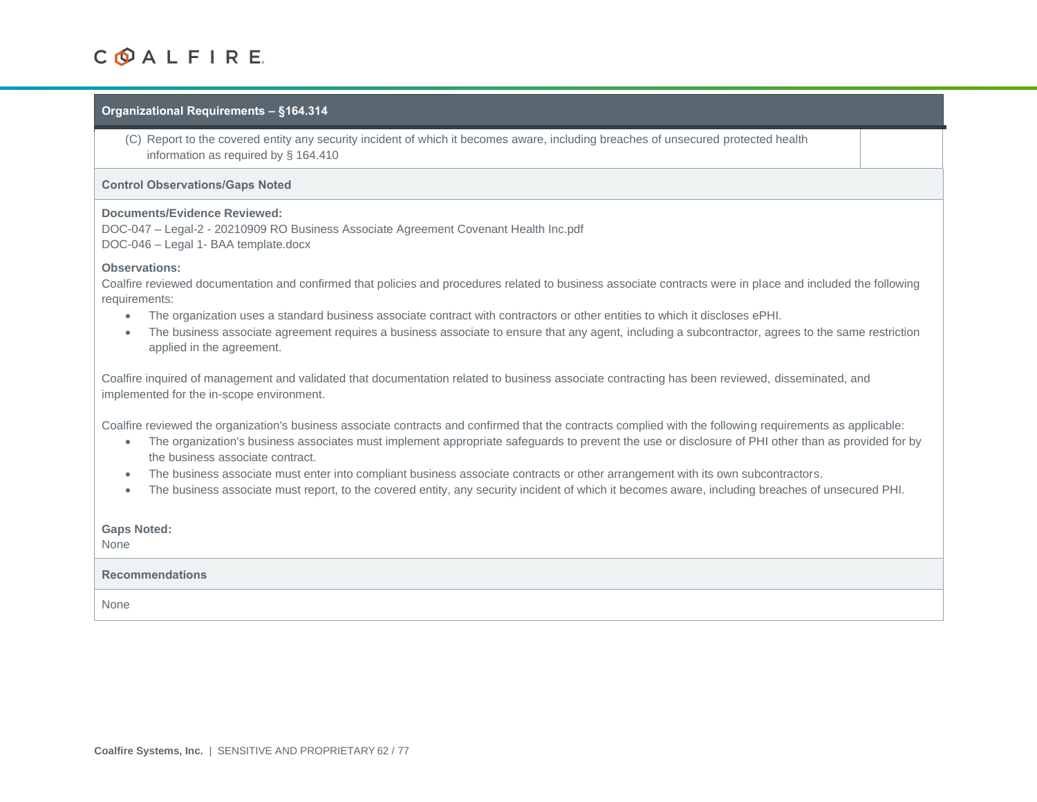### **Organizational Requirements – §164.314**

(C) Report to the covered entity any security incident of which it becomes aware, including breaches of unsecured protected health information as required by § 164.410

### **Control Observations/Gaps Noted**

### **Documents/Evidence Reviewed:**

DOC-047 – Legal-2 - 20210909 RO Business Associate Agreement Covenant Health Inc.pdf DOC-046 – Legal 1- BAA template.docx

### **Observations:**

Coalfire reviewed documentation and confirmed that policies and procedures related to business associate contracts were in place and included the following requirements:

- The organization uses a standard business associate contract with contractors or other entities to which it discloses ePHI.
- The business associate agreement requires a business associate to ensure that any agent, including a subcontractor, agrees to the same restriction applied in the agreement.

Coalfire inquired of management and validated that documentation related to business associate contracting has been reviewed, disseminated, and implemented for the in-scope environment.

Coalfire reviewed the organization's business associate contracts and confirmed that the contracts complied with the following requirements as applicable:

- The organization's business associates must implement appropriate safeguards to prevent the use or disclosure of PHI other than as provided for by the business associate contract.
- The business associate must enter into compliant business associate contracts or other arrangement with its own subcontractors.
- The business associate must report, to the covered entity, any security incident of which it becomes aware, including breaches of unsecured PHI.

#### **Gaps Noted:**

None

### **Recommendations**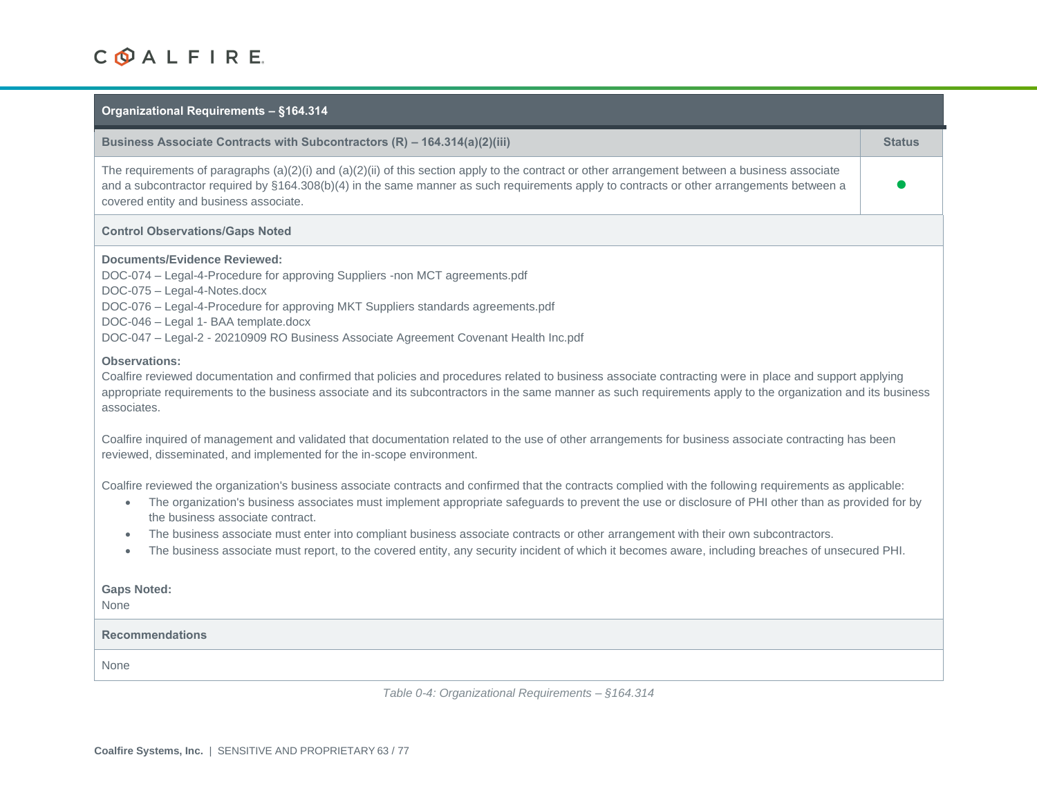### **Organizational Requirements – §164.314**

| Business Associate Contracts with Subcontractors (R) - 164.314(a)(2)(iii)                                                                                                                                                                                                                                                                                              | <b>Status</b> |
|------------------------------------------------------------------------------------------------------------------------------------------------------------------------------------------------------------------------------------------------------------------------------------------------------------------------------------------------------------------------|---------------|
| The requirements of paragraphs $(a)(2)(i)$ and $(a)(2)(ii)$ of this section apply to the contract or other arrangement between a business associate<br>and a subcontractor required by §164.308(b)(4) in the same manner as such requirements apply to contracts or other arrangements between a<br>covered entity and business associate.                             |               |
| <b>Control Observations/Gaps Noted</b>                                                                                                                                                                                                                                                                                                                                 |               |
| <b>Documents/Evidence Reviewed:</b><br>DOC-074 - Legal-4-Procedure for approving Suppliers -non MCT agreements.pdf<br>DOC-075 - Legal-4-Notes.docx<br>DOC-076 - Legal-4-Procedure for approving MKT Suppliers standards agreements.pdf<br>DOC-046 - Legal 1- BAA template.docx<br>DOC-047 - Legal-2 - 20210909 RO Business Associate Agreement Covenant Health Inc.pdf |               |
| <b>Observations:</b><br>Coalfire reviewed documentation and confirmed that policies and procedures related to business associate contracting were in place and support applying<br>appropriate requirements to the business associate and its subcontractors in the same manner as such requirements apply to the organization and its business<br>associates.         |               |
| Coalfire inquired of management and validated that documentation related to the use of other arrangements for business associate contracting has been<br>reviewed, disseminated, and implemented for the in-scope environment.                                                                                                                                         |               |
| Coalfire reviewed the organization's business associate contracts and confirmed that the contracts complied with the following requirements as applicable:<br>The organization's business associates must implement appropriate safeguards to prevent the use or disclosure of PHI other than as provided for by<br>the business associate contract.                   |               |

- The business associate must enter into compliant business associate contracts or other arrangement with their own subcontractors.
- The business associate must report, to the covered entity, any security incident of which it becomes aware, including breaches of unsecured PHI.

### **Gaps Noted:**

None

### **Recommendations**

None

*Table 0-4: Organizational Requirements – §164.314*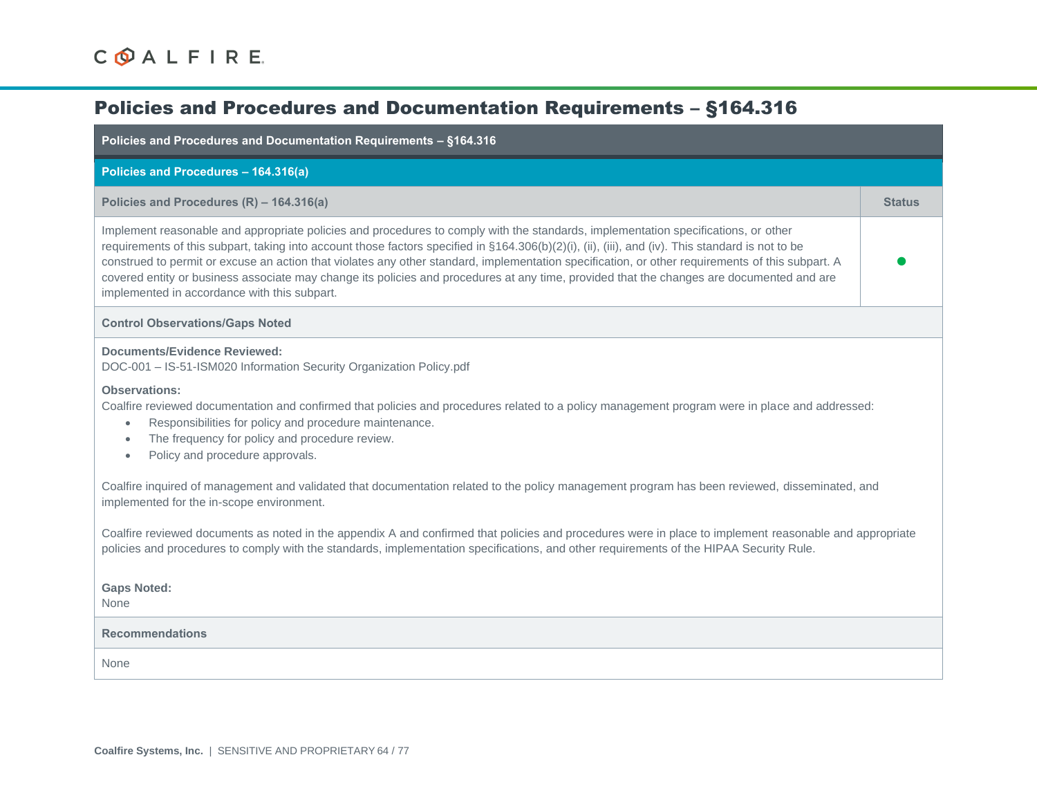## Policies and Procedures and Documentation Requirements – §164.316

| Policies and Procedures and Documentation Requirements - §164.316                                                                                                                                                                                                                                                                                                                                                                                                                                                                                                                                                                        |               |
|------------------------------------------------------------------------------------------------------------------------------------------------------------------------------------------------------------------------------------------------------------------------------------------------------------------------------------------------------------------------------------------------------------------------------------------------------------------------------------------------------------------------------------------------------------------------------------------------------------------------------------------|---------------|
| Policies and Procedures - 164.316(a)                                                                                                                                                                                                                                                                                                                                                                                                                                                                                                                                                                                                     |               |
| Policies and Procedures (R) - 164.316(a)                                                                                                                                                                                                                                                                                                                                                                                                                                                                                                                                                                                                 | <b>Status</b> |
| Implement reasonable and appropriate policies and procedures to comply with the standards, implementation specifications, or other<br>requirements of this subpart, taking into account those factors specified in §164.306(b)(2)(i), (ii), (iii), and (iv). This standard is not to be<br>construed to permit or excuse an action that violates any other standard, implementation specification, or other requirements of this subpart. A<br>covered entity or business associate may change its policies and procedures at any time, provided that the changes are documented and are<br>implemented in accordance with this subpart. |               |
| <b>Control Observations/Gaps Noted</b>                                                                                                                                                                                                                                                                                                                                                                                                                                                                                                                                                                                                   |               |
| <b>Documents/Evidence Reviewed:</b><br>DOC-001 - IS-51-ISM020 Information Security Organization Policy.pdf                                                                                                                                                                                                                                                                                                                                                                                                                                                                                                                               |               |
| <b>Observations:</b><br>Coalfire reviewed documentation and confirmed that policies and procedures related to a policy management program were in place and addressed:<br>Responsibilities for policy and procedure maintenance.<br>٠<br>The frequency for policy and procedure review.<br>$\bullet$<br>Policy and procedure approvals.<br>$\bullet$                                                                                                                                                                                                                                                                                     |               |
| Coalfire inquired of management and validated that documentation related to the policy management program has been reviewed, disseminated, and<br>implemented for the in-scope environment.                                                                                                                                                                                                                                                                                                                                                                                                                                              |               |
| Coalfire reviewed documents as noted in the appendix A and confirmed that policies and procedures were in place to implement reasonable and appropriate<br>policies and procedures to comply with the standards, implementation specifications, and other requirements of the HIPAA Security Rule.                                                                                                                                                                                                                                                                                                                                       |               |
| <b>Gaps Noted:</b><br>None                                                                                                                                                                                                                                                                                                                                                                                                                                                                                                                                                                                                               |               |
| <b>Recommendations</b>                                                                                                                                                                                                                                                                                                                                                                                                                                                                                                                                                                                                                   |               |
| None                                                                                                                                                                                                                                                                                                                                                                                                                                                                                                                                                                                                                                     |               |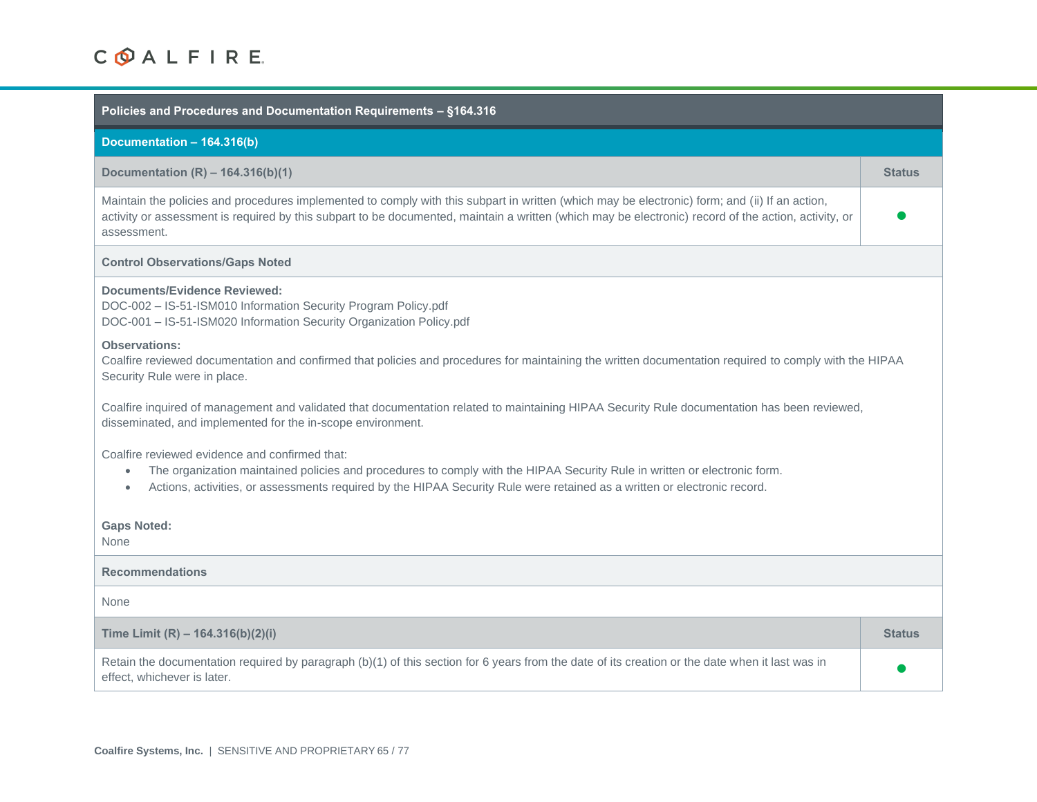| Policies and Procedures and Documentation Requirements - §164.316                                                                                                                                                                                                                                                     |               |
|-----------------------------------------------------------------------------------------------------------------------------------------------------------------------------------------------------------------------------------------------------------------------------------------------------------------------|---------------|
| Documentation - 164.316(b)                                                                                                                                                                                                                                                                                            |               |
| Documentation $(R) - 164.316(b)(1)$                                                                                                                                                                                                                                                                                   | <b>Status</b> |
| Maintain the policies and procedures implemented to comply with this subpart in written (which may be electronic) form; and (ii) If an action,<br>activity or assessment is required by this subpart to be documented, maintain a written (which may be electronic) record of the action, activity, or<br>assessment. |               |
| <b>Control Observations/Gaps Noted</b>                                                                                                                                                                                                                                                                                |               |
| <b>Documents/Evidence Reviewed:</b><br>DOC-002 - IS-51-ISM010 Information Security Program Policy.pdf<br>DOC-001 - IS-51-ISM020 Information Security Organization Policy.pdf                                                                                                                                          |               |
| <b>Observations:</b><br>Coalfire reviewed documentation and confirmed that policies and procedures for maintaining the written documentation required to comply with the HIPAA<br>Security Rule were in place.                                                                                                        |               |
| Coalfire inquired of management and validated that documentation related to maintaining HIPAA Security Rule documentation has been reviewed,<br>disseminated, and implemented for the in-scope environment.                                                                                                           |               |
| Coalfire reviewed evidence and confirmed that:<br>The organization maintained policies and procedures to comply with the HIPAA Security Rule in written or electronic form.<br>Actions, activities, or assessments required by the HIPAA Security Rule were retained as a written or electronic record.               |               |
| <b>Gaps Noted:</b><br>None                                                                                                                                                                                                                                                                                            |               |
| <b>Recommendations</b>                                                                                                                                                                                                                                                                                                |               |
| None                                                                                                                                                                                                                                                                                                                  |               |
| Time Limit (R) - $164.316(b)(2)(i)$                                                                                                                                                                                                                                                                                   | <b>Status</b> |
| Retain the documentation required by paragraph (b)(1) of this section for 6 years from the date of its creation or the date when it last was in<br>effect, whichever is later.                                                                                                                                        |               |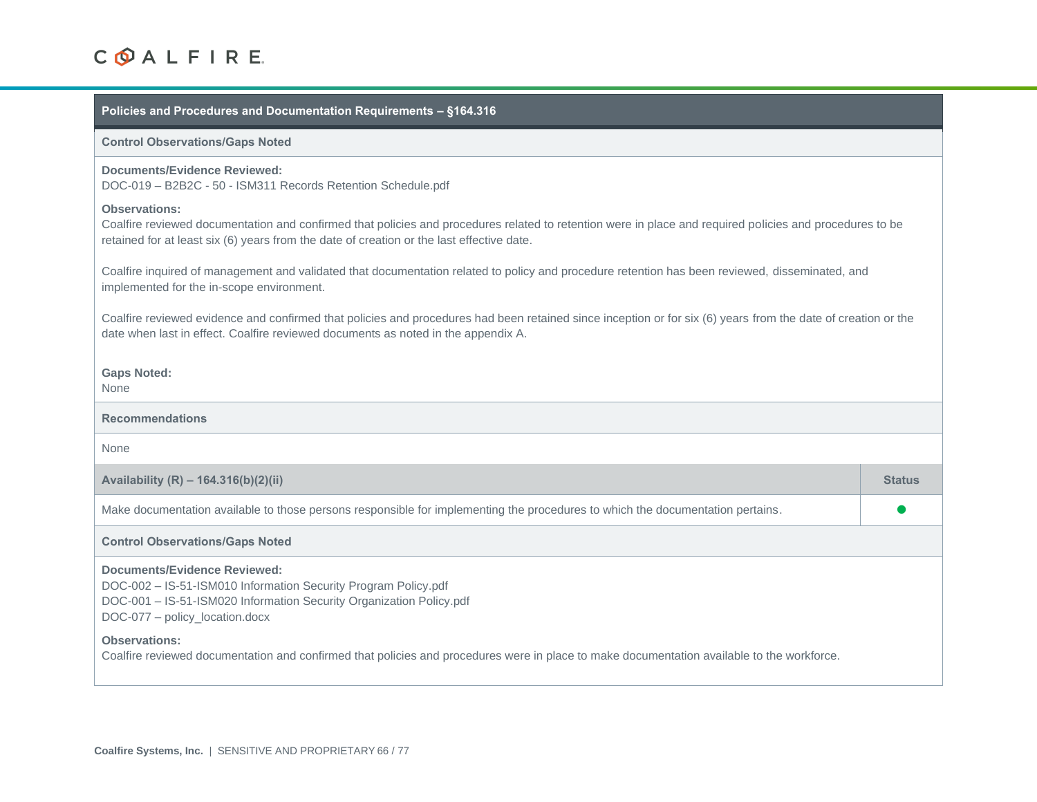### **Policies and Procedures and Documentation Requirements – §164.316**

### **Control Observations/Gaps Noted**

### **Documents/Evidence Reviewed:**

DOC-019 – B2B2C - 50 - ISM311 Records Retention Schedule.pdf

### **Observations:**

Coalfire reviewed documentation and confirmed that policies and procedures related to retention were in place and required policies and procedures to be retained for at least six (6) years from the date of creation or the last effective date.

Coalfire inquired of management and validated that documentation related to policy and procedure retention has been reviewed, disseminated, and implemented for the in-scope environment.

Coalfire reviewed evidence and confirmed that policies and procedures had been retained since inception or for six (6) years from the date of creation or the date when last in effect. Coalfire reviewed documents as noted in the appendix A.

### **Gaps Noted:**

None

### **Recommendations**

| Availability $(R) - 164.316(b)(2)(ii)$                                                                                                                                                                  | <b>Status</b> |
|---------------------------------------------------------------------------------------------------------------------------------------------------------------------------------------------------------|---------------|
| Make documentation available to those persons responsible for implementing the procedures to which the documentation pertains.                                                                          |               |
| <b>Control Observations/Gaps Noted</b>                                                                                                                                                                  |               |
| Documents/Evidence Reviewed:<br>DOC-002 - IS-51-ISM010 Information Security Program Policy.pdf<br>DOC-001 - IS-51-ISM020 Information Security Organization Policy.pdf<br>DOC-077 - policy_location.docx |               |
| <b>Observations:</b><br>Coalfire reviewed documentation and confirmed that policies and procedures were in place to make documentation available to the workforce.                                      |               |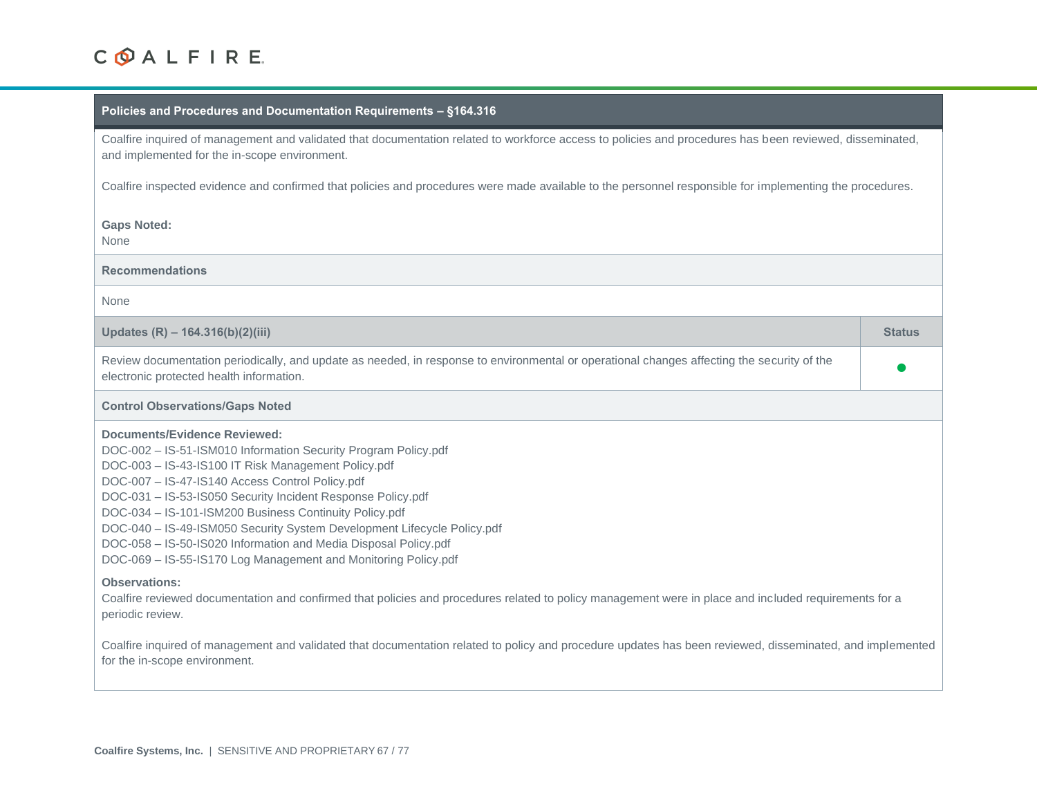### **Policies and Procedures and Documentation Requirements – §164.316**

Coalfire inquired of management and validated that documentation related to workforce access to policies and procedures has been reviewed, disseminated, and implemented for the in-scope environment.

Coalfire inspected evidence and confirmed that policies and procedures were made available to the personnel responsible for implementing the procedures.

### **Gaps Noted:**

None

**Recommendations**

| Updates $(R)$ – 164.316(b)(2)(iii)                                                                                                                                                                                                                                                                                                                                                                                                                                                                                                                | <b>Status</b> |
|---------------------------------------------------------------------------------------------------------------------------------------------------------------------------------------------------------------------------------------------------------------------------------------------------------------------------------------------------------------------------------------------------------------------------------------------------------------------------------------------------------------------------------------------------|---------------|
| Review documentation periodically, and update as needed, in response to environmental or operational changes affecting the security of the<br>electronic protected health information.                                                                                                                                                                                                                                                                                                                                                            |               |
| <b>Control Observations/Gaps Noted</b>                                                                                                                                                                                                                                                                                                                                                                                                                                                                                                            |               |
| Documents/Evidence Reviewed:<br>DOC-002 - IS-51-ISM010 Information Security Program Policy.pdf<br>DOC-003 - IS-43-IS100 IT Risk Management Policy.pdf<br>DOC-007 - IS-47-IS140 Access Control Policy.pdf<br>DOC-031 - IS-53-IS050 Security Incident Response Policy.pdf<br>DOC-034 - IS-101-ISM200 Business Continuity Policy.pdf<br>DOC-040 - IS-49-ISM050 Security System Development Lifecycle Policy.pdf<br>DOC-058 - IS-50-IS020 Information and Media Disposal Policy.pdf<br>DOC-069 - IS-55-IS170 Log Management and Monitoring Policy.pdf |               |
| <b>Observations:</b><br>Coalfire reviewed documentation and confirmed that policies and procedures related to policy management were in place and included requirements for a<br>periodic review.<br>Coalfire inquired of management and validated that documentation related to policy and procedure updates has been reviewed, disseminated, and implemented<br>for the in-scope environment.                                                                                                                                                   |               |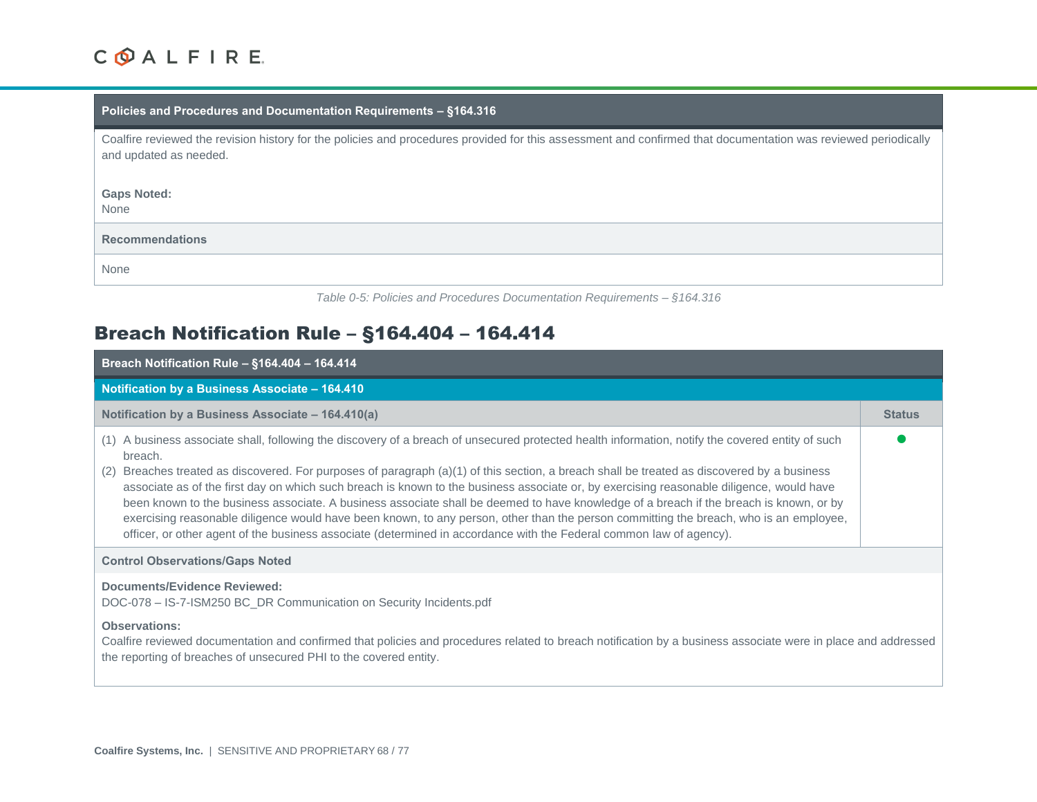### **Policies and Procedures and Documentation Requirements – §164.316**

Coalfire reviewed the revision history for the policies and procedures provided for this assessment and confirmed that documentation was reviewed periodically and updated as needed.

### **Gaps Noted:**

None

### **Recommendations**

None

| Table 0-5: Policies and Procedures Documentation Requirements - §164.316 |  |  |  |  |
|--------------------------------------------------------------------------|--|--|--|--|
|--------------------------------------------------------------------------|--|--|--|--|

### Breach Notification Rule – §164.404 – 164.414

| Breach Notification Rule - §164.404 - 164.414                                                                                                                                                                                                                                                                                                                                                                                                                                                                                                                                                                                                                                                                                                                                                                                                                           |               |
|-------------------------------------------------------------------------------------------------------------------------------------------------------------------------------------------------------------------------------------------------------------------------------------------------------------------------------------------------------------------------------------------------------------------------------------------------------------------------------------------------------------------------------------------------------------------------------------------------------------------------------------------------------------------------------------------------------------------------------------------------------------------------------------------------------------------------------------------------------------------------|---------------|
| Notification by a Business Associate - 164.410                                                                                                                                                                                                                                                                                                                                                                                                                                                                                                                                                                                                                                                                                                                                                                                                                          |               |
| Notification by a Business Associate - 164.410(a)                                                                                                                                                                                                                                                                                                                                                                                                                                                                                                                                                                                                                                                                                                                                                                                                                       | <b>Status</b> |
| A business associate shall, following the discovery of a breach of unsecured protected health information, notify the covered entity of such<br>(1)<br>breach.<br>Breaches treated as discovered. For purposes of paragraph (a)(1) of this section, a breach shall be treated as discovered by a business<br>(2)<br>associate as of the first day on which such breach is known to the business associate or, by exercising reasonable diligence, would have<br>been known to the business associate. A business associate shall be deemed to have knowledge of a breach if the breach is known, or by<br>exercising reasonable diligence would have been known, to any person, other than the person committing the breach, who is an employee,<br>officer, or other agent of the business associate (determined in accordance with the Federal common law of agency). |               |
| <b>Control Observations/Gaps Noted</b>                                                                                                                                                                                                                                                                                                                                                                                                                                                                                                                                                                                                                                                                                                                                                                                                                                  |               |
| <b>Documents/Evidence Reviewed:</b><br>DOC-078 - IS-7-ISM250 BC_DR Communication on Security Incidents.pdf<br><b>Observations:</b><br>Coalfire reviewed documentation and confirmed that policies and procedures related to breach notification by a business associate were in place and addressed<br>the reporting of breaches of unsecured PHI to the covered entity.                                                                                                                                                                                                                                                                                                                                                                                                                                                                                                |               |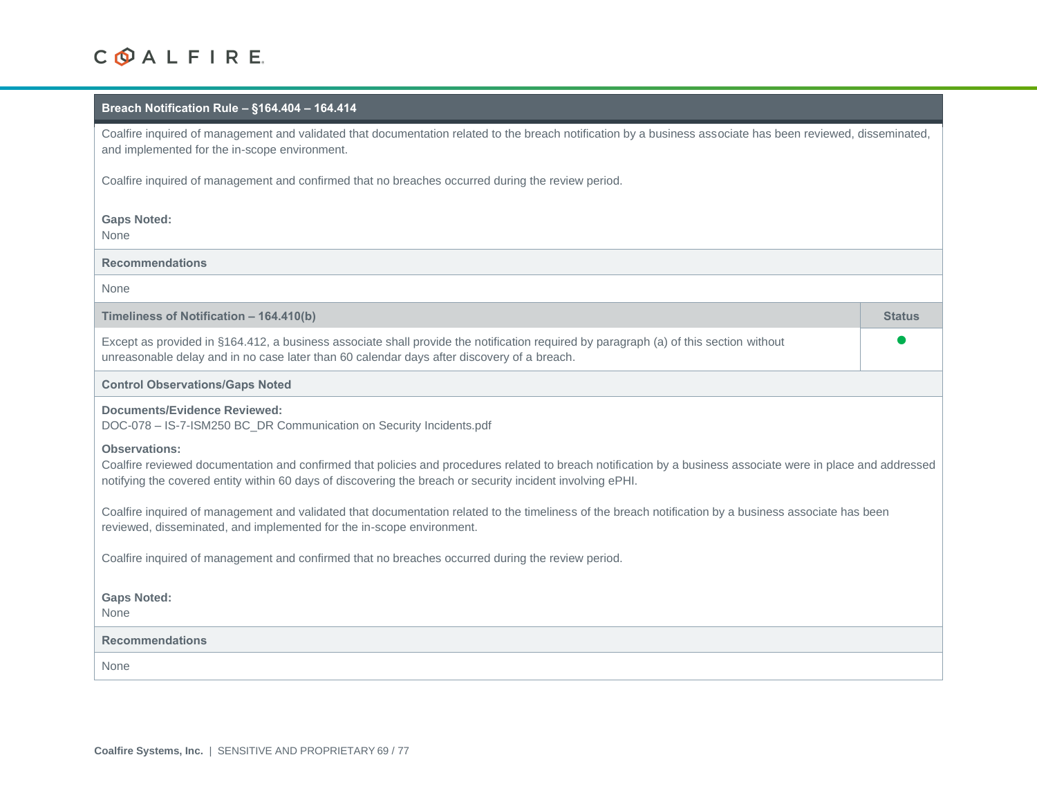### **Breach Notification Rule – §164.404 – 164.414**

Coalfire inquired of management and validated that documentation related to the breach notification by a business associate has been reviewed, disseminated, and implemented for the in-scope environment.

Coalfire inquired of management and confirmed that no breaches occurred during the review period.

#### **Gaps Noted:**

None

**Recommendations**

None

**Timeliness of Notification – 164.410(b) Status**

Except as provided in §164.412, a business associate shall provide the notification required by paragraph (a) of this section without unreasonable delay and in no case later than 60 calendar days after discovery of a breach.

#### **Control Observations/Gaps Noted**

### **Documents/Evidence Reviewed:**

DOC-078 – IS-7-ISM250 BC\_DR Communication on Security Incidents.pdf

### **Observations:**

Coalfire reviewed documentation and confirmed that policies and procedures related to breach notification by a business associate were in place and addressed notifying the covered entity within 60 days of discovering the breach or security incident involving ePHI.

∙

Coalfire inquired of management and validated that documentation related to the timeliness of the breach notification by a business associate has been reviewed, disseminated, and implemented for the in-scope environment.

Coalfire inquired of management and confirmed that no breaches occurred during the review period.

#### **Gaps Noted:**

None

### **Recommendations**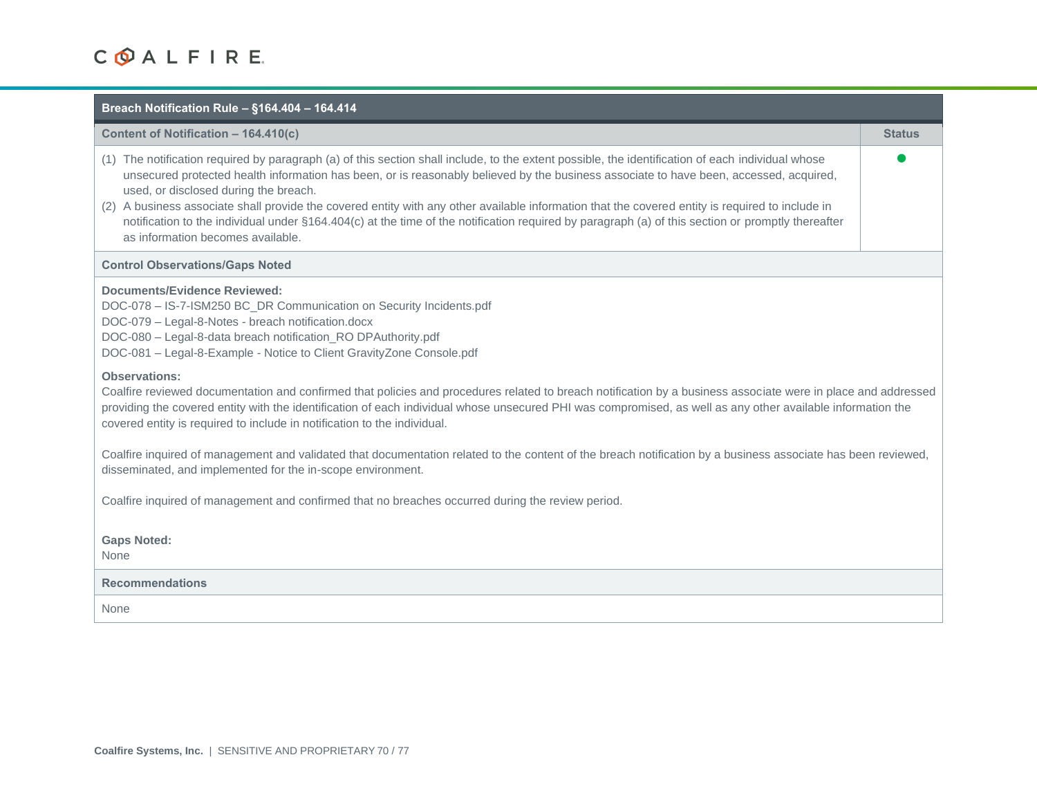| Breach Notification Rule - §164.404 - 164.414                                                                                                                                                                                                                                                                                                                                                                                                                                                                                                                                                                                                                                                                                                                                                                                                                                                                                                                                                                                                                                      |               |
|------------------------------------------------------------------------------------------------------------------------------------------------------------------------------------------------------------------------------------------------------------------------------------------------------------------------------------------------------------------------------------------------------------------------------------------------------------------------------------------------------------------------------------------------------------------------------------------------------------------------------------------------------------------------------------------------------------------------------------------------------------------------------------------------------------------------------------------------------------------------------------------------------------------------------------------------------------------------------------------------------------------------------------------------------------------------------------|---------------|
| Content of Notification - 164.410(c)                                                                                                                                                                                                                                                                                                                                                                                                                                                                                                                                                                                                                                                                                                                                                                                                                                                                                                                                                                                                                                               | <b>Status</b> |
| (1) The notification required by paragraph (a) of this section shall include, to the extent possible, the identification of each individual whose<br>unsecured protected health information has been, or is reasonably believed by the business associate to have been, accessed, acquired,<br>used, or disclosed during the breach.<br>(2) A business associate shall provide the covered entity with any other available information that the covered entity is required to include in<br>notification to the individual under §164.404(c) at the time of the notification required by paragraph (a) of this section or promptly thereafter<br>as information becomes available.                                                                                                                                                                                                                                                                                                                                                                                                 |               |
| <b>Control Observations/Gaps Noted</b>                                                                                                                                                                                                                                                                                                                                                                                                                                                                                                                                                                                                                                                                                                                                                                                                                                                                                                                                                                                                                                             |               |
| <b>Documents/Evidence Reviewed:</b><br>DOC-078 - IS-7-ISM250 BC_DR Communication on Security Incidents.pdf<br>DOC-079 - Legal-8-Notes - breach notification.docx<br>DOC-080 - Legal-8-data breach notification_RO DPAuthority.pdf<br>DOC-081 - Legal-8-Example - Notice to Client GravityZone Console.pdf<br><b>Observations:</b><br>Coalfire reviewed documentation and confirmed that policies and procedures related to breach notification by a business associate were in place and addressed<br>providing the covered entity with the identification of each individual whose unsecured PHI was compromised, as well as any other available information the<br>covered entity is required to include in notification to the individual.<br>Coalfire inquired of management and validated that documentation related to the content of the breach notification by a business associate has been reviewed,<br>disseminated, and implemented for the in-scope environment.<br>Coalfire inquired of management and confirmed that no breaches occurred during the review period. |               |
| <b>Gaps Noted:</b><br>None                                                                                                                                                                                                                                                                                                                                                                                                                                                                                                                                                                                                                                                                                                                                                                                                                                                                                                                                                                                                                                                         |               |
| <b>Recommendations</b>                                                                                                                                                                                                                                                                                                                                                                                                                                                                                                                                                                                                                                                                                                                                                                                                                                                                                                                                                                                                                                                             |               |
| None                                                                                                                                                                                                                                                                                                                                                                                                                                                                                                                                                                                                                                                                                                                                                                                                                                                                                                                                                                                                                                                                               |               |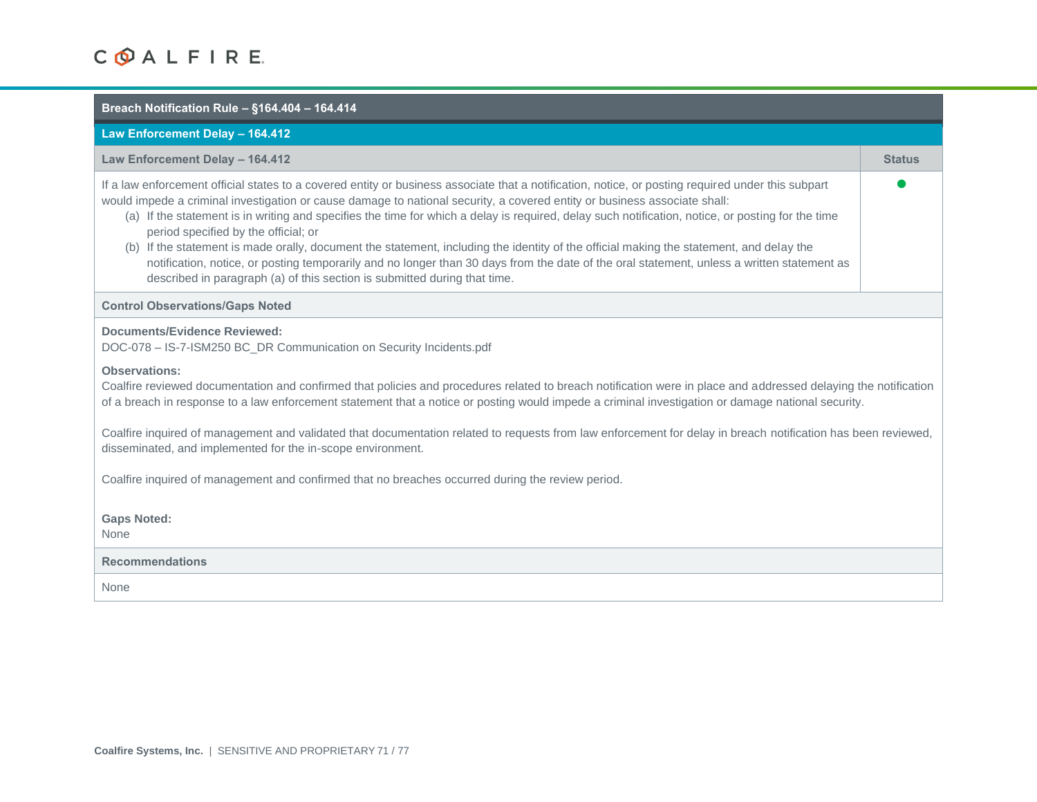| Breach Notification Rule - §164.404 - 164.414                                                                                                                                                                                                                                                                                                                                                                                                                                                                                                                                                                                                                                                                                                                                                                                                      |               |
|----------------------------------------------------------------------------------------------------------------------------------------------------------------------------------------------------------------------------------------------------------------------------------------------------------------------------------------------------------------------------------------------------------------------------------------------------------------------------------------------------------------------------------------------------------------------------------------------------------------------------------------------------------------------------------------------------------------------------------------------------------------------------------------------------------------------------------------------------|---------------|
| Law Enforcement Delay - 164.412                                                                                                                                                                                                                                                                                                                                                                                                                                                                                                                                                                                                                                                                                                                                                                                                                    |               |
| Law Enforcement Delay - 164.412                                                                                                                                                                                                                                                                                                                                                                                                                                                                                                                                                                                                                                                                                                                                                                                                                    | <b>Status</b> |
| If a law enforcement official states to a covered entity or business associate that a notification, notice, or posting required under this subpart<br>would impede a criminal investigation or cause damage to national security, a covered entity or business associate shall:<br>(a) If the statement is in writing and specifies the time for which a delay is required, delay such notification, notice, or posting for the time<br>period specified by the official; or<br>(b) If the statement is made orally, document the statement, including the identity of the official making the statement, and delay the<br>notification, notice, or posting temporarily and no longer than 30 days from the date of the oral statement, unless a written statement as<br>described in paragraph (a) of this section is submitted during that time. |               |
| <b>Control Observations/Gaps Noted</b>                                                                                                                                                                                                                                                                                                                                                                                                                                                                                                                                                                                                                                                                                                                                                                                                             |               |
| <b>Documents/Evidence Reviewed:</b><br>DOC-078 - IS-7-ISM250 BC_DR Communication on Security Incidents.pdf                                                                                                                                                                                                                                                                                                                                                                                                                                                                                                                                                                                                                                                                                                                                         |               |
| <b>Observations:</b><br>Coalfire reviewed documentation and confirmed that policies and procedures related to breach notification were in place and addressed delaying the notification<br>of a breach in response to a law enforcement statement that a notice or posting would impede a criminal investigation or damage national security.                                                                                                                                                                                                                                                                                                                                                                                                                                                                                                      |               |
| Coalfire inquired of management and validated that documentation related to requests from law enforcement for delay in breach notification has been reviewed,<br>disseminated, and implemented for the in-scope environment.                                                                                                                                                                                                                                                                                                                                                                                                                                                                                                                                                                                                                       |               |
| Coalfire inquired of management and confirmed that no breaches occurred during the review period.                                                                                                                                                                                                                                                                                                                                                                                                                                                                                                                                                                                                                                                                                                                                                  |               |
| <b>Gaps Noted:</b><br><b>None</b>                                                                                                                                                                                                                                                                                                                                                                                                                                                                                                                                                                                                                                                                                                                                                                                                                  |               |
| <b>Recommendations</b>                                                                                                                                                                                                                                                                                                                                                                                                                                                                                                                                                                                                                                                                                                                                                                                                                             |               |
| None                                                                                                                                                                                                                                                                                                                                                                                                                                                                                                                                                                                                                                                                                                                                                                                                                                               |               |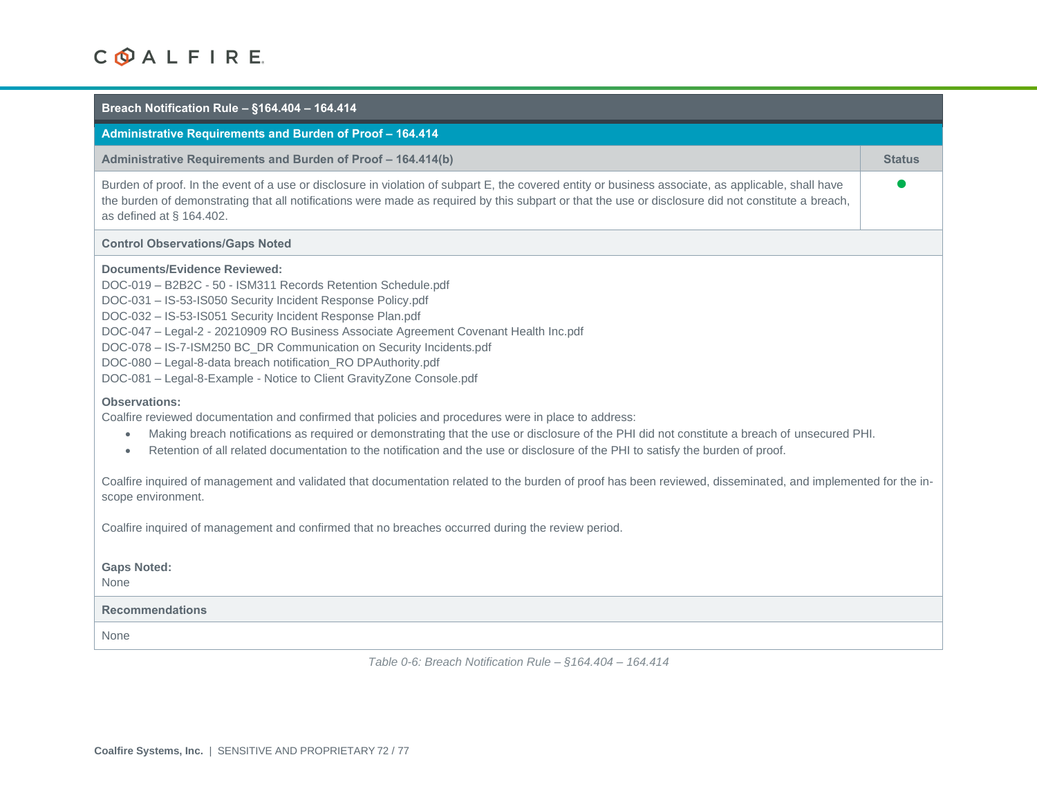| Breach Notification Rule - §164.404 - 164.414                                                                                                                                                                                                                                                                                                                                                                                                                                                                                                                   |               |
|-----------------------------------------------------------------------------------------------------------------------------------------------------------------------------------------------------------------------------------------------------------------------------------------------------------------------------------------------------------------------------------------------------------------------------------------------------------------------------------------------------------------------------------------------------------------|---------------|
| Administrative Requirements and Burden of Proof - 164.414                                                                                                                                                                                                                                                                                                                                                                                                                                                                                                       |               |
| Administrative Requirements and Burden of Proof - 164.414(b)                                                                                                                                                                                                                                                                                                                                                                                                                                                                                                    | <b>Status</b> |
| Burden of proof. In the event of a use or disclosure in violation of subpart E, the covered entity or business associate, as applicable, shall have<br>the burden of demonstrating that all notifications were made as required by this subpart or that the use or disclosure did not constitute a breach,<br>as defined at $\S$ 164.402.                                                                                                                                                                                                                       |               |
| <b>Control Observations/Gaps Noted</b>                                                                                                                                                                                                                                                                                                                                                                                                                                                                                                                          |               |
| <b>Documents/Evidence Reviewed:</b><br>DOC-019 - B2B2C - 50 - ISM311 Records Retention Schedule.pdf<br>DOC-031 - IS-53-IS050 Security Incident Response Policy.pdf<br>DOC-032 - IS-53-IS051 Security Incident Response Plan.pdf<br>DOC-047 - Legal-2 - 20210909 RO Business Associate Agreement Covenant Health Inc.pdf<br>DOC-078 - IS-7-ISM250 BC_DR Communication on Security Incidents.pdf<br>DOC-080 - Legal-8-data breach notification_RO DPAuthority.pdf<br>DOC-081 - Legal-8-Example - Notice to Client GravityZone Console.pdf<br><b>Observations:</b> |               |
| Coalfire reviewed documentation and confirmed that policies and procedures were in place to address:<br>Making breach notifications as required or demonstrating that the use or disclosure of the PHI did not constitute a breach of unsecured PHI.<br>Retention of all related documentation to the notification and the use or disclosure of the PHI to satisfy the burden of proof.                                                                                                                                                                         |               |
| Coalfire inquired of management and validated that documentation related to the burden of proof has been reviewed, disseminated, and implemented for the in-<br>scope environment.                                                                                                                                                                                                                                                                                                                                                                              |               |
| Coalfire inquired of management and confirmed that no breaches occurred during the review period.                                                                                                                                                                                                                                                                                                                                                                                                                                                               |               |
| <b>Gaps Noted:</b><br>None                                                                                                                                                                                                                                                                                                                                                                                                                                                                                                                                      |               |
| <b>Recommendations</b>                                                                                                                                                                                                                                                                                                                                                                                                                                                                                                                                          |               |
| <b>None</b><br>$T = b l = 0$ C. Draggle Natilization Dula $0.404$ $104$ $104$ $114$                                                                                                                                                                                                                                                                                                                                                                                                                                                                             |               |

*Table 0-6: Breach Notification Rule – §164.404 – 164.414*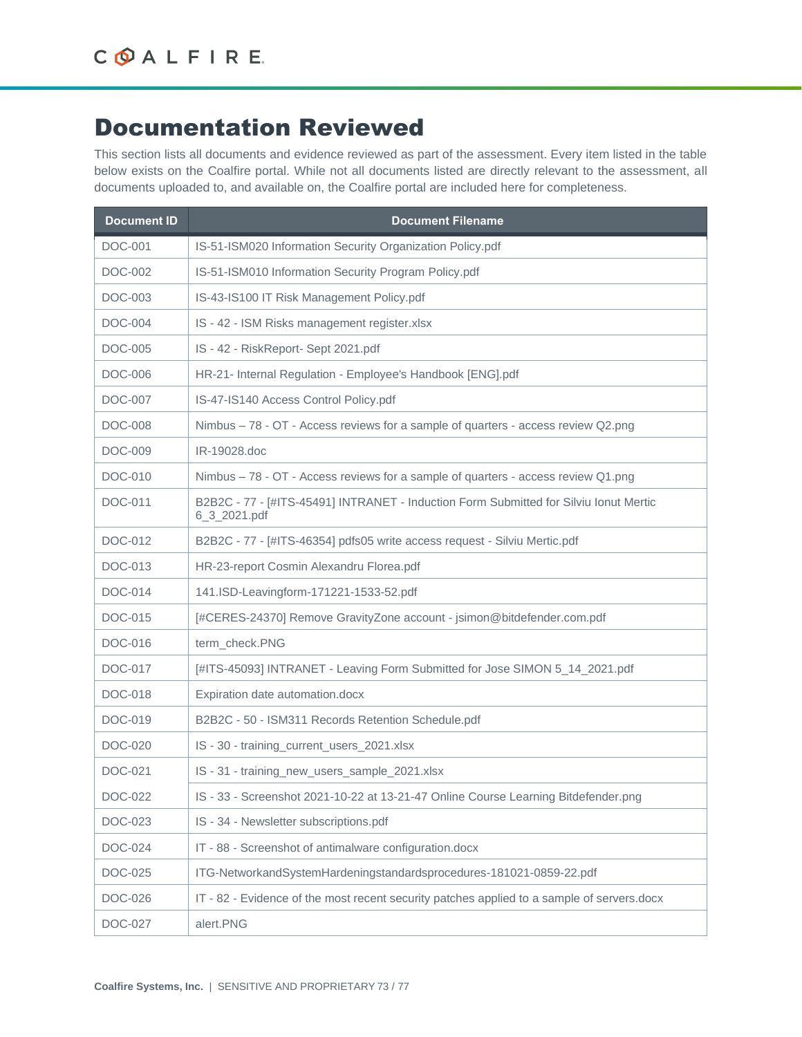# Documentation Reviewed

This section lists all documents and evidence reviewed as part of the assessment. Every item listed in the table below exists on the Coalfire portal. While not all documents listed are directly relevant to the assessment, all documents uploaded to, and available on, the Coalfire portal are included here for completeness.

| <b>Document ID</b> | <b>Document Filename</b>                                                                              |
|--------------------|-------------------------------------------------------------------------------------------------------|
| DOC-001            | IS-51-ISM020 Information Security Organization Policy.pdf                                             |
| DOC-002            | IS-51-ISM010 Information Security Program Policy.pdf                                                  |
| DOC-003            | IS-43-IS100 IT Risk Management Policy.pdf                                                             |
| <b>DOC-004</b>     | IS - 42 - ISM Risks management register.xlsx                                                          |
| DOC-005            | IS - 42 - RiskReport- Sept 2021.pdf                                                                   |
| DOC-006            | HR-21- Internal Regulation - Employee's Handbook [ENG].pdf                                            |
| DOC-007            | IS-47-IS140 Access Control Policy.pdf                                                                 |
| <b>DOC-008</b>     | Nimbus - 78 - OT - Access reviews for a sample of quarters - access review Q2.png                     |
| DOC-009            | IR-19028.doc                                                                                          |
| DOC-010            | Nimbus - 78 - OT - Access reviews for a sample of quarters - access review Q1.png                     |
| DOC-011            | B2B2C - 77 - [#ITS-45491] INTRANET - Induction Form Submitted for Silviu Ionut Mertic<br>6_3_2021.pdf |
| DOC-012            | B2B2C - 77 - [#ITS-46354] pdfs05 write access request - Silviu Mertic.pdf                             |
| DOC-013            | HR-23-report Cosmin Alexandru Florea.pdf                                                              |
| DOC-014            | 141.ISD-Leavingform-171221-1533-52.pdf                                                                |
| <b>DOC-015</b>     | [#CERES-24370] Remove GravityZone account - jsimon@bitdefender.com.pdf                                |
| DOC-016            | term_check.PNG                                                                                        |
| DOC-017            | [#ITS-45093] INTRANET - Leaving Form Submitted for Jose SIMON 5_14_2021.pdf                           |
| DOC-018            | Expiration date automation.docx                                                                       |
| DOC-019            | B2B2C - 50 - ISM311 Records Retention Schedule.pdf                                                    |
| <b>DOC-020</b>     | IS - 30 - training_current_users_2021.xlsx                                                            |
| DOC-021            | IS - 31 - training new users sample 2021.xlsx                                                         |
| DOC-022            | IS - 33 - Screenshot 2021-10-22 at 13-21-47 Online Course Learning Bitdefender.png                    |
| DOC-023            | IS - 34 - Newsletter subscriptions.pdf                                                                |
| DOC-024            | IT - 88 - Screenshot of antimalware configuration.docx                                                |
| DOC-025            | ITG-NetworkandSystemHardeningstandardsprocedures-181021-0859-22.pdf                                   |
| DOC-026            | IT - 82 - Evidence of the most recent security patches applied to a sample of servers.docx            |
| DOC-027            | alert.PNG                                                                                             |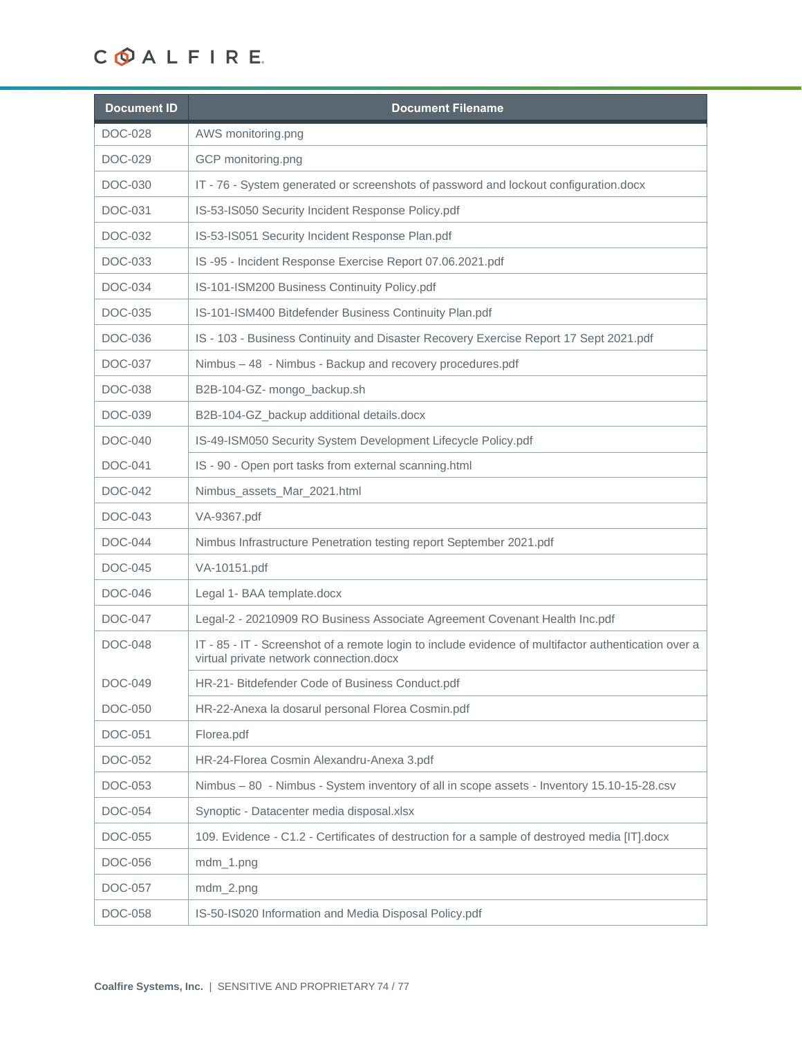### COALFIRE.

| <b>Document ID</b> | <b>Document Filename</b>                                                                                                                        |
|--------------------|-------------------------------------------------------------------------------------------------------------------------------------------------|
| DOC-028            | AWS monitoring.png                                                                                                                              |
| DOC-029            | GCP monitoring.png                                                                                                                              |
| DOC-030            | IT - 76 - System generated or screenshots of password and lockout configuration.docx                                                            |
| DOC-031            | IS-53-IS050 Security Incident Response Policy.pdf                                                                                               |
| <b>DOC-032</b>     | IS-53-IS051 Security Incident Response Plan.pdf                                                                                                 |
| DOC-033            | IS-95 - Incident Response Exercise Report 07.06.2021.pdf                                                                                        |
| <b>DOC-034</b>     | IS-101-ISM200 Business Continuity Policy.pdf                                                                                                    |
| DOC-035            | IS-101-ISM400 Bitdefender Business Continuity Plan.pdf                                                                                          |
| <b>DOC-036</b>     | IS - 103 - Business Continuity and Disaster Recovery Exercise Report 17 Sept 2021.pdf                                                           |
| <b>DOC-037</b>     | Nimbus - 48 - Nimbus - Backup and recovery procedures.pdf                                                                                       |
| DOC-038            | B2B-104-GZ- mongo_backup.sh                                                                                                                     |
| DOC-039            | B2B-104-GZ_backup additional details.docx                                                                                                       |
| <b>DOC-040</b>     | IS-49-ISM050 Security System Development Lifecycle Policy.pdf                                                                                   |
| <b>DOC-041</b>     | IS - 90 - Open port tasks from external scanning.html                                                                                           |
| <b>DOC-042</b>     | Nimbus_assets_Mar_2021.html                                                                                                                     |
| <b>DOC-043</b>     | VA-9367.pdf                                                                                                                                     |
| <b>DOC-044</b>     | Nimbus Infrastructure Penetration testing report September 2021.pdf                                                                             |
| <b>DOC-045</b>     | VA-10151.pdf                                                                                                                                    |
| DOC-046            | Legal 1- BAA template.docx                                                                                                                      |
| <b>DOC-047</b>     | Legal-2 - 20210909 RO Business Associate Agreement Covenant Health Inc.pdf                                                                      |
| <b>DOC-048</b>     | IT - 85 - IT - Screenshot of a remote login to include evidence of multifactor authentication over a<br>virtual private network connection.docx |
| DOC-049            | HR-21- Bitdefender Code of Business Conduct.pdf                                                                                                 |
| <b>DOC-050</b>     | HR-22-Anexa la dosarul personal Florea Cosmin.pdf                                                                                               |
| DOC-051            | Florea.pdf                                                                                                                                      |
| DOC-052            | HR-24-Florea Cosmin Alexandru-Anexa 3.pdf                                                                                                       |
| DOC-053            | Nimbus - 80 - Nimbus - System inventory of all in scope assets - Inventory 15.10-15-28.csv                                                      |
| <b>DOC-054</b>     | Synoptic - Datacenter media disposal.xlsx                                                                                                       |
| <b>DOC-055</b>     | 109. Evidence - C1.2 - Certificates of destruction for a sample of destroyed media [IT].docx                                                    |
| <b>DOC-056</b>     | mdm_1.png                                                                                                                                       |
| DOC-057            | mdm_2.png                                                                                                                                       |
| <b>DOC-058</b>     | IS-50-IS020 Information and Media Disposal Policy.pdf                                                                                           |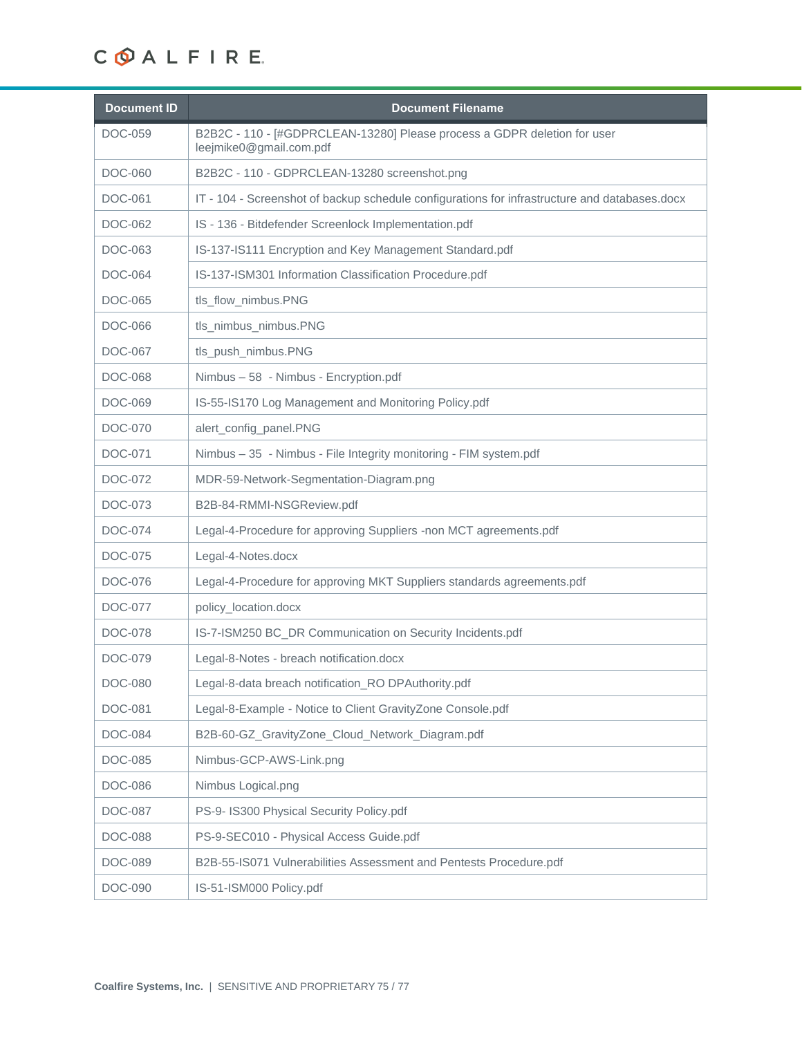### COALFIRE.

| <b>Document ID</b> | <b>Document Filename</b>                                                                            |
|--------------------|-----------------------------------------------------------------------------------------------------|
| <b>DOC-059</b>     | B2B2C - 110 - [#GDPRCLEAN-13280] Please process a GDPR deletion for user<br>leejmike0@gmail.com.pdf |
| <b>DOC-060</b>     | B2B2C - 110 - GDPRCLEAN-13280 screenshot.png                                                        |
| <b>DOC-061</b>     | IT - 104 - Screenshot of backup schedule configurations for infrastructure and databases.docx       |
| DOC-062            | IS - 136 - Bitdefender Screenlock Implementation.pdf                                                |
| DOC-063            | IS-137-IS111 Encryption and Key Management Standard.pdf                                             |
| <b>DOC-064</b>     | IS-137-ISM301 Information Classification Procedure.pdf                                              |
| <b>DOC-065</b>     | tls_flow_nimbus.PNG                                                                                 |
| DOC-066            | tls_nimbus_nimbus.PNG                                                                               |
| <b>DOC-067</b>     | tls_push_nimbus.PNG                                                                                 |
| <b>DOC-068</b>     | Nimbus - 58 - Nimbus - Encryption.pdf                                                               |
| <b>DOC-069</b>     | IS-55-IS170 Log Management and Monitoring Policy.pdf                                                |
| <b>DOC-070</b>     | alert_config_panel.PNG                                                                              |
| <b>DOC-071</b>     | Nimbus - 35 - Nimbus - File Integrity monitoring - FIM system.pdf                                   |
| DOC-072            | MDR-59-Network-Segmentation-Diagram.png                                                             |
| <b>DOC-073</b>     | B2B-84-RMMI-NSGReview.pdf                                                                           |
| DOC-074            | Legal-4-Procedure for approving Suppliers -non MCT agreements.pdf                                   |
| <b>DOC-075</b>     | Legal-4-Notes.docx                                                                                  |
| DOC-076            | Legal-4-Procedure for approving MKT Suppliers standards agreements.pdf                              |
| <b>DOC-077</b>     | policy_location.docx                                                                                |
| <b>DOC-078</b>     | IS-7-ISM250 BC_DR Communication on Security Incidents.pdf                                           |
| <b>DOC-079</b>     | Legal-8-Notes - breach notification.docx                                                            |
| <b>DOC-080</b>     | Legal-8-data breach notification_RO DPAuthority.pdf                                                 |
| <b>DOC-081</b>     | Legal-8-Example - Notice to Client GravityZone Console.pdf                                          |
| <b>DOC-084</b>     | B2B-60-GZ_GravityZone_Cloud_Network_Diagram.pdf                                                     |
| DOC-085            | Nimbus-GCP-AWS-Link.png                                                                             |
| DOC-086            | Nimbus Logical.png                                                                                  |
| DOC-087            | PS-9- IS300 Physical Security Policy.pdf                                                            |
| <b>DOC-088</b>     | PS-9-SEC010 - Physical Access Guide.pdf                                                             |
| DOC-089            | B2B-55-IS071 Vulnerabilities Assessment and Pentests Procedure.pdf                                  |
| DOC-090            | IS-51-ISM000 Policy.pdf                                                                             |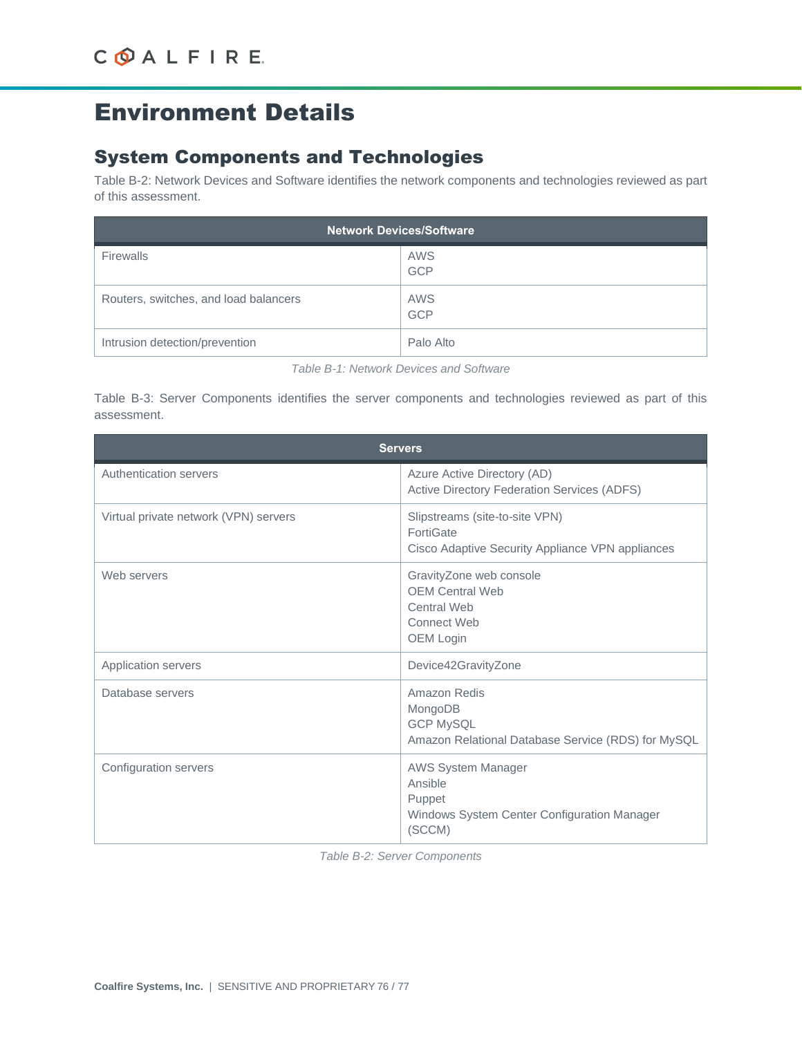## Environment Details

#### System Components and Technologies

[Table B-2: Network Devices and Software](#page-75-0) identifies the network components and technologies reviewed as part of this assessment.

| <b>Network Devices/Software</b>       |                   |  |  |  |
|---------------------------------------|-------------------|--|--|--|
| <b>Firewalls</b>                      | AWS<br><b>GCP</b> |  |  |  |
| Routers, switches, and load balancers | AWS<br><b>GCP</b> |  |  |  |
| Intrusion detection/prevention        | Palo Alto         |  |  |  |

*Table B-1: Network Devices and Software*

<span id="page-75-0"></span>[Table B-3: Server Components](#page-75-1) identifies the server components and technologies reviewed as part of this assessment.

| <b>Servers</b>                        |                                                                                                         |  |
|---------------------------------------|---------------------------------------------------------------------------------------------------------|--|
| Authentication servers                | Azure Active Directory (AD)<br><b>Active Directory Federation Services (ADFS)</b>                       |  |
| Virtual private network (VPN) servers | Slipstreams (site-to-site VPN)<br>FortiGate<br>Cisco Adaptive Security Appliance VPN appliances         |  |
| Web servers                           | GravityZone web console<br><b>OEM Central Web</b><br>Central Web<br>Connect Web<br>OEM Login            |  |
| <b>Application servers</b>            | Device42GravityZone                                                                                     |  |
| Database servers                      | Amazon Redis<br>MongoDB<br><b>GCP MySQL</b><br>Amazon Relational Database Service (RDS) for MySQL       |  |
| Configuration servers                 | <b>AWS System Manager</b><br>Ansible<br>Puppet<br>Windows System Center Configuration Manager<br>(SCCM) |  |

<span id="page-75-1"></span>*Table B-2: Server Components*